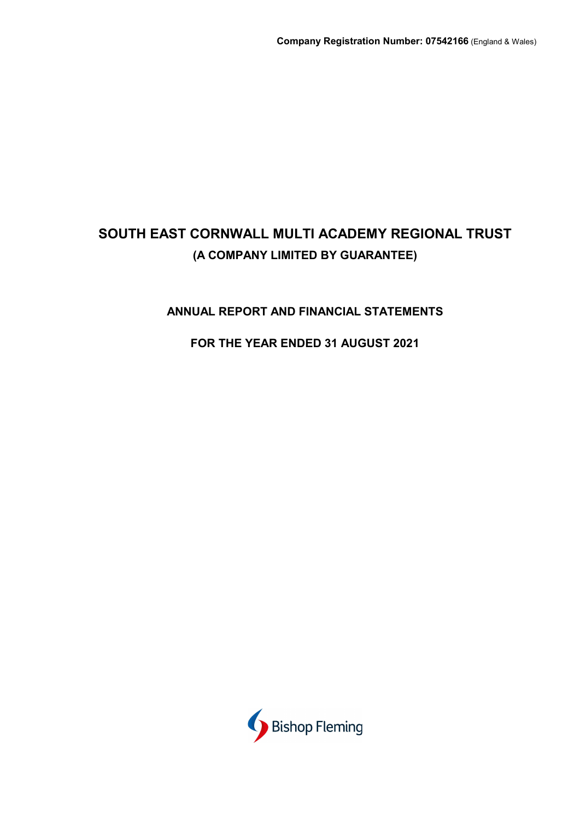# ANNUAL REPORT AND FINANCIAL STATEMENTS

# FOR THE YEAR ENDED 31 AUGUST 2021

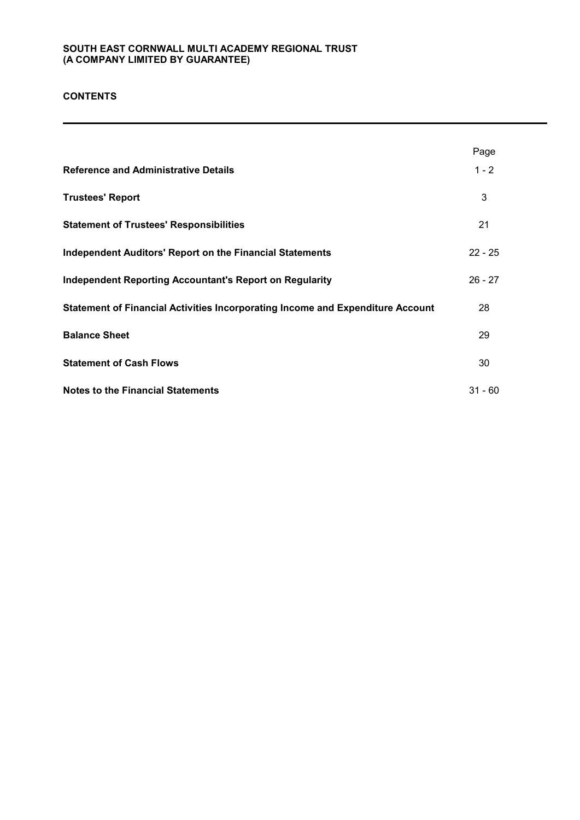### **CONTENTS**

|                                                                                | Page      |
|--------------------------------------------------------------------------------|-----------|
| <b>Reference and Administrative Details</b>                                    | $1 - 2$   |
| <b>Trustees' Report</b>                                                        | 3         |
| <b>Statement of Trustees' Responsibilities</b>                                 | 21        |
| <b>Independent Auditors' Report on the Financial Statements</b>                | $22 - 25$ |
| <b>Independent Reporting Accountant's Report on Regularity</b>                 | $26 - 27$ |
| Statement of Financial Activities Incorporating Income and Expenditure Account | 28        |
| <b>Balance Sheet</b>                                                           | 29        |
| <b>Statement of Cash Flows</b>                                                 | 30        |
| <b>Notes to the Financial Statements</b>                                       | $31 - 60$ |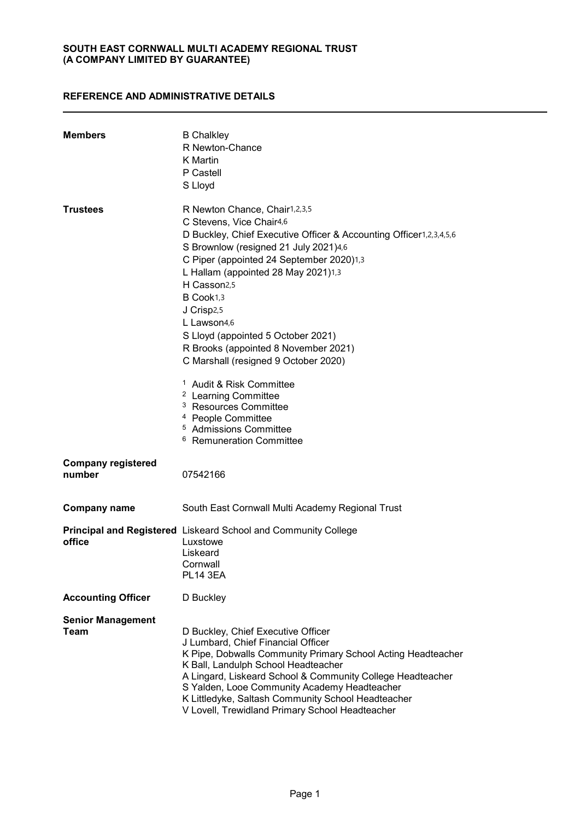### REFERENCE AND ADMINISTRATIVE DETAILS

| <b>Members</b>                      | <b>B</b> Chalkley<br>R Newton-Chance<br>K Martin<br>P Castell<br>S Lloyd                                                                                                                                                                                                                                                                                                                                                                                                                                                                                                                                            |
|-------------------------------------|---------------------------------------------------------------------------------------------------------------------------------------------------------------------------------------------------------------------------------------------------------------------------------------------------------------------------------------------------------------------------------------------------------------------------------------------------------------------------------------------------------------------------------------------------------------------------------------------------------------------|
| <b>Trustees</b>                     | R Newton Chance, Chair1,2,3,5<br>C Stevens, Vice Chair4,6<br>D Buckley, Chief Executive Officer & Accounting Officer1,2,3,4,5,6<br>S Brownlow (resigned 21 July 2021)4,6<br>C Piper (appointed 24 September 2020)1,3<br>L Hallam (appointed 28 May 2021)1,3<br>H Casson <sub>2,5</sub><br>B Cook1,3<br>J Crisp <sub>2,5</sub><br>$L$ Lawson4.6<br>S Lloyd (appointed 5 October 2021)<br>R Brooks (appointed 8 November 2021)<br>C Marshall (resigned 9 October 2020)<br><sup>1</sup> Audit & Risk Committee<br><sup>2</sup> Learning Committee<br><sup>3</sup> Resources Committee<br><sup>4</sup> People Committee |
|                                     | <sup>5</sup> Admissions Committee<br><sup>6</sup> Remuneration Committee                                                                                                                                                                                                                                                                                                                                                                                                                                                                                                                                            |
| <b>Company registered</b><br>number | 07542166                                                                                                                                                                                                                                                                                                                                                                                                                                                                                                                                                                                                            |
| <b>Company name</b>                 | South East Cornwall Multi Academy Regional Trust                                                                                                                                                                                                                                                                                                                                                                                                                                                                                                                                                                    |
| office                              | Principal and Registered Liskeard School and Community College<br>Luxstowe<br>Liskeard<br>Cornwall<br><b>PL14 3EA</b>                                                                                                                                                                                                                                                                                                                                                                                                                                                                                               |
| <b>Accounting Officer</b>           | D Buckley                                                                                                                                                                                                                                                                                                                                                                                                                                                                                                                                                                                                           |
| <b>Senior Management</b><br>Team    | D Buckley, Chief Executive Officer<br>J Lumbard, Chief Financial Officer<br>K Pipe, Dobwalls Community Primary School Acting Headteacher<br>K Ball, Landulph School Headteacher<br>A Lingard, Liskeard School & Community College Headteacher<br>S Yalden, Looe Community Academy Headteacher<br>K Littledyke, Saltash Community School Headteacher<br>V Lovell, Trewidland Primary School Headteacher                                                                                                                                                                                                              |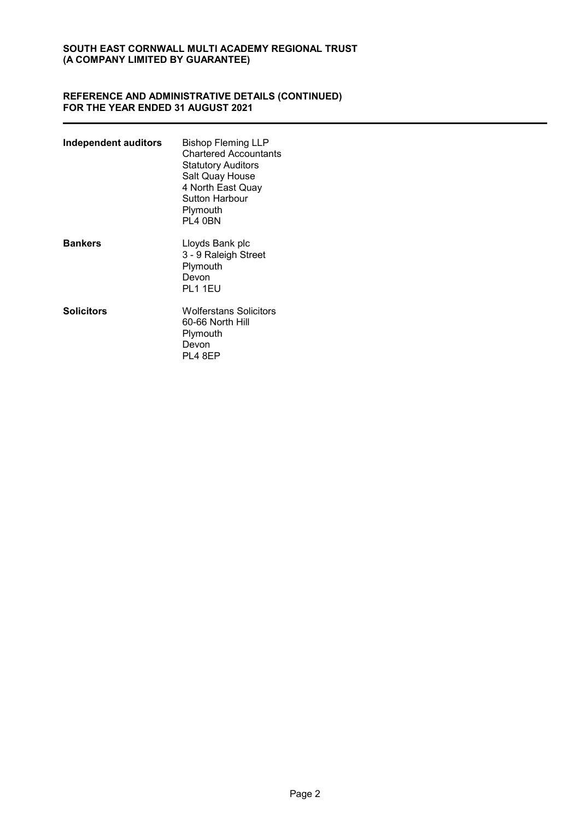#### REFERENCE AND ADMINISTRATIVE DETAILS (CONTINUED) FOR THE YEAR ENDED 31 AUGUST 2021

| Independent auditors | Bishop Fleming LLP<br><b>Chartered Accountants</b><br><b>Statutory Auditors</b><br>Salt Quay House<br>4 North East Quay<br>Sutton Harbour<br>Plymouth<br>PL4 0BN |
|----------------------|------------------------------------------------------------------------------------------------------------------------------------------------------------------|
| <b>Bankers</b>       | Lloyds Bank plc<br>3 - 9 Raleigh Street<br>Plymouth<br>Devon<br>PL1 1EU                                                                                          |
| <b>Solicitors</b>    | Wolferstans Solicitors<br>60-66 North Hill<br>Plymouth<br>Devon<br><b>PL4 8EP</b>                                                                                |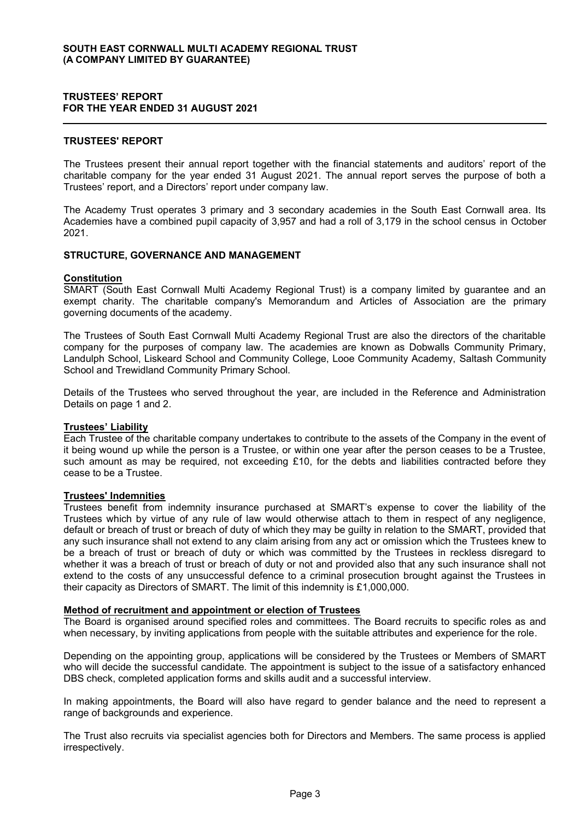### TRUSTEES' REPORT FOR THE YEAR ENDED 31 AUGUST 2021

#### TRUSTEES' REPORT

The Trustees present their annual report together with the financial statements and auditors' report of the charitable company for the year ended 31 August 2021. The annual report serves the purpose of both a Trustees' report, and a Directors' report under company law.

The Academy Trust operates 3 primary and 3 secondary academies in the South East Cornwall area. Its Academies have a combined pupil capacity of 3,957 and had a roll of 3,179 in the school census in October 2021.

### STRUCTURE, GOVERNANCE AND MANAGEMENT

#### Constitution

SMART (South East Cornwall Multi Academy Regional Trust) is a company limited by guarantee and an exempt charity. The charitable company's Memorandum and Articles of Association are the primary governing documents of the academy.

The Trustees of South East Cornwall Multi Academy Regional Trust are also the directors of the charitable company for the purposes of company law. The academies are known as Dobwalls Community Primary, Landulph School, Liskeard School and Community College, Looe Community Academy, Saltash Community School and Trewidland Community Primary School.

Details of the Trustees who served throughout the year, are included in the Reference and Administration Details on page 1 and 2.

#### **Trustees' Liability**

Each Trustee of the charitable company undertakes to contribute to the assets of the Company in the event of it being wound up while the person is a Trustee, or within one year after the person ceases to be a Trustee, such amount as may be required, not exceeding £10, for the debts and liabilities contracted before they cease to be a Trustee.

### Trustees' Indemnities

Trustees benefit from indemnity insurance purchased at SMART's expense to cover the liability of the Trustees which by virtue of any rule of law would otherwise attach to them in respect of any negligence, default or breach of trust or breach of duty of which they may be guilty in relation to the SMART, provided that any such insurance shall not extend to any claim arising from any act or omission which the Trustees knew to be a breach of trust or breach of duty or which was committed by the Trustees in reckless disregard to whether it was a breach of trust or breach of duty or not and provided also that any such insurance shall not extend to the costs of any unsuccessful defence to a criminal prosecution brought against the Trustees in their capacity as Directors of SMART. The limit of this indemnity is £1,000,000.

#### Method of recruitment and appointment or election of Trustees

The Board is organised around specified roles and committees. The Board recruits to specific roles as and when necessary, by inviting applications from people with the suitable attributes and experience for the role.

Depending on the appointing group, applications will be considered by the Trustees or Members of SMART who will decide the successful candidate. The appointment is subject to the issue of a satisfactory enhanced DBS check, completed application forms and skills audit and a successful interview.

In making appointments, the Board will also have regard to gender balance and the need to represent a range of backgrounds and experience.

The Trust also recruits via specialist agencies both for Directors and Members. The same process is applied irrespectively.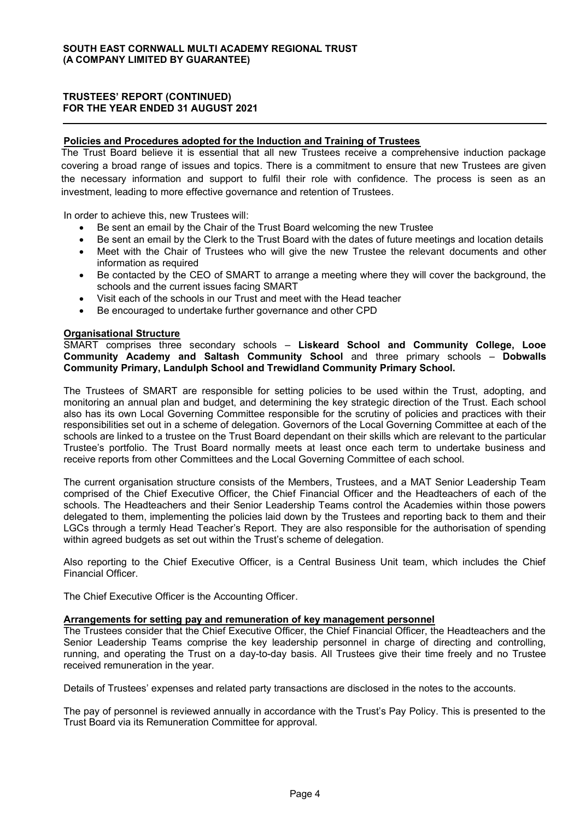### Policies and Procedures adopted for the Induction and Training of Trustees

The Trust Board believe it is essential that all new Trustees receive a comprehensive induction package covering a broad range of issues and topics. There is a commitment to ensure that new Trustees are given the necessary information and support to fulfil their role with confidence. The process is seen as an investment, leading to more effective governance and retention of Trustees.

In order to achieve this, new Trustees will:

- Be sent an email by the Chair of the Trust Board welcoming the new Trustee
- Be sent an email by the Clerk to the Trust Board with the dates of future meetings and location details
- Meet with the Chair of Trustees who will give the new Trustee the relevant documents and other information as required
- Be contacted by the CEO of SMART to arrange a meeting where they will cover the background, the schools and the current issues facing SMART
- Visit each of the schools in our Trust and meet with the Head teacher
- Be encouraged to undertake further governance and other CPD

#### Organisational Structure

SMART comprises three secondary schools - Liskeard School and Community College, Looe Community Academy and Saltash Community School and three primary schools - Dobwalls Community Primary, Landulph School and Trewidland Community Primary School.

The Trustees of SMART are responsible for setting policies to be used within the Trust, adopting, and monitoring an annual plan and budget, and determining the key strategic direction of the Trust. Each school also has its own Local Governing Committee responsible for the scrutiny of policies and practices with their responsibilities set out in a scheme of delegation. Governors of the Local Governing Committee at each of the schools are linked to a trustee on the Trust Board dependant on their skills which are relevant to the particular Trustee's portfolio. The Trust Board normally meets at least once each term to undertake business and receive reports from other Committees and the Local Governing Committee of each school.

The current organisation structure consists of the Members, Trustees, and a MAT Senior Leadership Team comprised of the Chief Executive Officer, the Chief Financial Officer and the Headteachers of each of the schools. The Headteachers and their Senior Leadership Teams control the Academies within those powers delegated to them, implementing the policies laid down by the Trustees and reporting back to them and their LGCs through a termly Head Teacher's Report. They are also responsible for the authorisation of spending within agreed budgets as set out within the Trust's scheme of delegation.

Also reporting to the Chief Executive Officer, is a Central Business Unit team, which includes the Chief Financial Officer.

The Chief Executive Officer is the Accounting Officer.

#### Arrangements for setting pay and remuneration of key management personnel

The Trustees consider that the Chief Executive Officer, the Chief Financial Officer, the Headteachers and the Senior Leadership Teams comprise the key leadership personnel in charge of directing and controlling, running, and operating the Trust on a day-to-day basis. All Trustees give their time freely and no Trustee received remuneration in the year.

Details of Trustees' expenses and related party transactions are disclosed in the notes to the accounts.

The pay of personnel is reviewed annually in accordance with the Trust's Pay Policy. This is presented to the Trust Board via its Remuneration Committee for approval.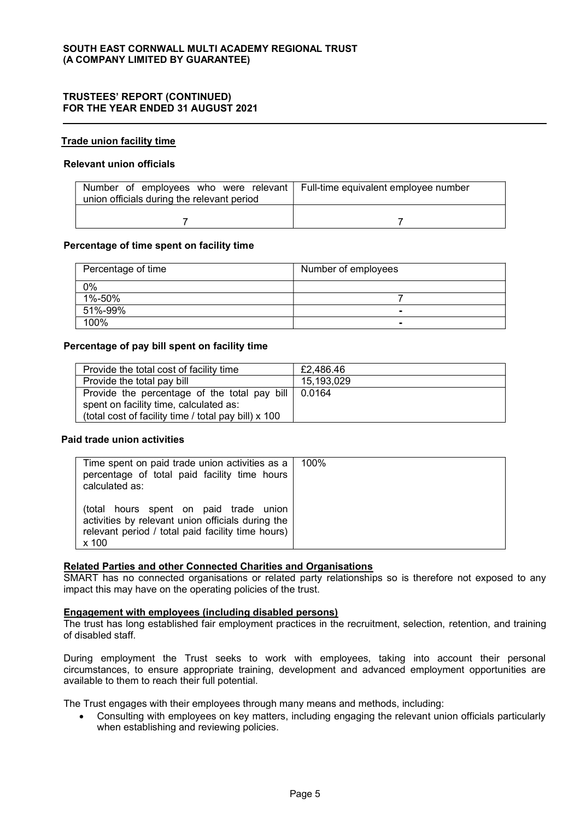#### Trade union facility time

#### Relevant union officials

| Number of employees who were relevant   Full-time equivalent employee number<br>union officials during the relevant period |  |
|----------------------------------------------------------------------------------------------------------------------------|--|
|                                                                                                                            |  |

#### Percentage of time spent on facility time

| Percentage of time | Number of employees |  |
|--------------------|---------------------|--|
| 0%                 |                     |  |
| 1%-50%             |                     |  |
| 51%-99%            |                     |  |
| 100%               |                     |  |

#### Percentage of pay bill spent on facility time

| Provide the total cost of facility time              | £2,486.46  |
|------------------------------------------------------|------------|
| Provide the total pay bill                           | 15,193,029 |
| Provide the percentage of the total pay bill         | 0.0164     |
| spent on facility time, calculated as:               |            |
| (total cost of facility time / total pay bill) x 100 |            |

### Paid trade union activities

| Time spent on paid trade union activities as a<br>percentage of total paid facility time hours<br>calculated as:                                          | 100% |
|-----------------------------------------------------------------------------------------------------------------------------------------------------------|------|
| (total hours spent on paid trade union<br>activities by relevant union officials during the<br>relevant period / total paid facility time hours)<br>x 100 |      |

### Related Parties and other Connected Charities and Organisations

SMART has no connected organisations or related party relationships so is therefore not exposed to any impact this may have on the operating policies of the trust.

#### Engagement with employees (including disabled persons)

The trust has long established fair employment practices in the recruitment, selection, retention, and training of disabled staff.

During employment the Trust seeks to work with employees, taking into account their personal circumstances, to ensure appropriate training, development and advanced employment opportunities are available to them to reach their full potential.

The Trust engages with their employees through many means and methods, including:

• Consulting with employees on key matters, including engaging the relevant union officials particularly when establishing and reviewing policies.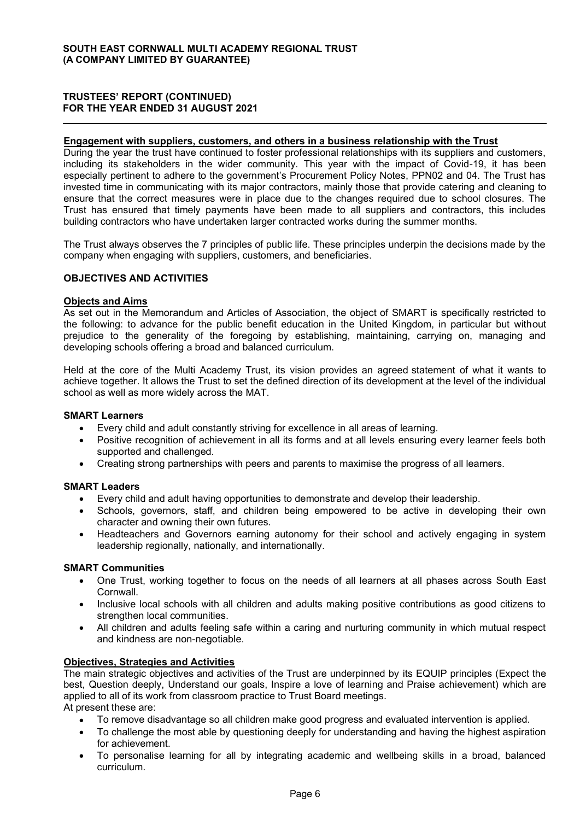#### Engagement with suppliers, customers, and others in a business relationship with the Trust

During the year the trust have continued to foster professional relationships with its suppliers and customers, including its stakeholders in the wider community. This year with the impact of Covid-19, it has been especially pertinent to adhere to the government's Procurement Policy Notes, PPN02 and 04. The Trust has invested time in communicating with its major contractors, mainly those that provide catering and cleaning to ensure that the correct measures were in place due to the changes required due to school closures. The Trust has ensured that timely payments have been made to all suppliers and contractors, this includes building contractors who have undertaken larger contracted works during the summer months.

The Trust always observes the 7 principles of public life. These principles underpin the decisions made by the company when engaging with suppliers, customers, and beneficiaries.

#### OBJECTIVES AND ACTIVITIES

#### Objects and Aims

As set out in the Memorandum and Articles of Association, the object of SMART is specifically restricted to the following: to advance for the public benefit education in the United Kingdom, in particular but without prejudice to the generality of the foregoing by establishing, maintaining, carrying on, managing and developing schools offering a broad and balanced curriculum.

Held at the core of the Multi Academy Trust, its vision provides an agreed statement of what it wants to achieve together. It allows the Trust to set the defined direction of its development at the level of the individual school as well as more widely across the MAT.

#### SMART Learners

- Every child and adult constantly striving for excellence in all areas of learning.
- x Positive recognition of achievement in all its forms and at all levels ensuring every learner feels both supported and challenged.
- Creating strong partnerships with peers and parents to maximise the progress of all learners.

### SMART Leaders

- Every child and adult having opportunities to demonstrate and develop their leadership.
- Schools, governors, staff, and children being empowered to be active in developing their own character and owning their own futures.
- Headteachers and Governors earning autonomy for their school and actively engaging in system leadership regionally, nationally, and internationally.

#### SMART Communities

- One Trust, working together to focus on the needs of all learners at all phases across South East Cornwall.
- Inclusive local schools with all children and adults making positive contributions as good citizens to strengthen local communities.
- All children and adults feeling safe within a caring and nurturing community in which mutual respect and kindness are non-negotiable.

### Objectives, Strategies and Activities

The main strategic objectives and activities of the Trust are underpinned by its EQUIP principles (Expect the best, Question deeply, Understand our goals, Inspire a love of learning and Praise achievement) which are applied to all of its work from classroom practice to Trust Board meetings.

At present these are:

- To remove disadvantage so all children make good progress and evaluated intervention is applied.
- To challenge the most able by questioning deeply for understanding and having the highest aspiration for achievement.
- To personalise learning for all by integrating academic and wellbeing skills in a broad, balanced curriculum.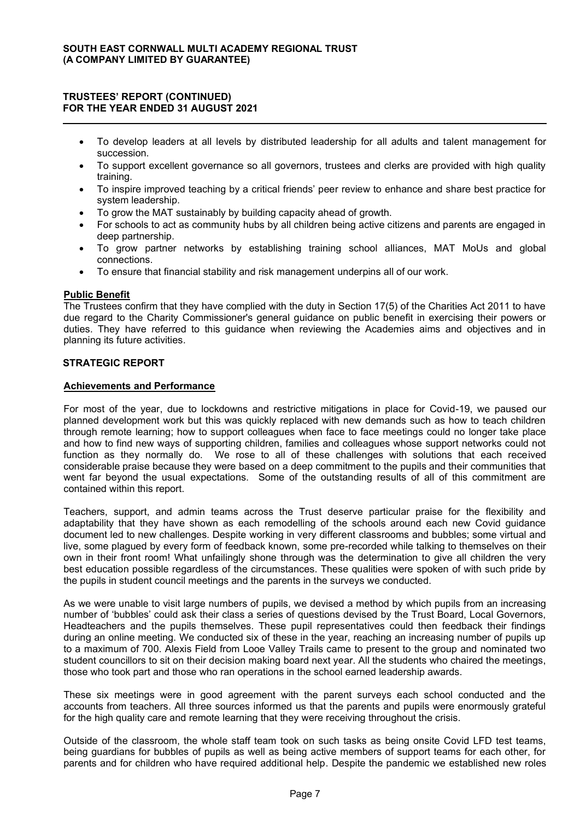- To develop leaders at all levels by distributed leadership for all adults and talent management for succession.
- To support excellent governance so all governors, trustees and clerks are provided with high quality training.
- To inspire improved teaching by a critical friends' peer review to enhance and share best practice for system leadership.
- To grow the MAT sustainably by building capacity ahead of growth.
- For schools to act as community hubs by all children being active citizens and parents are engaged in deep partnership.
- To grow partner networks by establishing training school alliances, MAT MoUs and global connections.
- To ensure that financial stability and risk management underpins all of our work.

#### Public Benefit

The Trustees confirm that they have complied with the duty in Section 17(5) of the Charities Act 2011 to have due regard to the Charity Commissioner's general guidance on public benefit in exercising their powers or duties. They have referred to this guidance when reviewing the Academies aims and objectives and in planning its future activities.

#### STRATEGIC REPORT

#### Achievements and Performance

For most of the year, due to lockdowns and restrictive mitigations in place for Covid-19, we paused our planned development work but this was quickly replaced with new demands such as how to teach children through remote learning; how to support colleagues when face to face meetings could no longer take place and how to find new ways of supporting children, families and colleagues whose support networks could not function as they normally do. We rose to all of these challenges with solutions that each received considerable praise because they were based on a deep commitment to the pupils and their communities that went far beyond the usual expectations. Some of the outstanding results of all of this commitment are contained within this report.

Teachers, support, and admin teams across the Trust deserve particular praise for the flexibility and adaptability that they have shown as each remodelling of the schools around each new Covid guidance document led to new challenges. Despite working in very different classrooms and bubbles; some virtual and live, some plagued by every form of feedback known, some pre-recorded while talking to themselves on their own in their front room! What unfailingly shone through was the determination to give all children the very best education possible regardless of the circumstances. These qualities were spoken of with such pride by the pupils in student council meetings and the parents in the surveys we conducted.

As we were unable to visit large numbers of pupils, we devised a method by which pupils from an increasing number of 'bubbles' could ask their class a series of questions devised by the Trust Board, Local Governors, Headteachers and the pupils themselves. These pupil representatives could then feedback their findings during an online meeting. We conducted six of these in the year, reaching an increasing number of pupils up to a maximum of 700. Alexis Field from Looe Valley Trails came to present to the group and nominated two student councillors to sit on their decision making board next year. All the students who chaired the meetings, those who took part and those who ran operations in the school earned leadership awards.

These six meetings were in good agreement with the parent surveys each school conducted and the accounts from teachers. All three sources informed us that the parents and pupils were enormously grateful for the high quality care and remote learning that they were receiving throughout the crisis.

Outside of the classroom, the whole staff team took on such tasks as being onsite Covid LFD test teams, being guardians for bubbles of pupils as well as being active members of support teams for each other, for parents and for children who have required additional help. Despite the pandemic we established new roles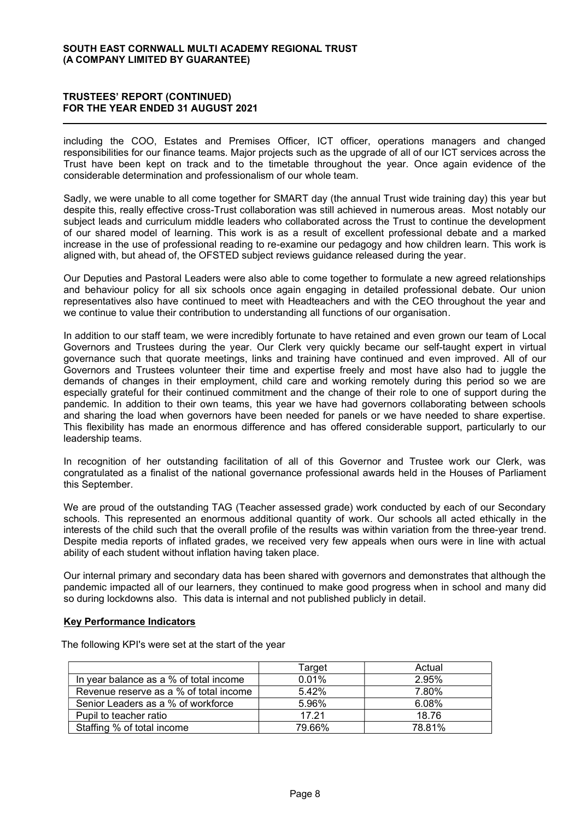### TRUSTEES' REPORT (CONTINUED) FOR THE YEAR ENDED 31 AUGUST 2021

including the COO, Estates and Premises Officer, ICT officer, operations managers and changed responsibilities for our finance teams. Major projects such as the upgrade of all of our ICT services across the Trust have been kept on track and to the timetable throughout the year. Once again evidence of the considerable determination and professionalism of our whole team.

Sadly, we were unable to all come together for SMART day (the annual Trust wide training day) this year but despite this, really effective cross-Trust collaboration was still achieved in numerous areas. Most notably our subject leads and curriculum middle leaders who collaborated across the Trust to continue the development of our shared model of learning. This work is as a result of excellent professional debate and a marked increase in the use of professional reading to re-examine our pedagogy and how children learn. This work is aligned with, but ahead of, the OFSTED subject reviews guidance released during the year.

Our Deputies and Pastoral Leaders were also able to come together to formulate a new agreed relationships and behaviour policy for all six schools once again engaging in detailed professional debate. Our union representatives also have continued to meet with Headteachers and with the CEO throughout the year and we continue to value their contribution to understanding all functions of our organisation.

In addition to our staff team, we were incredibly fortunate to have retained and even grown our team of Local Governors and Trustees during the year. Our Clerk very quickly became our self-taught expert in virtual governance such that quorate meetings, links and training have continued and even improved. All of our Governors and Trustees volunteer their time and expertise freely and most have also had to juggle the demands of changes in their employment, child care and working remotely during this period so we are especially grateful for their continued commitment and the change of their role to one of support during the pandemic. In addition to their own teams, this year we have had governors collaborating between schools and sharing the load when governors have been needed for panels or we have needed to share expertise. This flexibility has made an enormous difference and has offered considerable support, particularly to our leadership teams.

In recognition of her outstanding facilitation of all of this Governor and Trustee work our Clerk, was congratulated as a finalist of the national governance professional awards held in the Houses of Parliament this September.

We are proud of the outstanding TAG (Teacher assessed grade) work conducted by each of our Secondary schools. This represented an enormous additional quantity of work. Our schools all acted ethically in the interests of the child such that the overall profile of the results was within variation from the three-year trend. Despite media reports of inflated grades, we received very few appeals when ours were in line with actual ability of each student without inflation having taken place.

Our internal primary and secondary data has been shared with governors and demonstrates that although the pandemic impacted all of our learners, they continued to make good progress when in school and many did so during lockdowns also. This data is internal and not published publicly in detail.

### Key Performance Indicators

The following KPI's were set at the start of the year

|                                        | Target | Actual |
|----------------------------------------|--------|--------|
| In year balance as a % of total income | 0.01%  | 2.95%  |
| Revenue reserve as a % of total income | 5.42%  | 7.80%  |
| Senior Leaders as a % of workforce     | 5.96%  | 6.08%  |
| Pupil to teacher ratio                 | 17.21  | 18.76  |
| Staffing % of total income             | 79.66% | 78.81% |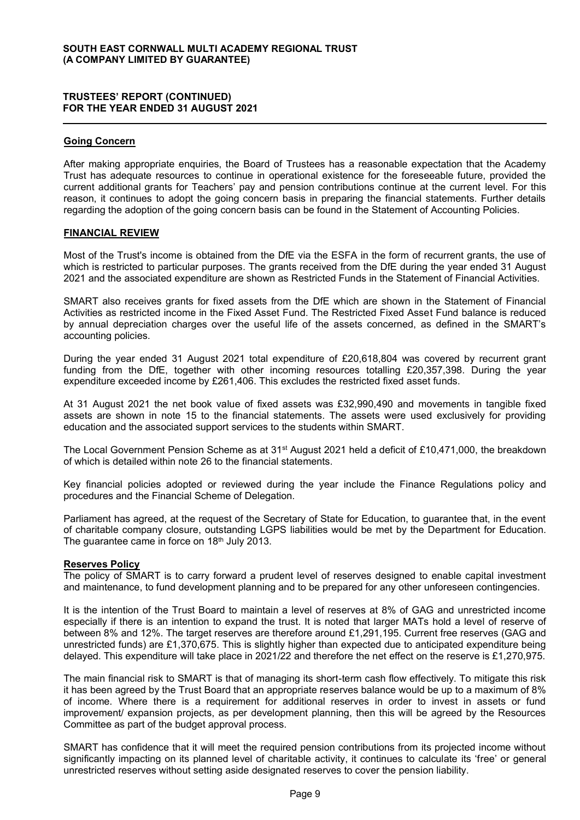#### Going Concern

After making appropriate enquiries, the Board of Trustees has a reasonable expectation that the Academy Trust has adequate resources to continue in operational existence for the foreseeable future, provided the current additional grants for Teachers' pay and pension contributions continue at the current level. For this reason, it continues to adopt the going concern basis in preparing the financial statements. Further details regarding the adoption of the going concern basis can be found in the Statement of Accounting Policies.

#### FINANCIAL REVIEW

Most of the Trust's income is obtained from the DfE via the ESFA in the form of recurrent grants, the use of which is restricted to particular purposes. The grants received from the DfE during the year ended 31 August 2021 and the associated expenditure are shown as Restricted Funds in the Statement of Financial Activities.

SMART also receives grants for fixed assets from the DfE which are shown in the Statement of Financial Activities as restricted income in the Fixed Asset Fund. The Restricted Fixed Asset Fund balance is reduced by annual depreciation charges over the useful life of the assets concerned, as defined in the SMART's accounting policies.

During the year ended 31 August 2021 total expenditure of £20,618,804 was covered by recurrent grant funding from the DfE, together with other incoming resources totalling £20,357,398. During the year expenditure exceeded income by £261,406. This excludes the restricted fixed asset funds.

At 31 August 2021 the net book value of fixed assets was £32,990,490 and movements in tangible fixed assets are shown in note 15 to the financial statements. The assets were used exclusively for providing education and the associated support services to the students within SMART.

The Local Government Pension Scheme as at 31<sup>st</sup> August 2021 held a deficit of £10,471,000, the breakdown of which is detailed within note 26 to the financial statements.

Key financial policies adopted or reviewed during the year include the Finance Regulations policy and procedures and the Financial Scheme of Delegation.

Parliament has agreed, at the request of the Secretary of State for Education, to guarantee that, in the event of charitable company closure, outstanding LGPS liabilities would be met by the Department for Education. The quarantee came in force on 18<sup>th</sup> July 2013.

#### Reserves Policy

The policy of SMART is to carry forward a prudent level of reserves designed to enable capital investment and maintenance, to fund development planning and to be prepared for any other unforeseen contingencies.

It is the intention of the Trust Board to maintain a level of reserves at 8% of GAG and unrestricted income especially if there is an intention to expand the trust. It is noted that larger MATs hold a level of reserve of between 8% and 12%. The target reserves are therefore around £1,291,195. Current free reserves (GAG and unrestricted funds) are £1,370,675. This is slightly higher than expected due to anticipated expenditure being delayed. This expenditure will take place in 2021/22 and therefore the net effect on the reserve is £1,270,975.

The main financial risk to SMART is that of managing its short-term cash flow effectively. To mitigate this risk it has been agreed by the Trust Board that an appropriate reserves balance would be up to a maximum of 8% of income. Where there is a requirement for additional reserves in order to invest in assets or fund improvement/ expansion projects, as per development planning, then this will be agreed by the Resources Committee as part of the budget approval process.

SMART has confidence that it will meet the required pension contributions from its projected income without significantly impacting on its planned level of charitable activity, it continues to calculate its 'free' or general unrestricted reserves without setting aside designated reserves to cover the pension liability.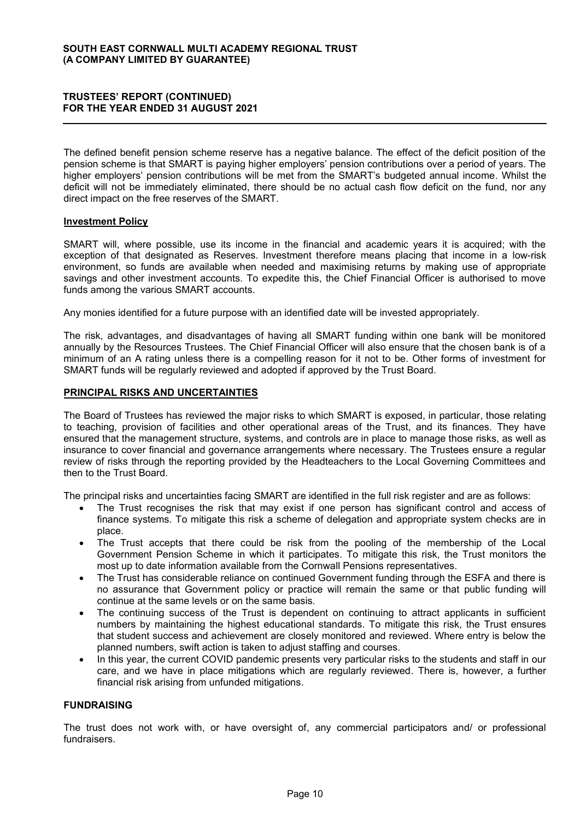The defined benefit pension scheme reserve has a negative balance. The effect of the deficit position of the pension scheme is that SMART is paying higher employers' pension contributions over a period of years. The higher employers' pension contributions will be met from the SMART's budgeted annual income. Whilst the deficit will not be immediately eliminated, there should be no actual cash flow deficit on the fund, nor any direct impact on the free reserves of the SMART.

#### Investment Policy

SMART will, where possible, use its income in the financial and academic years it is acquired; with the exception of that designated as Reserves. Investment therefore means placing that income in a low-risk environment, so funds are available when needed and maximising returns by making use of appropriate savings and other investment accounts. To expedite this, the Chief Financial Officer is authorised to move funds among the various SMART accounts.

Any monies identified for a future purpose with an identified date will be invested appropriately.

The risk, advantages, and disadvantages of having all SMART funding within one bank will be monitored annually by the Resources Trustees. The Chief Financial Officer will also ensure that the chosen bank is of a minimum of an A rating unless there is a compelling reason for it not to be. Other forms of investment for SMART funds will be regularly reviewed and adopted if approved by the Trust Board.

#### PRINCIPAL RISKS AND UNCERTAINTIES

The Board of Trustees has reviewed the major risks to which SMART is exposed, in particular, those relating to teaching, provision of facilities and other operational areas of the Trust, and its finances. They have ensured that the management structure, systems, and controls are in place to manage those risks, as well as insurance to cover financial and governance arrangements where necessary. The Trustees ensure a regular review of risks through the reporting provided by the Headteachers to the Local Governing Committees and then to the Trust Board.

The principal risks and uncertainties facing SMART are identified in the full risk register and are as follows:

- The Trust recognises the risk that may exist if one person has significant control and access of finance systems. To mitigate this risk a scheme of delegation and appropriate system checks are in place.
- The Trust accepts that there could be risk from the pooling of the membership of the Local Government Pension Scheme in which it participates. To mitigate this risk, the Trust monitors the most up to date information available from the Cornwall Pensions representatives.
- The Trust has considerable reliance on continued Government funding through the ESFA and there is no assurance that Government policy or practice will remain the same or that public funding will continue at the same levels or on the same basis.
- The continuing success of the Trust is dependent on continuing to attract applicants in sufficient numbers by maintaining the highest educational standards. To mitigate this risk, the Trust ensures that student success and achievement are closely monitored and reviewed. Where entry is below the planned numbers, swift action is taken to adjust staffing and courses.
- In this year, the current COVID pandemic presents very particular risks to the students and staff in our care, and we have in place mitigations which are regularly reviewed. There is, however, a further financial risk arising from unfunded mitigations.

### FUNDRAISING

The trust does not work with, or have oversight of, any commercial participators and/ or professional fundraisers.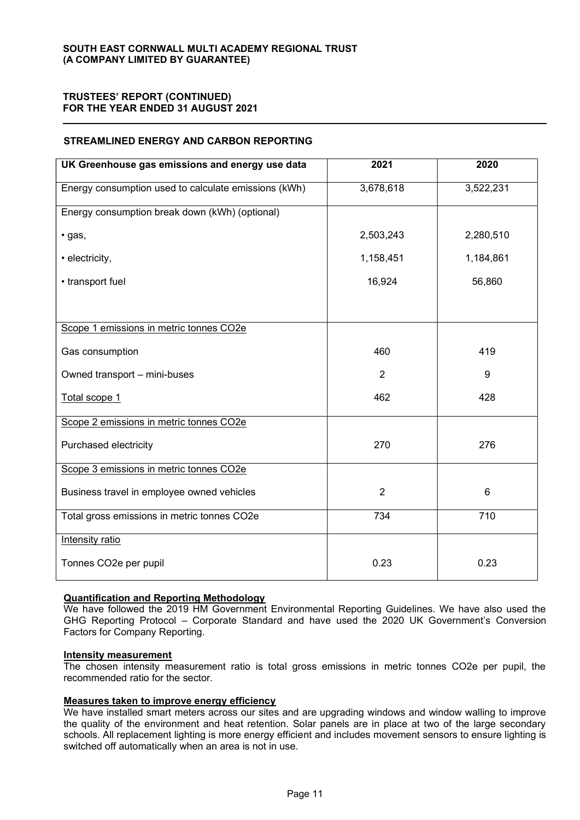### STREAMLINED ENERGY AND CARBON REPORTING

| UK Greenhouse gas emissions and energy use data      | 2021           | 2020      |
|------------------------------------------------------|----------------|-----------|
| Energy consumption used to calculate emissions (kWh) | 3,678,618      | 3,522,231 |
| Energy consumption break down (kWh) (optional)       |                |           |
| · gas,                                               | 2,503,243      | 2,280,510 |
| • electricity,                                       | 1,158,451      | 1,184,861 |
| • transport fuel                                     | 16,924         | 56,860    |
|                                                      |                |           |
| Scope 1 emissions in metric tonnes CO2e              |                |           |
| Gas consumption                                      | 460            | 419       |
| Owned transport - mini-buses                         | 2              | 9         |
| Total scope 1                                        | 462            | 428       |
| Scope 2 emissions in metric tonnes CO2e              |                |           |
| Purchased electricity                                | 270            | 276       |
| Scope 3 emissions in metric tonnes CO2e              |                |           |
| Business travel in employee owned vehicles           | $\overline{2}$ | 6         |
| Total gross emissions in metric tonnes CO2e          | 734            | 710       |
| Intensity ratio                                      |                |           |
| Tonnes CO2e per pupil                                | 0.23           | 0.23      |

### Quantification and Reporting Methodology

We have followed the 2019 HM Government Environmental Reporting Guidelines. We have also used the GHG Reporting Protocol – Corporate Standard and have used the 2020 UK Government's Conversion Factors for Company Reporting.

#### Intensity measurement

The chosen intensity measurement ratio is total gross emissions in metric tonnes CO2e per pupil, the recommended ratio for the sector.

### Measures taken to improve energy efficiency

We have installed smart meters across our sites and are upgrading windows and window walling to improve the quality of the environment and heat retention. Solar panels are in place at two of the large secondary schools. All replacement lighting is more energy efficient and includes movement sensors to ensure lighting is switched off automatically when an area is not in use.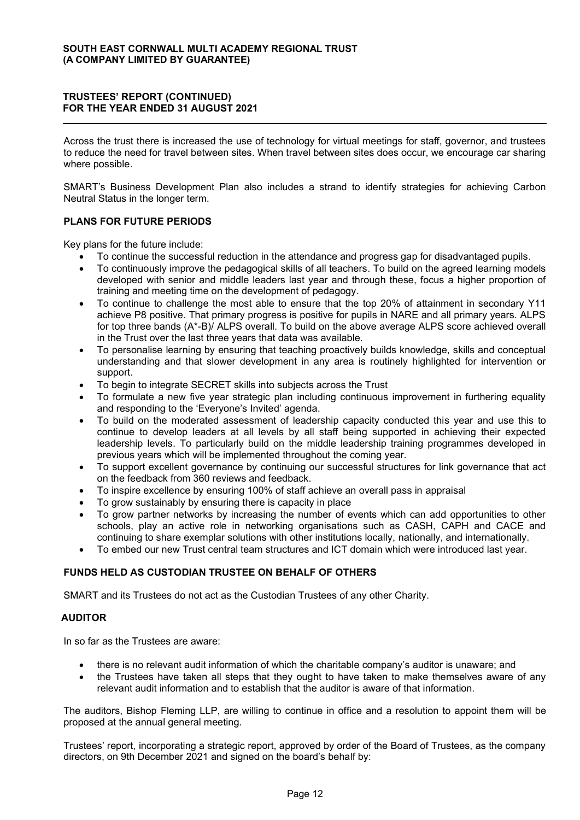Across the trust there is increased the use of technology for virtual meetings for staff, governor, and trustees to reduce the need for travel between sites. When travel between sites does occur, we encourage car sharing where possible.

SMART's Business Development Plan also includes a strand to identify strategies for achieving Carbon Neutral Status in the longer term.

### PLANS FOR FUTURE PERIODS

Key plans for the future include:

- To continue the successful reduction in the attendance and progress gap for disadvantaged pupils.
- To continuously improve the pedagogical skills of all teachers. To build on the agreed learning models developed with senior and middle leaders last year and through these, focus a higher proportion of training and meeting time on the development of pedagogy.
- To continue to challenge the most able to ensure that the top 20% of attainment in secondary Y11 achieve P8 positive. That primary progress is positive for pupils in NARE and all primary years. ALPS for top three bands (A\*-B)/ ALPS overall. To build on the above average ALPS score achieved overall in the Trust over the last three years that data was available.
- To personalise learning by ensuring that teaching proactively builds knowledge, skills and conceptual understanding and that slower development in any area is routinely highlighted for intervention or support.
- To begin to integrate SECRET skills into subjects across the Trust
- To formulate a new five year strategic plan including continuous improvement in furthering equality and responding to the 'Everyone's Invited' agenda.
- To build on the moderated assessment of leadership capacity conducted this year and use this to continue to develop leaders at all levels by all staff being supported in achieving their expected leadership levels. To particularly build on the middle leadership training programmes developed in previous years which will be implemented throughout the coming year.
- To support excellent governance by continuing our successful structures for link governance that act on the feedback from 360 reviews and feedback.
- To inspire excellence by ensuring 100% of staff achieve an overall pass in appraisal
- To grow sustainably by ensuring there is capacity in place
- To grow partner networks by increasing the number of events which can add opportunities to other schools, play an active role in networking organisations such as CASH, CAPH and CACE and continuing to share exemplar solutions with other institutions locally, nationally, and internationally.
- To embed our new Trust central team structures and ICT domain which were introduced last year.

### FUNDS HELD AS CUSTODIAN TRUSTEE ON BEHALF OF OTHERS

SMART and its Trustees do not act as the Custodian Trustees of any other Charity.

#### AUDITOR

In so far as the Trustees are aware:

- there is no relevant audit information of which the charitable company's auditor is unaware; and
- the Trustees have taken all steps that they ought to have taken to make themselves aware of any relevant audit information and to establish that the auditor is aware of that information.

The auditors, Bishop Fleming LLP, are willing to continue in office and a resolution to appoint them will be proposed at the annual general meeting.

Trustees' report, incorporating a strategic report, approved by order of the Board of Trustees, as the company directors, on 9th December 2021 and signed on the board's behalf by: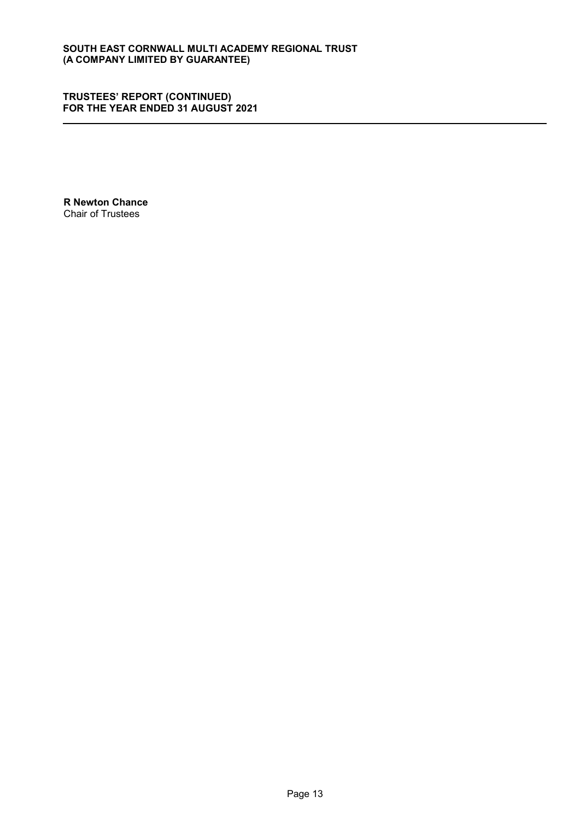R Newton Chance Chair of Trustees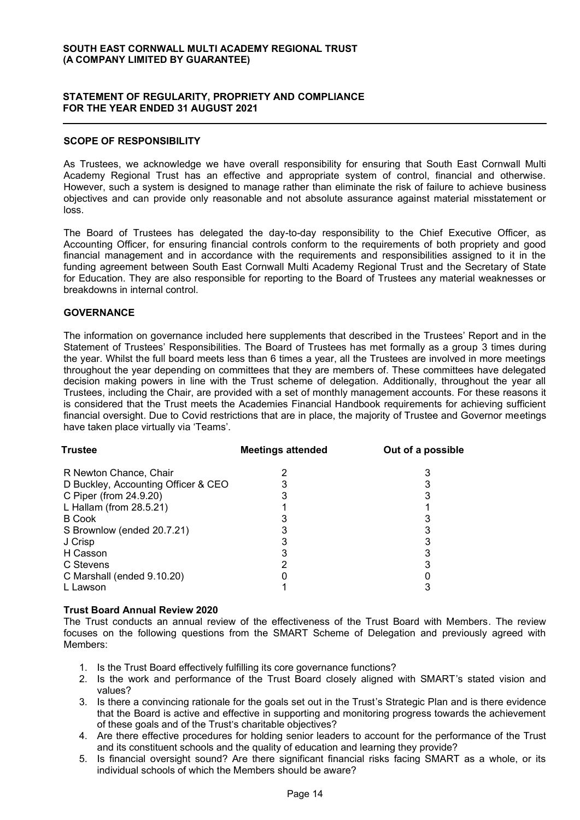### STATEMENT OF REGULARITY, PROPRIETY AND COMPLIANCE FOR THE YEAR ENDED 31 AUGUST 2021

#### SCOPE OF RESPONSIBILITY

As Trustees, we acknowledge we have overall responsibility for ensuring that South East Cornwall Multi Academy Regional Trust has an effective and appropriate system of control, financial and otherwise. However, such a system is designed to manage rather than eliminate the risk of failure to achieve business objectives and can provide only reasonable and not absolute assurance against material misstatement or loss.

The Board of Trustees has delegated the day-to-day responsibility to the Chief Executive Officer, as Accounting Officer, for ensuring financial controls conform to the requirements of both propriety and good financial management and in accordance with the requirements and responsibilities assigned to it in the funding agreement between South East Cornwall Multi Academy Regional Trust and the Secretary of State for Education. They are also responsible for reporting to the Board of Trustees any material weaknesses or breakdowns in internal control.

#### **GOVERNANCE**

The information on governance included here supplements that described in the Trustees' Report and in the Statement of Trustees' Responsibilities. The Board of Trustees has met formally as a group 3 times during the year. Whilst the full board meets less than 6 times a year, all the Trustees are involved in more meetings throughout the year depending on committees that they are members of. These committees have delegated decision making powers in line with the Trust scheme of delegation. Additionally, throughout the year all Trustees, including the Chair, are provided with a set of monthly management accounts. For these reasons it is considered that the Trust meets the Academies Financial Handbook requirements for achieving sufficient financial oversight. Due to Covid restrictions that are in place, the majority of Trustee and Governor meetings have taken place virtually via 'Teams'.

| <b>Trustee</b>                      | <b>Meetings attended</b> | Out of a possible |
|-------------------------------------|--------------------------|-------------------|
| R Newton Chance, Chair              |                          |                   |
| D Buckley, Accounting Officer & CEO |                          |                   |
| C Piper (from 24.9.20)              |                          |                   |
| L Hallam (from 28.5.21)             |                          |                   |
| <b>B</b> Cook                       |                          |                   |
| S Brownlow (ended 20.7.21)          |                          |                   |
| J Crisp                             |                          |                   |
| H Casson                            |                          |                   |
| C Stevens                           |                          |                   |
| C Marshall (ended 9.10.20)          |                          |                   |
| L Lawson                            |                          |                   |

### Trust Board Annual Review 2020

The Trust conducts an annual review of the effectiveness of the Trust Board with Members. The review focuses on the following questions from the SMART Scheme of Delegation and previously agreed with Members:

- 1. Is the Trust Board effectively fulfilling its core governance functions?
- 2. Is the work and performance of the Trust Board closely aligned with SMART's stated vision and values?
- 3. Is there a convincing rationale for the goals set out in the Trust's Strategic Plan and is there evidence that the Board is active and effective in supporting and monitoring progress towards the achievement of these goals and of the Trust's charitable objectives?
- 4. Are there effective procedures for holding senior leaders to account for the performance of the Trust and its constituent schools and the quality of education and learning they provide?
- 5. Is financial oversight sound? Are there significant financial risks facing SMART as a whole, or its individual schools of which the Members should be aware?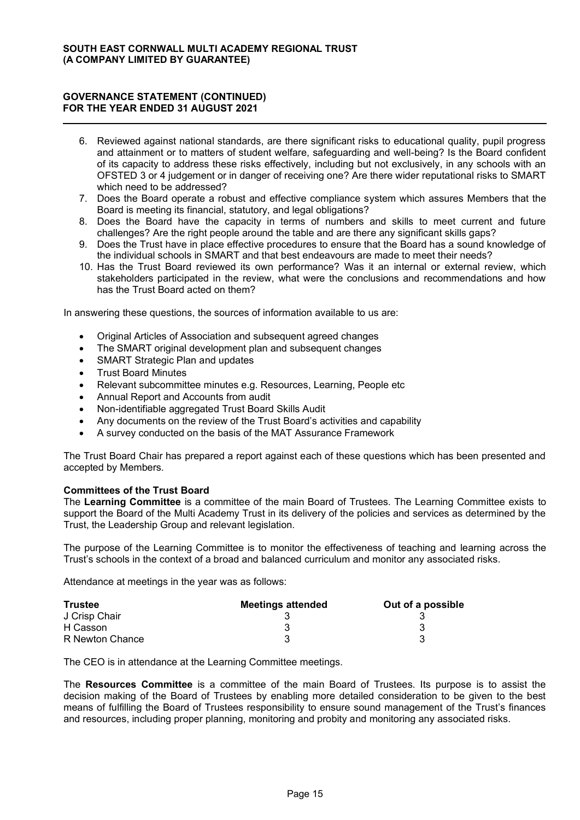- 6. Reviewed against national standards, are there significant risks to educational quality, pupil progress and attainment or to matters of student welfare, safeguarding and well-being? Is the Board confident of its capacity to address these risks effectively, including but not exclusively, in any schools with an OFSTED 3 or 4 judgement or in danger of receiving one? Are there wider reputational risks to SMART which need to be addressed?
- 7. Does the Board operate a robust and effective compliance system which assures Members that the Board is meeting its financial, statutory, and legal obligations?
- 8. Does the Board have the capacity in terms of numbers and skills to meet current and future challenges? Are the right people around the table and are there any significant skills gaps?
- 9. Does the Trust have in place effective procedures to ensure that the Board has a sound knowledge of the individual schools in SMART and that best endeavours are made to meet their needs?
- 10. Has the Trust Board reviewed its own performance? Was it an internal or external review, which stakeholders participated in the review, what were the conclusions and recommendations and how has the Trust Board acted on them?

In answering these questions, the sources of information available to us are:

- Original Articles of Association and subsequent agreed changes
- The SMART original development plan and subsequent changes
- SMART Strategic Plan and updates
- x Trust Board Minutes
- Relevant subcommittee minutes e.g. Resources, Learning, People etc
- x Annual Report and Accounts from audit
- Non-identifiable aggregated Trust Board Skills Audit
- Any documents on the review of the Trust Board's activities and capability
- A survey conducted on the basis of the MAT Assurance Framework

The Trust Board Chair has prepared a report against each of these questions which has been presented and accepted by Members.

#### Committees of the Trust Board

The Learning Committee is a committee of the main Board of Trustees. The Learning Committee exists to support the Board of the Multi Academy Trust in its delivery of the policies and services as determined by the Trust, the Leadership Group and relevant legislation.

The purpose of the Learning Committee is to monitor the effectiveness of teaching and learning across the Trust's schools in the context of a broad and balanced curriculum and monitor any associated risks.

Attendance at meetings in the year was as follows:

| <b>Trustee</b>  | Meetings attended | Out of a possible |
|-----------------|-------------------|-------------------|
| J Crisp Chair   |                   |                   |
| H Casson        |                   |                   |
| R Newton Chance |                   |                   |

The CEO is in attendance at the Learning Committee meetings.

The Resources Committee is a committee of the main Board of Trustees. Its purpose is to assist the decision making of the Board of Trustees by enabling more detailed consideration to be given to the best means of fulfilling the Board of Trustees responsibility to ensure sound management of the Trust's finances and resources, including proper planning, monitoring and probity and monitoring any associated risks.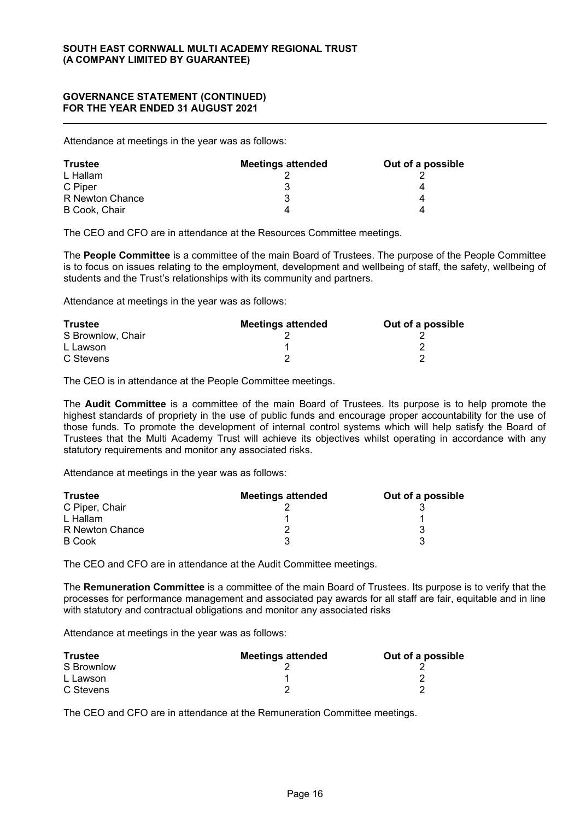Attendance at meetings in the year was as follows:

| <b>Trustee</b>  | <b>Meetings attended</b> | Out of a possible |
|-----------------|--------------------------|-------------------|
| L Hallam        |                          |                   |
| C Piper         |                          | 4                 |
| R Newton Chance |                          |                   |
| B Cook, Chair   |                          |                   |

The CEO and CFO are in attendance at the Resources Committee meetings.

The People Committee is a committee of the main Board of Trustees. The purpose of the People Committee is to focus on issues relating to the employment, development and wellbeing of staff, the safety, wellbeing of students and the Trust's relationships with its community and partners.

Attendance at meetings in the year was as follows:

| <b>Trustee</b>    | <b>Meetings attended</b> | Out of a possible |
|-------------------|--------------------------|-------------------|
| S Brownlow, Chair |                          |                   |
| L Lawson          |                          |                   |
| C Stevens         |                          |                   |

The CEO is in attendance at the People Committee meetings.

The Audit Committee is a committee of the main Board of Trustees. Its purpose is to help promote the highest standards of propriety in the use of public funds and encourage proper accountability for the use of those funds. To promote the development of internal control systems which will help satisfy the Board of Trustees that the Multi Academy Trust will achieve its objectives whilst operating in accordance with any statutory requirements and monitor any associated risks.

Attendance at meetings in the year was as follows:

| <b>Trustee</b>  | <b>Meetings attended</b> | Out of a possible |
|-----------------|--------------------------|-------------------|
| C Piper, Chair  |                          |                   |
| L Hallam        |                          |                   |
| R Newton Chance |                          |                   |
| <b>B</b> Cook   |                          |                   |

The CEO and CFO are in attendance at the Audit Committee meetings.

The Remuneration Committee is a committee of the main Board of Trustees. Its purpose is to verify that the processes for performance management and associated pay awards for all staff are fair, equitable and in line with statutory and contractual obligations and monitor any associated risks

Attendance at meetings in the year was as follows:

| <b>Trustee</b> | <b>Meetings attended</b> | Out of a possible |
|----------------|--------------------------|-------------------|
| S Brownlow     |                          |                   |
| L Lawson       |                          |                   |
| C Stevens      |                          |                   |

The CEO and CFO are in attendance at the Remuneration Committee meetings.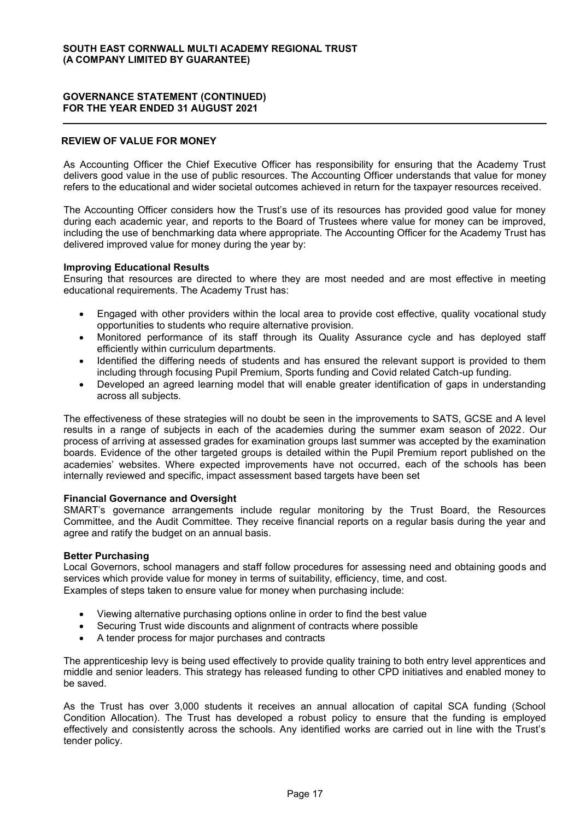### REVIEW OF VALUE FOR MONEY

As Accounting Officer the Chief Executive Officer has responsibility for ensuring that the Academy Trust delivers good value in the use of public resources. The Accounting Officer understands that value for money refers to the educational and wider societal outcomes achieved in return for the taxpayer resources received.

The Accounting Officer considers how the Trust's use of its resources has provided good value for money during each academic year, and reports to the Board of Trustees where value for money can be improved, including the use of benchmarking data where appropriate. The Accounting Officer for the Academy Trust has delivered improved value for money during the year by:

#### Improving Educational Results

Ensuring that resources are directed to where they are most needed and are most effective in meeting educational requirements. The Academy Trust has:

- Engaged with other providers within the local area to provide cost effective, quality vocational study opportunities to students who require alternative provision.
- x Monitored performance of its staff through its Quality Assurance cycle and has deployed staff efficiently within curriculum departments.
- Identified the differing needs of students and has ensured the relevant support is provided to them including through focusing Pupil Premium, Sports funding and Covid related Catch-up funding.
- Developed an agreed learning model that will enable greater identification of gaps in understanding across all subjects.

The effectiveness of these strategies will no doubt be seen in the improvements to SATS, GCSE and A level results in a range of subjects in each of the academies during the summer exam season of 2022. Our process of arriving at assessed grades for examination groups last summer was accepted by the examination boards. Evidence of the other targeted groups is detailed within the Pupil Premium report published on the academies' websites. Where expected improvements have not occurred, each of the schools has been internally reviewed and specific, impact assessment based targets have been set

#### Financial Governance and Oversight

SMART's governance arrangements include regular monitoring by the Trust Board, the Resources Committee, and the Audit Committee. They receive financial reports on a regular basis during the year and agree and ratify the budget on an annual basis.

#### Better Purchasing

Local Governors, school managers and staff follow procedures for assessing need and obtaining goods and services which provide value for money in terms of suitability, efficiency, time, and cost. Examples of steps taken to ensure value for money when purchasing include:

- Viewing alternative purchasing options online in order to find the best value
- Securing Trust wide discounts and alignment of contracts where possible
- A tender process for major purchases and contracts

The apprenticeship levy is being used effectively to provide quality training to both entry level apprentices and middle and senior leaders. This strategy has released funding to other CPD initiatives and enabled money to be saved.

As the Trust has over 3,000 students it receives an annual allocation of capital SCA funding (School Condition Allocation). The Trust has developed a robust policy to ensure that the funding is employed effectively and consistently across the schools. Any identified works are carried out in line with the Trust's tender policy.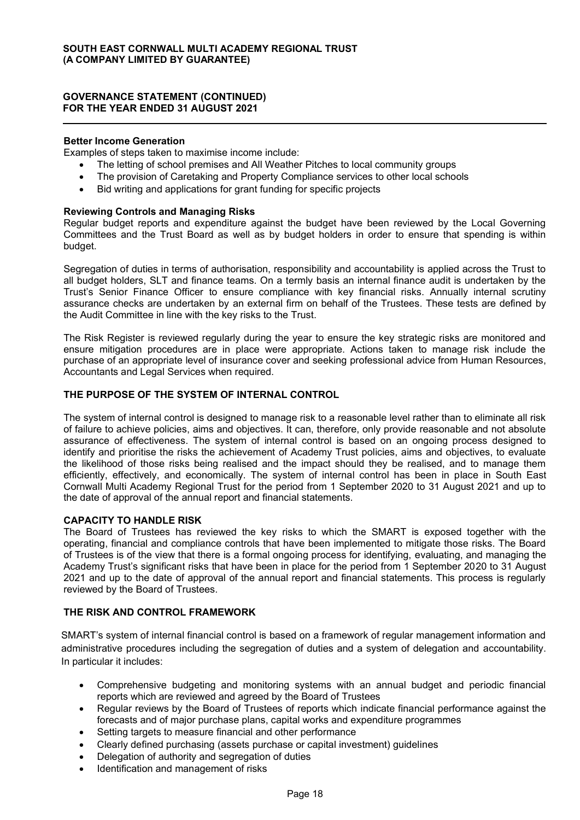#### Better Income Generation

Examples of steps taken to maximise income include:

- The letting of school premises and All Weather Pitches to local community groups
- The provision of Caretaking and Property Compliance services to other local schools
- Bid writing and applications for grant funding for specific projects

#### Reviewing Controls and Managing Risks

Regular budget reports and expenditure against the budget have been reviewed by the Local Governing Committees and the Trust Board as well as by budget holders in order to ensure that spending is within budget.

Segregation of duties in terms of authorisation, responsibility and accountability is applied across the Trust to all budget holders, SLT and finance teams. On a termly basis an internal finance audit is undertaken by the Trust's Senior Finance Officer to ensure compliance with key financial risks. Annually internal scrutiny assurance checks are undertaken by an external firm on behalf of the Trustees. These tests are defined by the Audit Committee in line with the key risks to the Trust.

The Risk Register is reviewed regularly during the year to ensure the key strategic risks are monitored and ensure mitigation procedures are in place were appropriate. Actions taken to manage risk include the purchase of an appropriate level of insurance cover and seeking professional advice from Human Resources, Accountants and Legal Services when required.

### THE PURPOSE OF THE SYSTEM OF INTERNAL CONTROL

The system of internal control is designed to manage risk to a reasonable level rather than to eliminate all risk of failure to achieve policies, aims and objectives. It can, therefore, only provide reasonable and not absolute assurance of effectiveness. The system of internal control is based on an ongoing process designed to identify and prioritise the risks the achievement of Academy Trust policies, aims and objectives, to evaluate the likelihood of those risks being realised and the impact should they be realised, and to manage them efficiently, effectively, and economically. The system of internal control has been in place in South East Cornwall Multi Academy Regional Trust for the period from 1 September 2020 to 31 August 2021 and up to the date of approval of the annual report and financial statements.

#### CAPACITY TO HANDLE RISK

The Board of Trustees has reviewed the key risks to which the SMART is exposed together with the operating, financial and compliance controls that have been implemented to mitigate those risks. The Board of Trustees is of the view that there is a formal ongoing process for identifying, evaluating, and managing the Academy Trust's significant risks that have been in place for the period from 1 September 2020 to 31 August 2021 and up to the date of approval of the annual report and financial statements. This process is regularly reviewed by the Board of Trustees.

### THE RISK AND CONTROL FRAMEWORK

SMART's system of internal financial control is based on a framework of regular management information and administrative procedures including the segregation of duties and a system of delegation and accountability. In particular it includes:

- Comprehensive budgeting and monitoring systems with an annual budget and periodic financial reports which are reviewed and agreed by the Board of Trustees
- Regular reviews by the Board of Trustees of reports which indicate financial performance against the forecasts and of major purchase plans, capital works and expenditure programmes
- Setting targets to measure financial and other performance
- x Clearly defined purchasing (assets purchase or capital investment) guidelines
- Delegation of authority and segregation of duties
- Identification and management of risks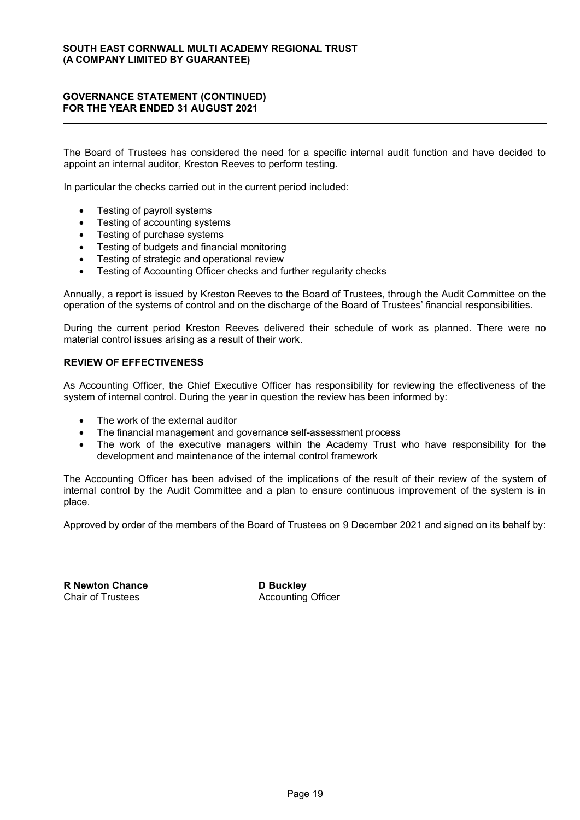The Board of Trustees has considered the need for a specific internal audit function and have decided to appoint an internal auditor, Kreston Reeves to perform testing.

In particular the checks carried out in the current period included:

- Testing of payroll systems
- Testing of accounting systems
- Testing of purchase systems
- Testing of budgets and financial monitoring
- Testing of strategic and operational review
- Testing of Accounting Officer checks and further regularity checks

Annually, a report is issued by Kreston Reeves to the Board of Trustees, through the Audit Committee on the operation of the systems of control and on the discharge of the Board of Trustees' financial responsibilities.

During the current period Kreston Reeves delivered their schedule of work as planned. There were no material control issues arising as a result of their work.

#### REVIEW OF EFFECTIVENESS

As Accounting Officer, the Chief Executive Officer has responsibility for reviewing the effectiveness of the system of internal control. During the year in question the review has been informed by:

- The work of the external auditor
- The financial management and governance self-assessment process
- The work of the executive managers within the Academy Trust who have responsibility for the development and maintenance of the internal control framework

The Accounting Officer has been advised of the implications of the result of their review of the system of internal control by the Audit Committee and a plan to ensure continuous improvement of the system is in place.

Approved by order of the members of the Board of Trustees on 9 December 2021 and signed on its behalf by:

R Newton Chance D Buckley Chair of Trustees **Accounting Officer** Accounting Officer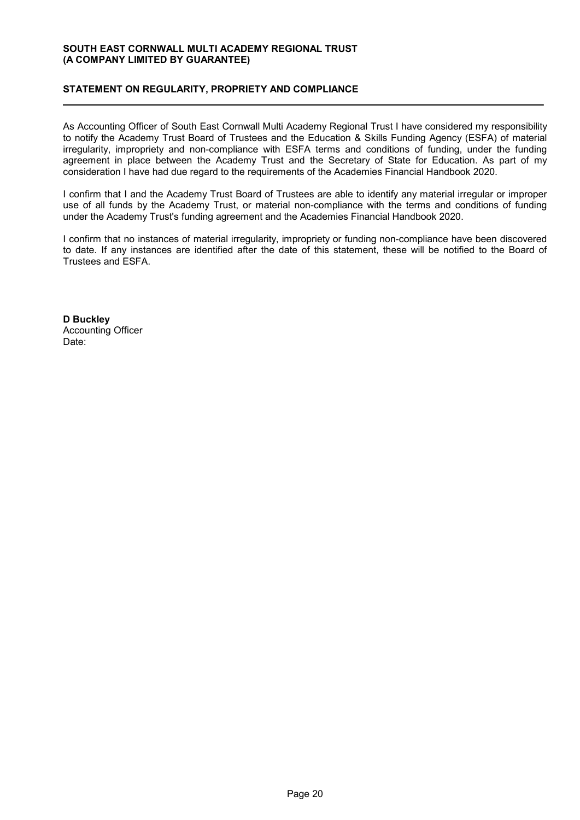### STATEMENT ON REGULARITY, PROPRIETY AND COMPLIANCE

As Accounting Officer of South East Cornwall Multi Academy Regional Trust I have considered my responsibility to notify the Academy Trust Board of Trustees and the Education & Skills Funding Agency (ESFA) of material irregularity, impropriety and non-compliance with ESFA terms and conditions of funding, under the funding agreement in place between the Academy Trust and the Secretary of State for Education. As part of my consideration I have had due regard to the requirements of the Academies Financial Handbook 2020.

I confirm that I and the Academy Trust Board of Trustees are able to identify any material irregular or improper use of all funds by the Academy Trust, or material non-compliance with the terms and conditions of funding under the Academy Trust's funding agreement and the Academies Financial Handbook 2020.

I confirm that no instances of material irregularity, impropriety or funding non-compliance have been discovered to date. If any instances are identified after the date of this statement, these will be notified to the Board of Trustees and ESFA.

D Buckley Accounting Officer Date: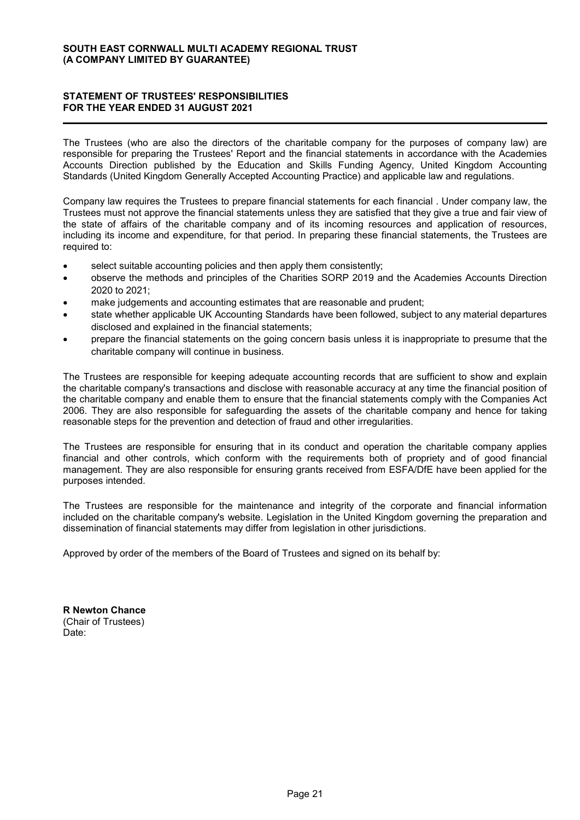### STATEMENT OF TRUSTEES' RESPONSIBILITIES FOR THE YEAR ENDED 31 AUGUST 2021

The Trustees (who are also the directors of the charitable company for the purposes of company law) are responsible for preparing the Trustees' Report and the financial statements in accordance with the Academies Accounts Direction published by the Education and Skills Funding Agency, United Kingdom Accounting Standards (United Kingdom Generally Accepted Accounting Practice) and applicable law and regulations.

Company law requires the Trustees to prepare financial statements for each financial . Under company law, the Trustees must not approve the financial statements unless they are satisfied that they give a true and fair view of the state of affairs of the charitable company and of its incoming resources and application of resources, including its income and expenditure, for that period. In preparing these financial statements, the Trustees are required to:

- select suitable accounting policies and then apply them consistently;
- observe the methods and principles of the Charities SORP 2019 and the Academies Accounts Direction 2020 to 2021;
- make judgements and accounting estimates that are reasonable and prudent;
- state whether applicable UK Accounting Standards have been followed, subject to any material departures disclosed and explained in the financial statements;
- prepare the financial statements on the going concern basis unless it is inappropriate to presume that the charitable company will continue in business.

The Trustees are responsible for keeping adequate accounting records that are sufficient to show and explain the charitable company's transactions and disclose with reasonable accuracy at any time the financial position of the charitable company and enable them to ensure that the financial statements comply with the Companies Act 2006. They are also responsible for safeguarding the assets of the charitable company and hence for taking reasonable steps for the prevention and detection of fraud and other irregularities.

The Trustees are responsible for ensuring that in its conduct and operation the charitable company applies financial and other controls, which conform with the requirements both of propriety and of good financial management. They are also responsible for ensuring grants received from ESFA/DfE have been applied for the purposes intended.

The Trustees are responsible for the maintenance and integrity of the corporate and financial information included on the charitable company's website. Legislation in the United Kingdom governing the preparation and dissemination of financial statements may differ from legislation in other jurisdictions.

Approved by order of the members of the Board of Trustees and signed on its behalf by:

R Newton Chance (Chair of Trustees) Date: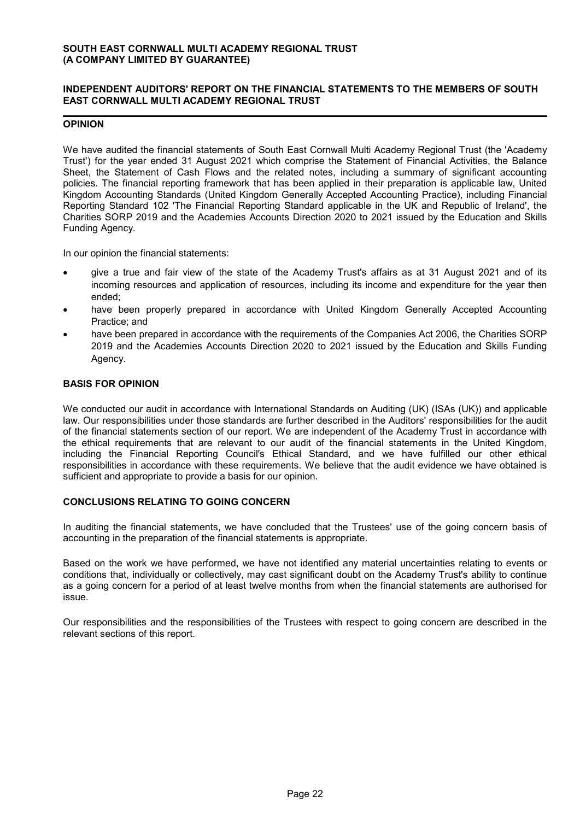#### INDEPENDENT AUDITORS' REPORT ON THE FINANCIAL STATEMENTS TO THE MEMBERS OF SOUTH EAST CORNWALL MULTI ACADEMY REGIONAL TRUST

### OPINION

We have audited the financial statements of South East Cornwall Multi Academy Regional Trust (the 'Academy Trust') for the year ended 31 August 2021 which comprise the Statement of Financial Activities, the Balance Sheet, the Statement of Cash Flows and the related notes, including a summary of significant accounting policies. The financial reporting framework that has been applied in their preparation is applicable law, United Kingdom Accounting Standards (United Kingdom Generally Accepted Accounting Practice), including Financial Reporting Standard 102 'The Financial Reporting Standard applicable in the UK and Republic of Ireland', the Charities SORP 2019 and the Academies Accounts Direction 2020 to 2021 issued by the Education and Skills Funding Agency.

In our opinion the financial statements:

- give a true and fair view of the state of the Academy Trust's affairs as at 31 August 2021 and of its incoming resources and application of resources, including its income and expenditure for the year then ended;
- have been properly prepared in accordance with United Kingdom Generally Accepted Accounting Practice; and
- have been prepared in accordance with the requirements of the Companies Act 2006, the Charities SORP 2019 and the Academies Accounts Direction 2020 to 2021 issued by the Education and Skills Funding Agency.

### BASIS FOR OPINION

We conducted our audit in accordance with International Standards on Auditing (UK) (ISAs (UK)) and applicable law. Our responsibilities under those standards are further described in the Auditors' responsibilities for the audit of the financial statements section of our report. We are independent of the Academy Trust in accordance with the ethical requirements that are relevant to our audit of the financial statements in the United Kingdom, including the Financial Reporting Council's Ethical Standard, and we have fulfilled our other ethical responsibilities in accordance with these requirements. We believe that the audit evidence we have obtained is sufficient and appropriate to provide a basis for our opinion.

#### CONCLUSIONS RELATING TO GOING CONCERN

In auditing the financial statements, we have concluded that the Trustees' use of the going concern basis of accounting in the preparation of the financial statements is appropriate.

Based on the work we have performed, we have not identified any material uncertainties relating to events or conditions that, individually or collectively, may cast significant doubt on the Academy Trust's ability to continue as a going concern for a period of at least twelve months from when the financial statements are authorised for issue.

Our responsibilities and the responsibilities of the Trustees with respect to going concern are described in the relevant sections of this report.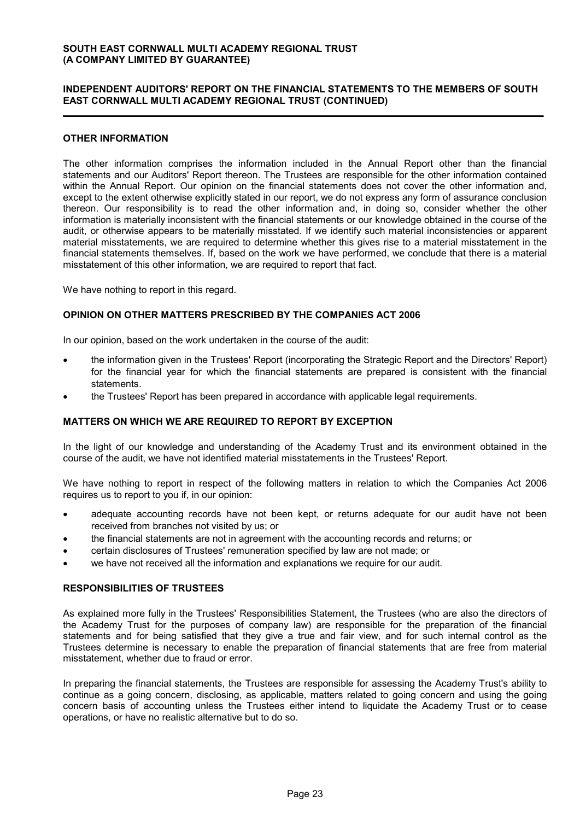#### INDEPENDENT AUDITORS' REPORT ON THE FINANCIAL STATEMENTS TO THE MEMBERS OF SOUTH EAST CORNWALL MULTI ACADEMY REGIONAL TRUST (CONTINUED)

#### OTHER INFORMATION

The other information comprises the information included in the Annual Report other than the financial statements and our Auditors' Report thereon. The Trustees are responsible for the other information contained within the Annual Report. Our opinion on the financial statements does not cover the other information and, except to the extent otherwise explicitly stated in our report, we do not express any form of assurance conclusion thereon. Our responsibility is to read the other information and, in doing so, consider whether the other information is materially inconsistent with the financial statements or our knowledge obtained in the course of the audit, or otherwise appears to be materially misstated. If we identify such material inconsistencies or apparent material misstatements, we are required to determine whether this gives rise to a material misstatement in the financial statements themselves. If, based on the work we have performed, we conclude that there is a material misstatement of this other information, we are required to report that fact.

We have nothing to report in this regard.

#### OPINION ON OTHER MATTERS PRESCRIBED BY THE COMPANIES ACT 2006

In our opinion, based on the work undertaken in the course of the audit:

- the information given in the Trustees' Report (incorporating the Strategic Report and the Directors' Report) for the financial year for which the financial statements are prepared is consistent with the financial statements.
- the Trustees' Report has been prepared in accordance with applicable legal requirements.

#### MATTERS ON WHICH WE ARE REQUIRED TO REPORT BY EXCEPTION

In the light of our knowledge and understanding of the Academy Trust and its environment obtained in the course of the audit, we have not identified material misstatements in the Trustees' Report.

We have nothing to report in respect of the following matters in relation to which the Companies Act 2006 requires us to report to you if, in our opinion:

- adequate accounting records have not been kept, or returns adequate for our audit have not been received from branches not visited by us; or
- the financial statements are not in agreement with the accounting records and returns; or
- certain disclosures of Trustees' remuneration specified by law are not made; or
- we have not received all the information and explanations we require for our audit.

#### RESPONSIBILITIES OF TRUSTEES

As explained more fully in the Trustees' Responsibilities Statement, the Trustees (who are also the directors of the Academy Trust for the purposes of company law) are responsible for the preparation of the financial statements and for being satisfied that they give a true and fair view, and for such internal control as the Trustees determine is necessary to enable the preparation of financial statements that are free from material misstatement, whether due to fraud or error.

In preparing the financial statements, the Trustees are responsible for assessing the Academy Trust's ability to continue as a going concern, disclosing, as applicable, matters related to going concern and using the going concern basis of accounting unless the Trustees either intend to liquidate the Academy Trust or to cease operations, or have no realistic alternative but to do so.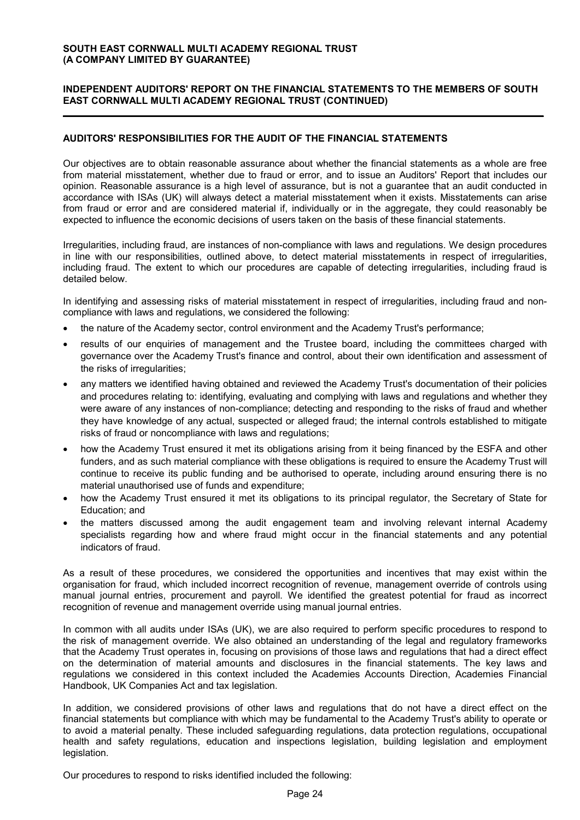#### INDEPENDENT AUDITORS' REPORT ON THE FINANCIAL STATEMENTS TO THE MEMBERS OF SOUTH EAST CORNWALL MULTI ACADEMY REGIONAL TRUST (CONTINUED)

### AUDITORS' RESPONSIBILITIES FOR THE AUDIT OF THE FINANCIAL STATEMENTS

Our objectives are to obtain reasonable assurance about whether the financial statements as a whole are free from material misstatement, whether due to fraud or error, and to issue an Auditors' Report that includes our opinion. Reasonable assurance is a high level of assurance, but is not a guarantee that an audit conducted in accordance with ISAs (UK) will always detect a material misstatement when it exists. Misstatements can arise from fraud or error and are considered material if, individually or in the aggregate, they could reasonably be expected to influence the economic decisions of users taken on the basis of these financial statements.

Irregularities, including fraud, are instances of non-compliance with laws and regulations. We design procedures in line with our responsibilities, outlined above, to detect material misstatements in respect of irregularities, including fraud. The extent to which our procedures are capable of detecting irregularities, including fraud is detailed below.

In identifying and assessing risks of material misstatement in respect of irregularities, including fraud and noncompliance with laws and regulations, we considered the following:

- the nature of the Academy sector, control environment and the Academy Trust's performance;
- results of our enquiries of management and the Trustee board, including the committees charged with governance over the Academy Trust's finance and control, about their own identification and assessment of the risks of irregularities;
- any matters we identified having obtained and reviewed the Academy Trust's documentation of their policies and procedures relating to: identifying, evaluating and complying with laws and regulations and whether they were aware of any instances of non-compliance; detecting and responding to the risks of fraud and whether they have knowledge of any actual, suspected or alleged fraud; the internal controls established to mitigate risks of fraud or noncompliance with laws and regulations;
- how the Academy Trust ensured it met its obligations arising from it being financed by the ESFA and other funders, and as such material compliance with these obligations is required to ensure the Academy Trust will continue to receive its public funding and be authorised to operate, including around ensuring there is no material unauthorised use of funds and expenditure;
- how the Academy Trust ensured it met its obligations to its principal regulator, the Secretary of State for Education; and
- the matters discussed among the audit engagement team and involving relevant internal Academy specialists regarding how and where fraud might occur in the financial statements and any potential indicators of fraud.

As a result of these procedures, we considered the opportunities and incentives that may exist within the organisation for fraud, which included incorrect recognition of revenue, management override of controls using manual journal entries, procurement and payroll. We identified the greatest potential for fraud as incorrect recognition of revenue and management override using manual journal entries.

In common with all audits under ISAs (UK), we are also required to perform specific procedures to respond to the risk of management override. We also obtained an understanding of the legal and regulatory frameworks that the Academy Trust operates in, focusing on provisions of those laws and regulations that had a direct effect on the determination of material amounts and disclosures in the financial statements. The key laws and regulations we considered in this context included the Academies Accounts Direction, Academies Financial Handbook, UK Companies Act and tax legislation.

In addition, we considered provisions of other laws and regulations that do not have a direct effect on the financial statements but compliance with which may be fundamental to the Academy Trust's ability to operate or to avoid a material penalty. These included safeguarding regulations, data protection regulations, occupational health and safety regulations, education and inspections legislation, building legislation and employment legislation.

Our procedures to respond to risks identified included the following: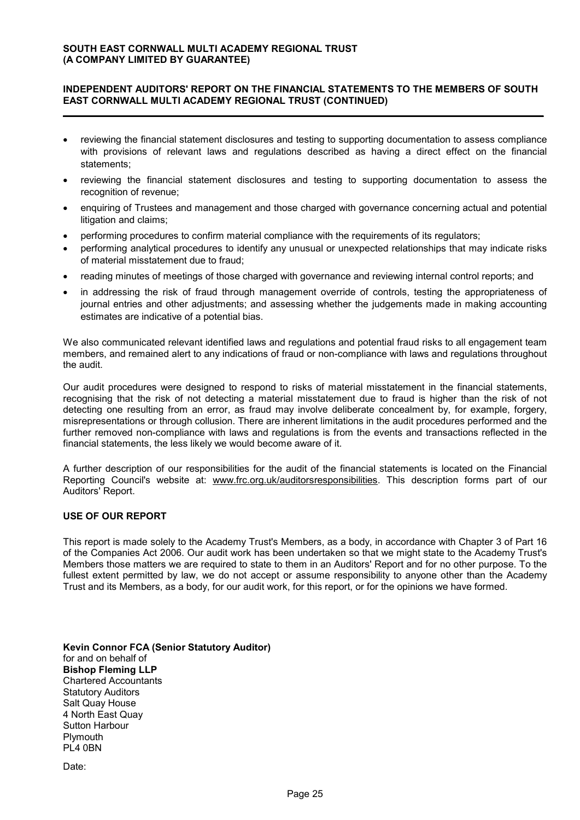#### INDEPENDENT AUDITORS' REPORT ON THE FINANCIAL STATEMENTS TO THE MEMBERS OF SOUTH EAST CORNWALL MULTI ACADEMY REGIONAL TRUST (CONTINUED)

- reviewing the financial statement disclosures and testing to supporting documentation to assess compliance with provisions of relevant laws and regulations described as having a direct effect on the financial statements;
- reviewing the financial statement disclosures and testing to supporting documentation to assess the recognition of revenue;
- enquiring of Trustees and management and those charged with governance concerning actual and potential litigation and claims;
- performing procedures to confirm material compliance with the requirements of its regulators;
- performing analytical procedures to identify any unusual or unexpected relationships that may indicate risks of material misstatement due to fraud;
- reading minutes of meetings of those charged with governance and reviewing internal control reports; and
- in addressing the risk of fraud through management override of controls, testing the appropriateness of journal entries and other adjustments; and assessing whether the judgements made in making accounting estimates are indicative of a potential bias.

We also communicated relevant identified laws and regulations and potential fraud risks to all engagement team members, and remained alert to any indications of fraud or non-compliance with laws and regulations throughout the audit.

Our audit procedures were designed to respond to risks of material misstatement in the financial statements, recognising that the risk of not detecting a material misstatement due to fraud is higher than the risk of not detecting one resulting from an error, as fraud may involve deliberate concealment by, for example, forgery, misrepresentations or through collusion. There are inherent limitations in the audit procedures performed and the further removed non-compliance with laws and regulations is from the events and transactions reflected in the financial statements, the less likely we would become aware of it.

A further description of our responsibilities for the audit of the financial statements is located on the Financial Reporting Council's website at: www.frc.org.uk/auditorsresponsibilities. This description forms part of our Auditors' Report.

### USE OF OUR REPORT

This report is made solely to the Academy Trust's Members, as a body, in accordance with Chapter 3 of Part 16 of the Companies Act 2006. Our audit work has been undertaken so that we might state to the Academy Trust's Members those matters we are required to state to them in an Auditors' Report and for no other purpose. To the fullest extent permitted by law, we do not accept or assume responsibility to anyone other than the Academy Trust and its Members, as a body, for our audit work, for this report, or for the opinions we have formed.

Kevin Connor FCA (Senior Statutory Auditor) for and on behalf of Bishop Fleming LLP Chartered Accountants Statutory Auditors Salt Quay House 4 North East Quay Sutton Harbour **Plymouth** PL4 0BN

Date: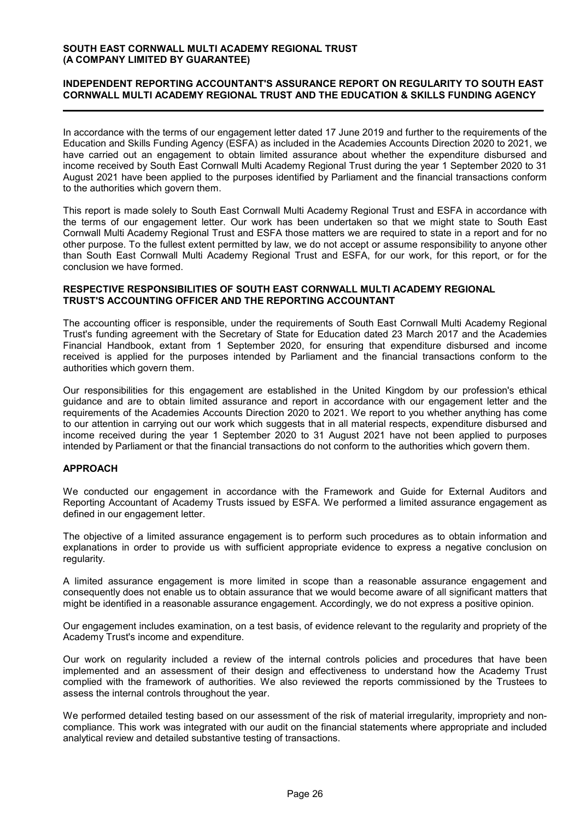### INDEPENDENT REPORTING ACCOUNTANT'S ASSURANCE REPORT ON REGULARITY TO SOUTH EAST CORNWALL MULTI ACADEMY REGIONAL TRUST AND THE EDUCATION & SKILLS FUNDING AGENCY

In accordance with the terms of our engagement letter dated 17 June 2019 and further to the requirements of the Education and Skills Funding Agency (ESFA) as included in the Academies Accounts Direction 2020 to 2021, we have carried out an engagement to obtain limited assurance about whether the expenditure disbursed and income received by South East Cornwall Multi Academy Regional Trust during the year 1 September 2020 to 31 August 2021 have been applied to the purposes identified by Parliament and the financial transactions conform to the authorities which govern them.

This report is made solely to South East Cornwall Multi Academy Regional Trust and ESFA in accordance with the terms of our engagement letter. Our work has been undertaken so that we might state to South East Cornwall Multi Academy Regional Trust and ESFA those matters we are required to state in a report and for no other purpose. To the fullest extent permitted by law, we do not accept or assume responsibility to anyone other than South East Cornwall Multi Academy Regional Trust and ESFA, for our work, for this report, or for the conclusion we have formed.

#### RESPECTIVE RESPONSIBILITIES OF SOUTH EAST CORNWALL MULTI ACADEMY REGIONAL TRUST'S ACCOUNTING OFFICER AND THE REPORTING ACCOUNTANT

The accounting officer is responsible, under the requirements of South East Cornwall Multi Academy Regional Trust's funding agreement with the Secretary of State for Education dated 23 March 2017 and the Academies Financial Handbook, extant from 1 September 2020, for ensuring that expenditure disbursed and income received is applied for the purposes intended by Parliament and the financial transactions conform to the authorities which govern them.

Our responsibilities for this engagement are established in the United Kingdom by our profession's ethical guidance and are to obtain limited assurance and report in accordance with our engagement letter and the requirements of the Academies Accounts Direction 2020 to 2021. We report to you whether anything has come to our attention in carrying out our work which suggests that in all material respects, expenditure disbursed and income received during the year 1 September 2020 to 31 August 2021 have not been applied to purposes intended by Parliament or that the financial transactions do not conform to the authorities which govern them.

### APPROACH

We conducted our engagement in accordance with the Framework and Guide for External Auditors and Reporting Accountant of Academy Trusts issued by ESFA. We performed a limited assurance engagement as defined in our engagement letter.

The objective of a limited assurance engagement is to perform such procedures as to obtain information and explanations in order to provide us with sufficient appropriate evidence to express a negative conclusion on regularity.

A limited assurance engagement is more limited in scope than a reasonable assurance engagement and consequently does not enable us to obtain assurance that we would become aware of all significant matters that might be identified in a reasonable assurance engagement. Accordingly, we do not express a positive opinion.

Our engagement includes examination, on a test basis, of evidence relevant to the regularity and propriety of the Academy Trust's income and expenditure.

Our work on regularity included a review of the internal controls policies and procedures that have been implemented and an assessment of their design and effectiveness to understand how the Academy Trust complied with the framework of authorities. We also reviewed the reports commissioned by the Trustees to assess the internal controls throughout the year.

We performed detailed testing based on our assessment of the risk of material irregularity, impropriety and noncompliance. This work was integrated with our audit on the financial statements where appropriate and included analytical review and detailed substantive testing of transactions.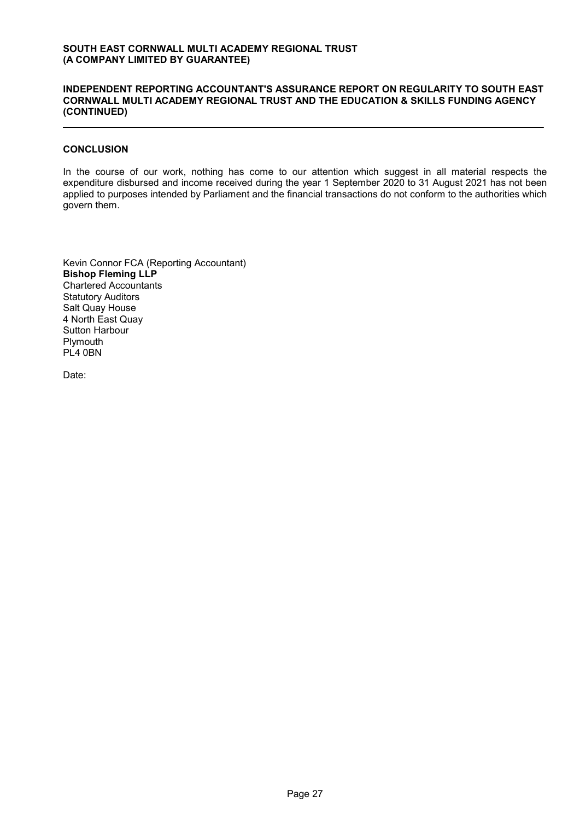#### INDEPENDENT REPORTING ACCOUNTANT'S ASSURANCE REPORT ON REGULARITY TO SOUTH EAST CORNWALL MULTI ACADEMY REGIONAL TRUST AND THE EDUCATION & SKILLS FUNDING AGENCY (CONTINUED)

#### **CONCLUSION**

In the course of our work, nothing has come to our attention which suggest in all material respects the expenditure disbursed and income received during the year 1 September 2020 to 31 August 2021 has not been applied to purposes intended by Parliament and the financial transactions do not conform to the authorities which govern them.

Kevin Connor FCA (Reporting Accountant) Bishop Fleming LLP Chartered Accountants Statutory Auditors Salt Quay House 4 North East Quay Sutton Harbour **Plymouth** PL4 0BN

Date: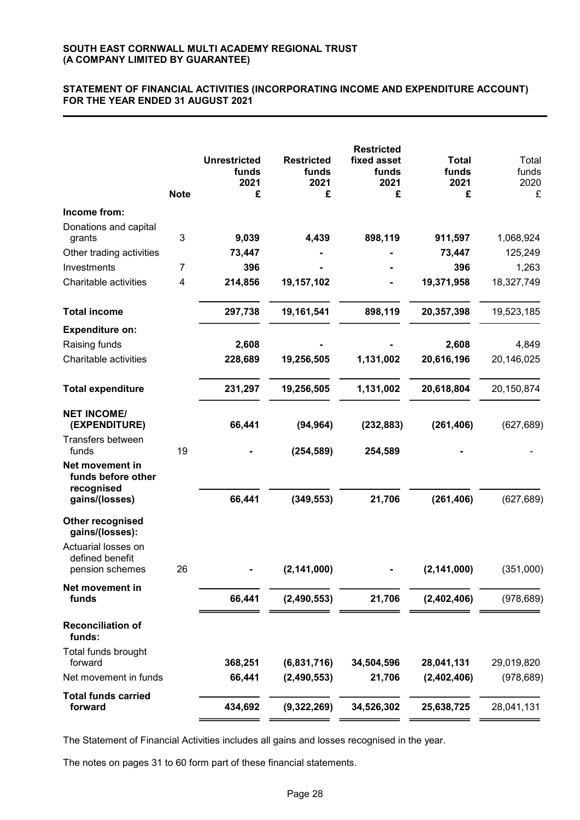#### STATEMENT OF FINANCIAL ACTIVITIES (INCORPORATING INCOME AND EXPENDITURE ACCOUNT) FOR THE YEAR ENDED 31 AUGUST 2021

|                                                            |             | <b>Unrestricted</b><br>funds<br>2021 | <b>Restricted</b><br>funds<br>2021 | <b>Restricted</b><br>fixed asset<br>funds<br>2021 | <b>Total</b><br>funds<br>2021 | Total<br>funds<br>2020 |
|------------------------------------------------------------|-------------|--------------------------------------|------------------------------------|---------------------------------------------------|-------------------------------|------------------------|
|                                                            | <b>Note</b> | £                                    | £                                  | £                                                 | £                             | £                      |
| Income from:                                               |             |                                      |                                    |                                                   |                               |                        |
| Donations and capital                                      | 3           | 9,039                                | 4,439                              | 898,119                                           | 911,597                       | 1,068,924              |
| grants<br>Other trading activities                         |             | 73,447                               |                                    |                                                   | 73,447                        | 125,249                |
| Investments                                                | 7           | 396                                  |                                    |                                                   | 396                           | 1,263                  |
| Charitable activities                                      | 4           | 214,856                              | 19,157,102                         |                                                   | 19,371,958                    | 18,327,749             |
| <b>Total income</b>                                        |             | 297,738                              | 19,161,541                         | 898,119                                           | 20,357,398                    | 19,523,185             |
| <b>Expenditure on:</b>                                     |             |                                      |                                    |                                                   |                               |                        |
| Raising funds                                              |             | 2,608                                |                                    |                                                   | 2,608                         | 4,849                  |
| Charitable activities                                      |             | 228,689                              | 19,256,505                         | 1,131,002                                         | 20,616,196                    | 20,146,025             |
| <b>Total expenditure</b>                                   |             | 231,297                              | 19,256,505                         | 1,131,002                                         | 20,618,804                    | 20,150,874             |
| <b>NET INCOME/</b><br>(EXPENDITURE)                        |             | 66,441                               | (94, 964)                          | (232, 883)                                        | (261, 406)                    | (627, 689)             |
| Transfers between<br>funds                                 | 19          |                                      | (254, 589)                         | 254,589                                           |                               |                        |
| Net movement in<br>funds before other<br>recognised        |             |                                      |                                    |                                                   |                               |                        |
| gains/(losses)                                             |             | 66,441                               | (349, 553)                         | 21,706                                            | (261, 406)                    | (627, 689)             |
| Other recognised<br>gains/(losses):<br>Actuarial losses on |             |                                      |                                    |                                                   |                               |                        |
| defined benefit<br>pension schemes                         | 26          |                                      | (2, 141, 000)                      |                                                   | (2, 141, 000)                 | (351,000)              |
| Net movement in<br>funds                                   |             | 66,441                               | (2,490,553)                        | 21,706                                            | (2,402,406)                   | (978, 689)             |
| <b>Reconciliation of</b><br>funds:                         |             |                                      |                                    |                                                   |                               |                        |
| Total funds brought                                        |             |                                      |                                    |                                                   |                               |                        |
| forward                                                    |             | 368,251                              | (6,831,716)                        | 34,504,596                                        | 28,041,131                    | 29,019,820             |
| Net movement in funds                                      |             | 66,441                               | (2,490,553)                        | 21,706                                            | (2,402,406)                   | (978, 689)             |
| <b>Total funds carried</b><br>forward                      |             | 434,692                              | (9,322,269)                        | 34,526,302                                        | 25,638,725                    | 28,041,131             |

The Statement of Financial Activities includes all gains and losses recognised in the year.

The notes on pages 31 to 60 form part of these financial statements.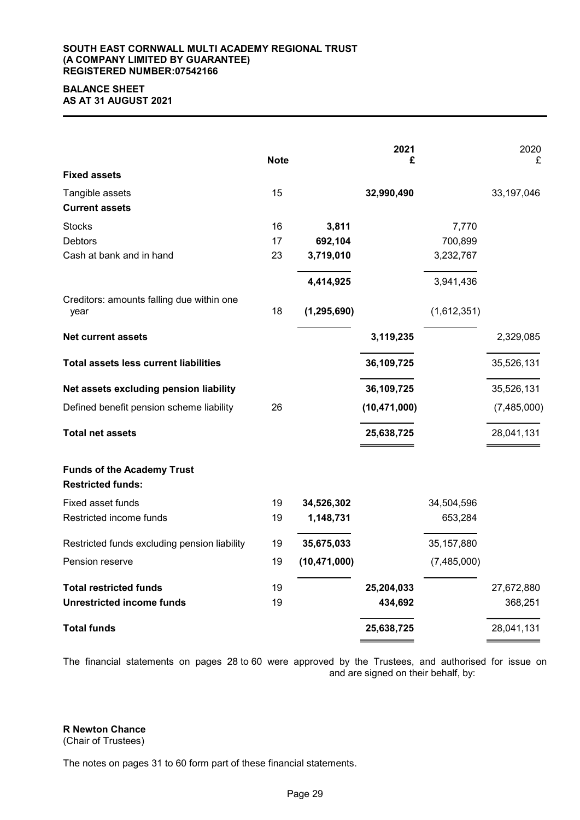#### SOUTH EAST CORNWALL MULTI ACADEMY REGIONAL TRUST (A COMPANY LIMITED BY GUARANTEE) REGISTERED NUMBER:07542166

#### BALANCE SHEET AS AT 31 AUGUST 2021

| <b>Fixed assets</b>                                           | <b>Note</b> |                | 2021<br>£      |              | 2020<br>£   |
|---------------------------------------------------------------|-------------|----------------|----------------|--------------|-------------|
| Tangible assets                                               | 15          |                | 32,990,490     |              | 33,197,046  |
| <b>Current assets</b>                                         |             |                |                |              |             |
| <b>Stocks</b>                                                 | 16          | 3,811          |                | 7,770        |             |
| <b>Debtors</b>                                                | 17          | 692,104        |                | 700,899      |             |
| Cash at bank and in hand                                      | 23          | 3,719,010      |                | 3,232,767    |             |
|                                                               |             | 4,414,925      |                | 3,941,436    |             |
| Creditors: amounts falling due within one<br>year             | 18          | (1, 295, 690)  |                | (1,612,351)  |             |
| <b>Net current assets</b>                                     |             |                | 3,119,235      |              | 2,329,085   |
| <b>Total assets less current liabilities</b>                  |             |                | 36,109,725     |              | 35,526,131  |
| Net assets excluding pension liability                        |             |                | 36,109,725     |              | 35,526,131  |
| Defined benefit pension scheme liability                      | 26          |                | (10, 471, 000) |              | (7,485,000) |
| <b>Total net assets</b>                                       |             |                | 25,638,725     |              | 28,041,131  |
| <b>Funds of the Academy Trust</b><br><b>Restricted funds:</b> |             |                |                |              |             |
| Fixed asset funds                                             | 19          | 34,526,302     |                | 34,504,596   |             |
| Restricted income funds                                       | 19          | 1,148,731      |                | 653,284      |             |
| Restricted funds excluding pension liability                  | 19          | 35,675,033     |                | 35, 157, 880 |             |
| Pension reserve                                               | 19          | (10, 471, 000) |                | (7,485,000)  |             |
| <b>Total restricted funds</b>                                 | 19          |                | 25,204,033     |              | 27,672,880  |
| <b>Unrestricted income funds</b>                              | 19          |                | 434,692        |              | 368,251     |
| <b>Total funds</b>                                            |             |                | 25,638,725     |              | 28,041,131  |

The financial statements on pages 28 to 60 were approved by the Trustees, and authorised for issue on and are signed on their behalf, by:

# R Newton Chance

(Chair of Trustees)

The notes on pages 31 to 60 form part of these financial statements.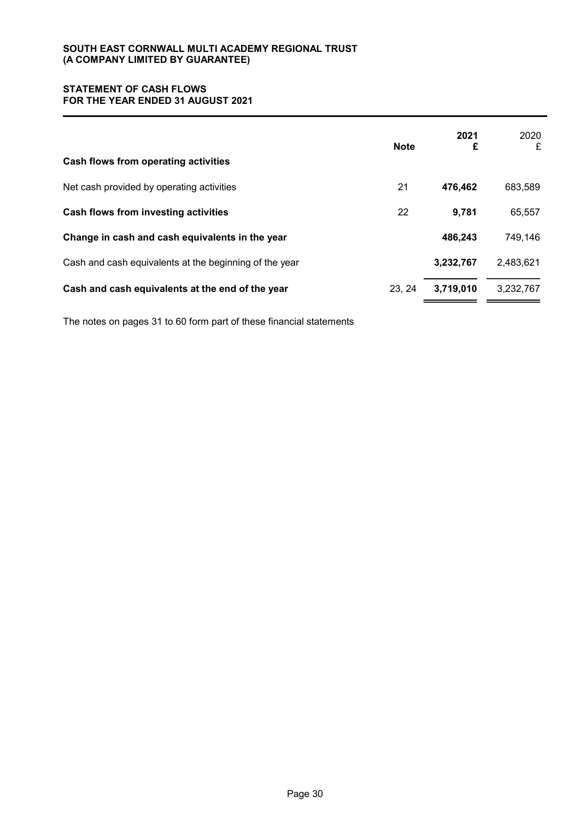### STATEMENT OF CASH FLOWS FOR THE YEAR ENDED 31 AUGUST 2021

| Cash flows from operating activities                   | <b>Note</b> | 2021<br>£ | 2020<br>£ |
|--------------------------------------------------------|-------------|-----------|-----------|
| Net cash provided by operating activities              | 21          | 476,462   | 683,589   |
| Cash flows from investing activities                   | 22          | 9,781     | 65,557    |
| Change in cash and cash equivalents in the year        |             | 486,243   | 749,146   |
| Cash and cash equivalents at the beginning of the year |             | 3,232,767 | 2,483,621 |
| Cash and cash equivalents at the end of the year       | 23, 24      | 3,719,010 | 3,232,767 |

The notes on pages 31 to 60 form part of these financial statements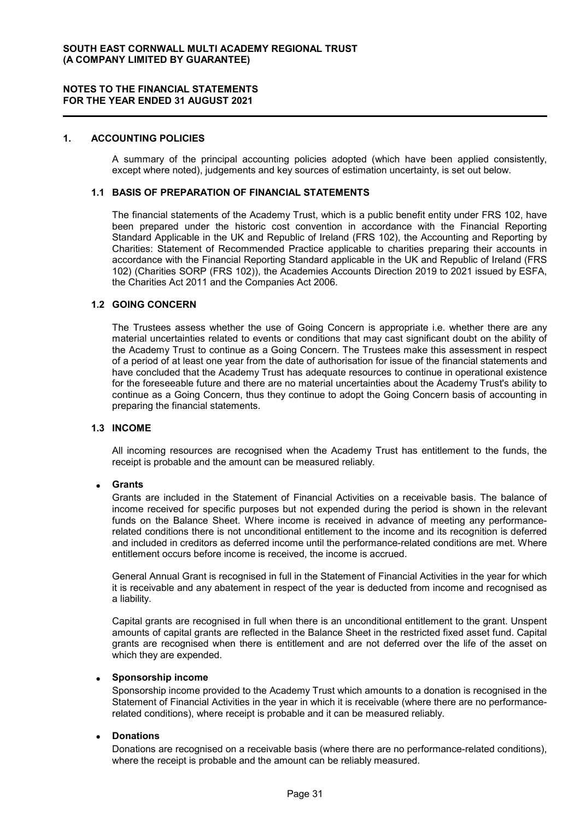#### 1. ACCOUNTING POLICIES

A summary of the principal accounting policies adopted (which have been applied consistently, except where noted), judgements and key sources of estimation uncertainty, is set out below.

#### 1.1 BASIS OF PREPARATION OF FINANCIAL STATEMENTS

The financial statements of the Academy Trust, which is a public benefit entity under FRS 102, have been prepared under the historic cost convention in accordance with the Financial Reporting Standard Applicable in the UK and Republic of Ireland (FRS 102), the Accounting and Reporting by Charities: Statement of Recommended Practice applicable to charities preparing their accounts in accordance with the Financial Reporting Standard applicable in the UK and Republic of Ireland (FRS 102) (Charities SORP (FRS 102)), the Academies Accounts Direction 2019 to 2021 issued by ESFA, the Charities Act 2011 and the Companies Act 2006.

### 1.2 GOING CONCERN

The Trustees assess whether the use of Going Concern is appropriate i.e. whether there are any material uncertainties related to events or conditions that may cast significant doubt on the ability of the Academy Trust to continue as a Going Concern. The Trustees make this assessment in respect of a period of at least one year from the date of authorisation for issue of the financial statements and have concluded that the Academy Trust has adequate resources to continue in operational existence for the foreseeable future and there are no material uncertainties about the Academy Trust's ability to continue as a Going Concern, thus they continue to adopt the Going Concern basis of accounting in preparing the financial statements.

#### 1.3 INCOME

All incoming resources are recognised when the Academy Trust has entitlement to the funds, the receipt is probable and the amount can be measured reliably.

#### Grants

Grants are included in the Statement of Financial Activities on a receivable basis. The balance of income received for specific purposes but not expended during the period is shown in the relevant funds on the Balance Sheet. Where income is received in advance of meeting any performancerelated conditions there is not unconditional entitlement to the income and its recognition is deferred and included in creditors as deferred income until the performance-related conditions are met. Where entitlement occurs before income is received, the income is accrued.

General Annual Grant is recognised in full in the Statement of Financial Activities in the year for which it is receivable and any abatement in respect of the year is deducted from income and recognised as a liability.

Capital grants are recognised in full when there is an unconditional entitlement to the grant. Unspent amounts of capital grants are reflected in the Balance Sheet in the restricted fixed asset fund. Capital grants are recognised when there is entitlement and are not deferred over the life of the asset on which they are expended.

#### Sponsorship income

Sponsorship income provided to the Academy Trust which amounts to a donation is recognised in the Statement of Financial Activities in the year in which it is receivable (where there are no performancerelated conditions), where receipt is probable and it can be measured reliably.

#### **Donations**

Donations are recognised on a receivable basis (where there are no performance-related conditions), where the receipt is probable and the amount can be reliably measured.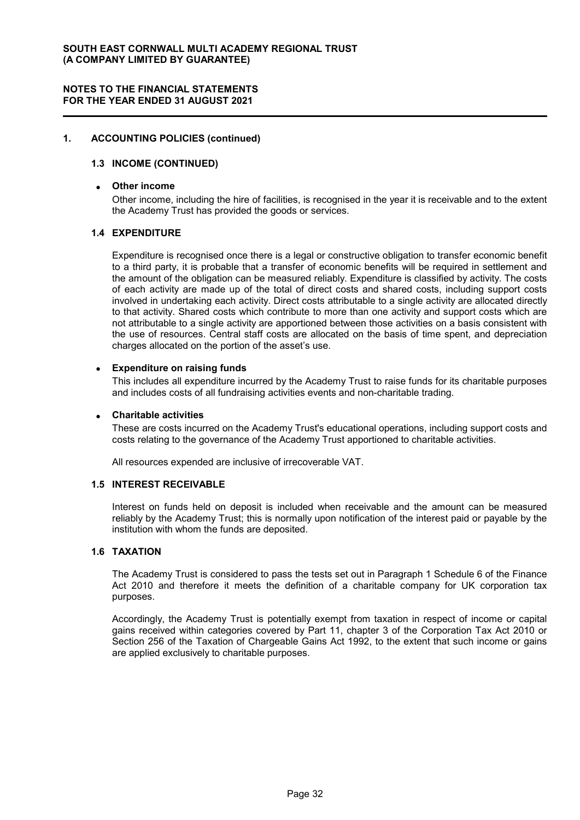#### 1. ACCOUNTING POLICIES (continued)

#### 1.3 INCOME (CONTINUED)

#### Other income

Other income, including the hire of facilities, is recognised in the year it is receivable and to the extent the Academy Trust has provided the goods or services.

#### 1.4 EXPENDITURE

Expenditure is recognised once there is a legal or constructive obligation to transfer economic benefit to a third party, it is probable that a transfer of economic benefits will be required in settlement and the amount of the obligation can be measured reliably. Expenditure is classified by activity. The costs of each activity are made up of the total of direct costs and shared costs, including support costs involved in undertaking each activity. Direct costs attributable to a single activity are allocated directly to that activity. Shared costs which contribute to more than one activity and support costs which are not attributable to a single activity are apportioned between those activities on a basis consistent with the use of resources. Central staff costs are allocated on the basis of time spent, and depreciation charges allocated on the portion of the asset's use.

#### Expenditure on raising funds

This includes all expenditure incurred by the Academy Trust to raise funds for its charitable purposes and includes costs of all fundraising activities events and non-charitable trading.

#### Charitable activities

These are costs incurred on the Academy Trust's educational operations, including support costs and costs relating to the governance of the Academy Trust apportioned to charitable activities.

All resources expended are inclusive of irrecoverable VAT.

### 1.5 INTEREST RECEIVABLE

Interest on funds held on deposit is included when receivable and the amount can be measured reliably by the Academy Trust; this is normally upon notification of the interest paid or payable by the institution with whom the funds are deposited.

#### 1.6 TAXATION

The Academy Trust is considered to pass the tests set out in Paragraph 1 Schedule 6 of the Finance Act 2010 and therefore it meets the definition of a charitable company for UK corporation tax purposes.

Accordingly, the Academy Trust is potentially exempt from taxation in respect of income or capital gains received within categories covered by Part 11, chapter 3 of the Corporation Tax Act 2010 or Section 256 of the Taxation of Chargeable Gains Act 1992, to the extent that such income or gains are applied exclusively to charitable purposes.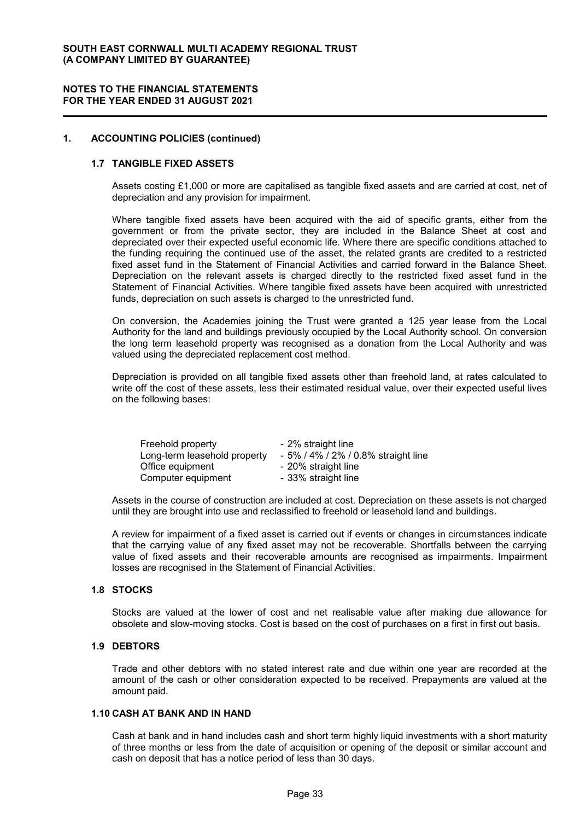#### NOTES TO THE FINANCIAL STATEMENTS FOR THE YEAR ENDED 31 AUGUST 2021

### 1. ACCOUNTING POLICIES (continued)

#### 1.7 TANGIBLE FIXED ASSETS

Assets costing £1,000 or more are capitalised as tangible fixed assets and are carried at cost, net of depreciation and any provision for impairment.

Where tangible fixed assets have been acquired with the aid of specific grants, either from the government or from the private sector, they are included in the Balance Sheet at cost and depreciated over their expected useful economic life. Where there are specific conditions attached to the funding requiring the continued use of the asset, the related grants are credited to a restricted fixed asset fund in the Statement of Financial Activities and carried forward in the Balance Sheet. Depreciation on the relevant assets is charged directly to the restricted fixed asset fund in the Statement of Financial Activities. Where tangible fixed assets have been acquired with unrestricted funds, depreciation on such assets is charged to the unrestricted fund.

On conversion, the Academies joining the Trust were granted a 125 year lease from the Local Authority for the land and buildings previously occupied by the Local Authority school. On conversion the long term leasehold property was recognised as a donation from the Local Authority and was valued using the depreciated replacement cost method.

Depreciation is provided on all tangible fixed assets other than freehold land, at rates calculated to write off the cost of these assets, less their estimated residual value, over their expected useful lives on the following bases:

| Freehold property            | - 2% straight line                  |
|------------------------------|-------------------------------------|
| Long-term leasehold property | - 5% / 4% / 2% / 0.8% straight line |
| Office equipment             | - 20% straight line                 |
| Computer equipment           | - 33% straight line                 |

Assets in the course of construction are included at cost. Depreciation on these assets is not charged until they are brought into use and reclassified to freehold or leasehold land and buildings.

A review for impairment of a fixed asset is carried out if events or changes in circumstances indicate that the carrying value of any fixed asset may not be recoverable. Shortfalls between the carrying value of fixed assets and their recoverable amounts are recognised as impairments. Impairment losses are recognised in the Statement of Financial Activities.

#### 1.8 STOCKS

Stocks are valued at the lower of cost and net realisable value after making due allowance for obsolete and slow-moving stocks. Cost is based on the cost of purchases on a first in first out basis.

### 1.9 DEBTORS

Trade and other debtors with no stated interest rate and due within one year are recorded at the amount of the cash or other consideration expected to be received. Prepayments are valued at the amount paid.

#### 1.10 CASH AT BANK AND IN HAND

Cash at bank and in hand includes cash and short term highly liquid investments with a short maturity of three months or less from the date of acquisition or opening of the deposit or similar account and cash on deposit that has a notice period of less than 30 days.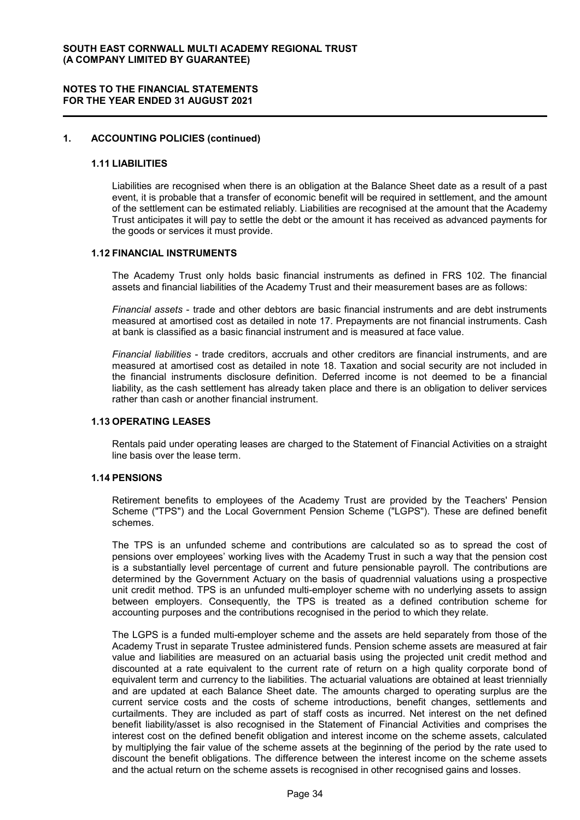#### 1. ACCOUNTING POLICIES (continued)

#### 1.11 LIABILITIES

Liabilities are recognised when there is an obligation at the Balance Sheet date as a result of a past event, it is probable that a transfer of economic benefit will be required in settlement, and the amount of the settlement can be estimated reliably. Liabilities are recognised at the amount that the Academy Trust anticipates it will pay to settle the debt or the amount it has received as advanced payments for the goods or services it must provide.

#### 1.12 FINANCIAL INSTRUMENTS

The Academy Trust only holds basic financial instruments as defined in FRS 102. The financial assets and financial liabilities of the Academy Trust and their measurement bases are as follows:

Financial assets - trade and other debtors are basic financial instruments and are debt instruments measured at amortised cost as detailed in note 17. Prepayments are not financial instruments. Cash at bank is classified as a basic financial instrument and is measured at face value.

Financial liabilities - trade creditors, accruals and other creditors are financial instruments, and are measured at amortised cost as detailed in note 18. Taxation and social security are not included in the financial instruments disclosure definition. Deferred income is not deemed to be a financial liability, as the cash settlement has already taken place and there is an obligation to deliver services rather than cash or another financial instrument.

### 1.13 OPERATING LEASES

Rentals paid under operating leases are charged to the Statement of Financial Activities on a straight line basis over the lease term.

#### 1.14 PENSIONS

Retirement benefits to employees of the Academy Trust are provided by the Teachers' Pension Scheme ("TPS") and the Local Government Pension Scheme ("LGPS"). These are defined benefit schemes.

The TPS is an unfunded scheme and contributions are calculated so as to spread the cost of pensions over employees' working lives with the Academy Trust in such a way that the pension cost is a substantially level percentage of current and future pensionable payroll. The contributions are determined by the Government Actuary on the basis of quadrennial valuations using a prospective unit credit method. TPS is an unfunded multi-employer scheme with no underlying assets to assign between employers. Consequently, the TPS is treated as a defined contribution scheme for accounting purposes and the contributions recognised in the period to which they relate.

The LGPS is a funded multi-employer scheme and the assets are held separately from those of the Academy Trust in separate Trustee administered funds. Pension scheme assets are measured at fair value and liabilities are measured on an actuarial basis using the projected unit credit method and discounted at a rate equivalent to the current rate of return on a high quality corporate bond of equivalent term and currency to the liabilities. The actuarial valuations are obtained at least triennially and are updated at each Balance Sheet date. The amounts charged to operating surplus are the current service costs and the costs of scheme introductions, benefit changes, settlements and curtailments. They are included as part of staff costs as incurred. Net interest on the net defined benefit liability/asset is also recognised in the Statement of Financial Activities and comprises the interest cost on the defined benefit obligation and interest income on the scheme assets, calculated by multiplying the fair value of the scheme assets at the beginning of the period by the rate used to discount the benefit obligations. The difference between the interest income on the scheme assets and the actual return on the scheme assets is recognised in other recognised gains and losses.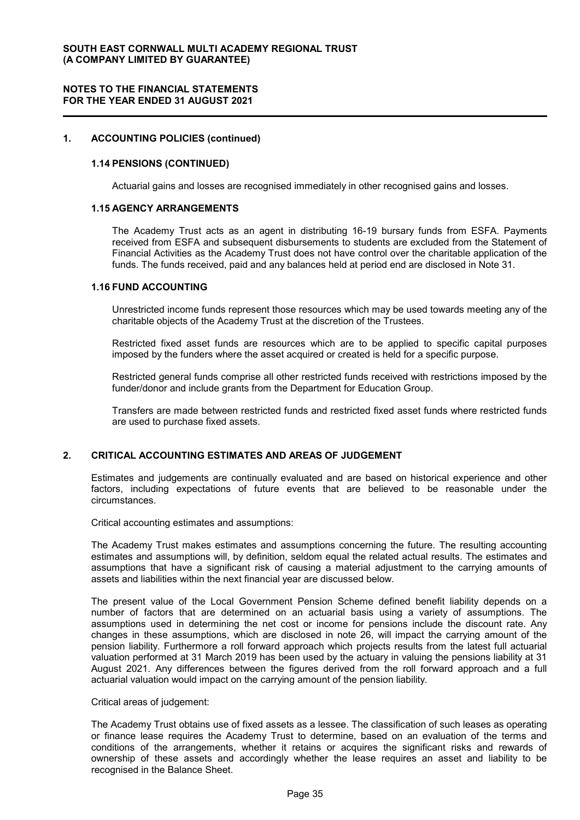#### 1. ACCOUNTING POLICIES (continued)

#### 1.14 PENSIONS (CONTINUED)

Actuarial gains and losses are recognised immediately in other recognised gains and losses.

#### 1.15 AGENCY ARRANGEMENTS

The Academy Trust acts as an agent in distributing 16-19 bursary funds from ESFA. Payments received from ESFA and subsequent disbursements to students are excluded from the Statement of Financial Activities as the Academy Trust does not have control over the charitable application of the funds. The funds received, paid and any balances held at period end are disclosed in Note 31.

#### 1.16 FUND ACCOUNTING

Unrestricted income funds represent those resources which may be used towards meeting any of the charitable objects of the Academy Trust at the discretion of the Trustees.

Restricted fixed asset funds are resources which are to be applied to specific capital purposes imposed by the funders where the asset acquired or created is held for a specific purpose.

Restricted general funds comprise all other restricted funds received with restrictions imposed by the funder/donor and include grants from the Department for Education Group.

Transfers are made between restricted funds and restricted fixed asset funds where restricted funds are used to purchase fixed assets.

#### 2. CRITICAL ACCOUNTING ESTIMATES AND AREAS OF JUDGEMENT

Estimates and judgements are continually evaluated and are based on historical experience and other factors, including expectations of future events that are believed to be reasonable under the circumstances.

Critical accounting estimates and assumptions:

The Academy Trust makes estimates and assumptions concerning the future. The resulting accounting estimates and assumptions will, by definition, seldom equal the related actual results. The estimates and assumptions that have a significant risk of causing a material adjustment to the carrying amounts of assets and liabilities within the next financial year are discussed below.

The present value of the Local Government Pension Scheme defined benefit liability depends on a number of factors that are determined on an actuarial basis using a variety of assumptions. The assumptions used in determining the net cost or income for pensions include the discount rate. Any changes in these assumptions, which are disclosed in note 26, will impact the carrying amount of the pension liability. Furthermore a roll forward approach which projects results from the latest full actuarial valuation performed at 31 March 2019 has been used by the actuary in valuing the pensions liability at 31 August 2021. Any differences between the figures derived from the roll forward approach and a full actuarial valuation would impact on the carrying amount of the pension liability.

#### Critical areas of judgement:

The Academy Trust obtains use of fixed assets as a lessee. The classification of such leases as operating or finance lease requires the Academy Trust to determine, based on an evaluation of the terms and conditions of the arrangements, whether it retains or acquires the significant risks and rewards of ownership of these assets and accordingly whether the lease requires an asset and liability to be recognised in the Balance Sheet.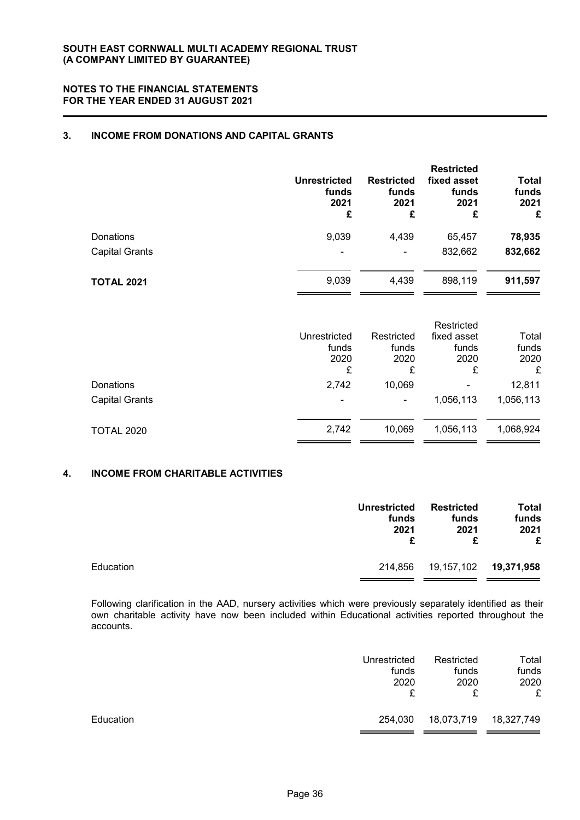### 3. INCOME FROM DONATIONS AND CAPITAL GRANTS

|                       | <b>Unrestricted</b><br>funds<br>2021<br>£ | <b>Restricted</b><br>funds<br>2021<br>£ | <b>Restricted</b><br>fixed asset<br>funds<br>2021<br>£ | <b>Total</b><br>funds<br>2021<br>£ |
|-----------------------|-------------------------------------------|-----------------------------------------|--------------------------------------------------------|------------------------------------|
| Donations             | 9,039                                     | 4,439                                   | 65,457                                                 | 78,935                             |
| <b>Capital Grants</b> | $\overline{\phantom{0}}$                  | $\blacksquare$                          | 832,662                                                | 832,662                            |
| <b>TOTAL 2021</b>     | 9,039                                     | 4,439                                   | 898,119                                                | 911,597                            |

|                                           | Unrestricted<br>funds<br>2020<br>£ | Restricted<br>funds<br>2020<br>£ | Restricted<br>fixed asset<br>funds<br>2020<br>£ | Total<br>funds<br>2020<br>£ |
|-------------------------------------------|------------------------------------|----------------------------------|-------------------------------------------------|-----------------------------|
| <b>Donations</b><br><b>Capital Grants</b> | 2,742<br>٠                         | 10,069<br>٠                      | $\overline{\phantom{0}}$<br>1,056,113           | 12,811<br>1,056,113         |
| <b>TOTAL 2020</b>                         | 2,742                              | 10,069                           | 1,056,113                                       | 1,068,924                   |

### 4. INCOME FROM CHARITABLE ACTIVITIES

|           | <b>Unrestricted</b> | <b>Restricted</b> | <b>Total</b> |
|-----------|---------------------|-------------------|--------------|
|           | funds               | funds             | funds        |
|           | 2021                | 2021              | 2021         |
|           | £                   | £                 | £            |
| Education | 214.856             | 19,157,102        | 19,371,958   |

Following clarification in the AAD, nursery activities which were previously separately identified as their own charitable activity have now been included within Educational activities reported throughout the accounts.

|           | Unrestricted<br>funds<br>2020 | Restricted<br>funds<br>2020 | Total<br>funds<br>2020<br>£ |
|-----------|-------------------------------|-----------------------------|-----------------------------|
| Education | 254,030                       | 18,073,719                  | 18,327,749                  |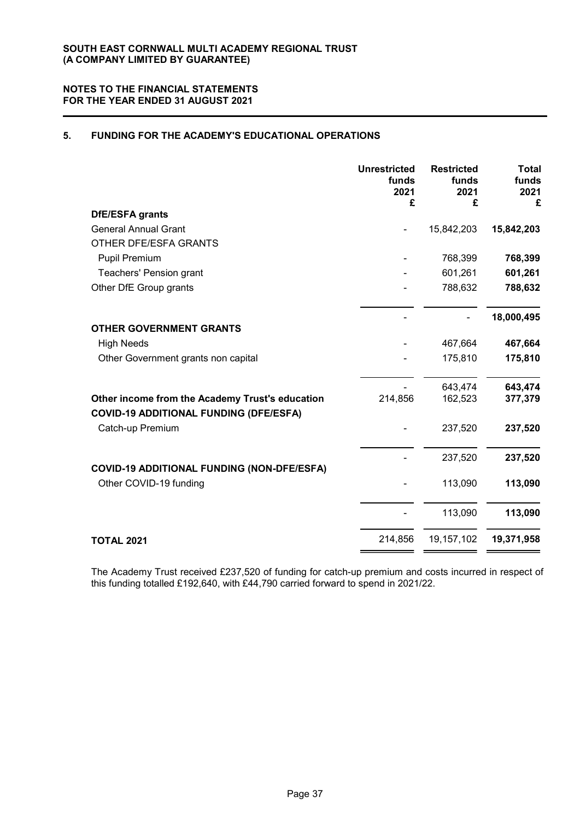### 5. FUNDING FOR THE ACADEMY'S EDUCATIONAL OPERATIONS

|                                                                                                  | <b>Unrestricted</b><br>funds<br>2021<br>£ | <b>Restricted</b><br>funds<br>2021<br>£ | <b>Total</b><br>funds<br>2021<br>£ |
|--------------------------------------------------------------------------------------------------|-------------------------------------------|-----------------------------------------|------------------------------------|
| <b>DfE/ESFA grants</b>                                                                           |                                           |                                         |                                    |
| <b>General Annual Grant</b>                                                                      |                                           | 15,842,203                              | 15,842,203                         |
| OTHER DFE/ESFA GRANTS                                                                            |                                           |                                         |                                    |
| Pupil Premium                                                                                    |                                           | 768,399                                 | 768,399                            |
| Teachers' Pension grant                                                                          |                                           | 601,261                                 | 601,261                            |
| Other DfE Group grants                                                                           |                                           | 788,632                                 | 788,632                            |
| <b>OTHER GOVERNMENT GRANTS</b>                                                                   |                                           |                                         | 18,000,495                         |
| <b>High Needs</b>                                                                                |                                           | 467,664                                 | 467,664                            |
| Other Government grants non capital                                                              |                                           | 175,810                                 | 175,810                            |
|                                                                                                  |                                           |                                         |                                    |
|                                                                                                  |                                           | 643,474                                 | 643,474                            |
| Other income from the Academy Trust's education<br><b>COVID-19 ADDITIONAL FUNDING (DFE/ESFA)</b> | 214,856                                   | 162,523                                 | 377,379                            |
| Catch-up Premium                                                                                 |                                           | 237,520                                 | 237,520                            |
| <b>COVID-19 ADDITIONAL FUNDING (NON-DFE/ESFA)</b>                                                |                                           | 237,520                                 | 237,520                            |
| Other COVID-19 funding                                                                           |                                           | 113,090                                 | 113,090                            |
|                                                                                                  |                                           | 113,090                                 | 113,090                            |
| <b>TOTAL 2021</b>                                                                                | 214,856                                   | 19, 157, 102                            | 19,371,958                         |
|                                                                                                  |                                           |                                         |                                    |

The Academy Trust received £237,520 of funding for catch-up premium and costs incurred in respect of this funding totalled £192,640, with £44,790 carried forward to spend in 2021/22.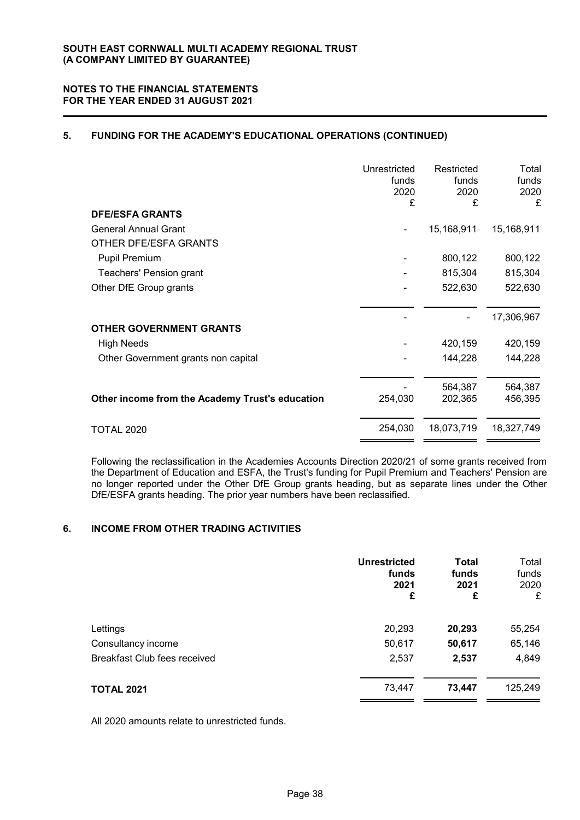### 5. FUNDING FOR THE ACADEMY'S EDUCATIONAL OPERATIONS (CONTINUED)

|                                                 | Unrestricted<br>funds<br>2020<br>£ | Restricted<br>funds<br>2020<br>£ | Total<br>funds<br>2020<br>£ |
|-------------------------------------------------|------------------------------------|----------------------------------|-----------------------------|
| <b>DFE/ESFA GRANTS</b>                          |                                    |                                  |                             |
| <b>General Annual Grant</b>                     |                                    | 15,168,911                       | 15,168,911                  |
| OTHER DFE/ESFA GRANTS                           |                                    |                                  |                             |
| <b>Pupil Premium</b>                            |                                    | 800,122                          | 800,122                     |
| Teachers' Pension grant                         |                                    | 815,304                          | 815,304                     |
| Other DfE Group grants                          |                                    | 522,630                          | 522,630                     |
| <b>OTHER GOVERNMENT GRANTS</b>                  |                                    |                                  | 17,306,967                  |
| <b>High Needs</b>                               |                                    | 420,159                          | 420,159                     |
| Other Government grants non capital             |                                    | 144,228                          | 144,228                     |
|                                                 |                                    | 564,387                          | 564,387                     |
| Other income from the Academy Trust's education | 254,030                            | 202,365                          | 456,395                     |
| <b>TOTAL 2020</b>                               | 254,030                            | 18,073,719                       | 18,327,749                  |

Following the reclassification in the Academies Accounts Direction 2020/21 of some grants received from the Department of Education and ESFA, the Trust's funding for Pupil Premium and Teachers' Pension are no longer reported under the Other DfE Group grants heading, but as separate lines under the Other DfE/ESFA grants heading. The prior year numbers have been reclassified.

### 6. INCOME FROM OTHER TRADING ACTIVITIES

|                              | <b>Unrestricted</b><br>funds<br>2021<br>£ | <b>Total</b><br>funds<br>2021<br>£ | Total<br>funds<br>2020<br>£ |
|------------------------------|-------------------------------------------|------------------------------------|-----------------------------|
| Lettings                     | 20,293                                    | 20,293                             | 55,254                      |
| Consultancy income           | 50,617                                    | 50,617                             | 65,146                      |
| Breakfast Club fees received | 2,537                                     | 2,537                              | 4,849                       |
| <b>TOTAL 2021</b>            | 73,447                                    | 73,447                             | 125,249                     |

All 2020 amounts relate to unrestricted funds.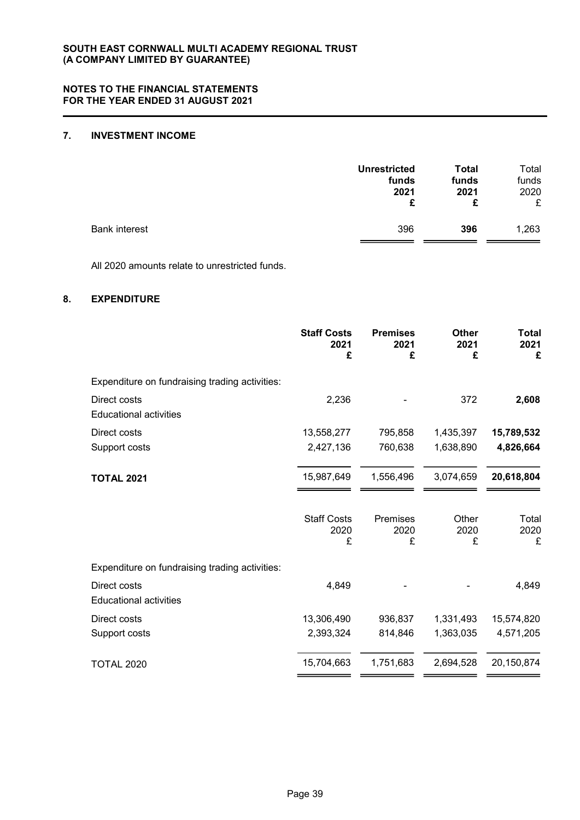### 7. INVESTMENT INCOME

|                      | <b>Unrestricted</b> | Total | Total |
|----------------------|---------------------|-------|-------|
|                      | funds               | funds | funds |
|                      | 2021                | 2021  | 2020  |
|                      | £                   | £     | £     |
| <b>Bank interest</b> | 396                 | 396   | 1,263 |

All 2020 amounts relate to unrestricted funds.

### 8. EXPENDITURE

|                                                | <b>Staff Costs</b><br>2021<br>£ | <b>Premises</b><br>2021<br>£ | <b>Other</b><br>2021<br>£ | Total<br>2021<br>£ |
|------------------------------------------------|---------------------------------|------------------------------|---------------------------|--------------------|
| Expenditure on fundraising trading activities: |                                 |                              |                           |                    |
| Direct costs<br><b>Educational activities</b>  | 2,236                           |                              | 372                       | 2,608              |
| Direct costs                                   | 13,558,277                      | 795,858                      | 1,435,397                 | 15,789,532         |
| Support costs                                  | 2,427,136                       | 760,638                      | 1,638,890                 | 4,826,664          |
| <b>TOTAL 2021</b>                              | 15,987,649                      | 1,556,496                    | 3,074,659                 | 20,618,804         |
|                                                | <b>Staff Costs</b><br>2020<br>£ | Premises<br>2020<br>£        | Other<br>2020<br>£        | Total<br>2020<br>£ |
| Expenditure on fundraising trading activities: |                                 |                              |                           |                    |
| Direct costs<br><b>Educational activities</b>  | 4,849                           |                              |                           | 4,849              |
| Direct costs                                   | 13,306,490                      | 936,837                      | 1,331,493                 | 15,574,820         |
| Support costs                                  | 2,393,324                       | 814,846                      | 1,363,035                 | 4,571,205          |
| <b>TOTAL 2020</b>                              | 15,704,663                      | 1,751,683                    | 2,694,528                 | 20,150,874         |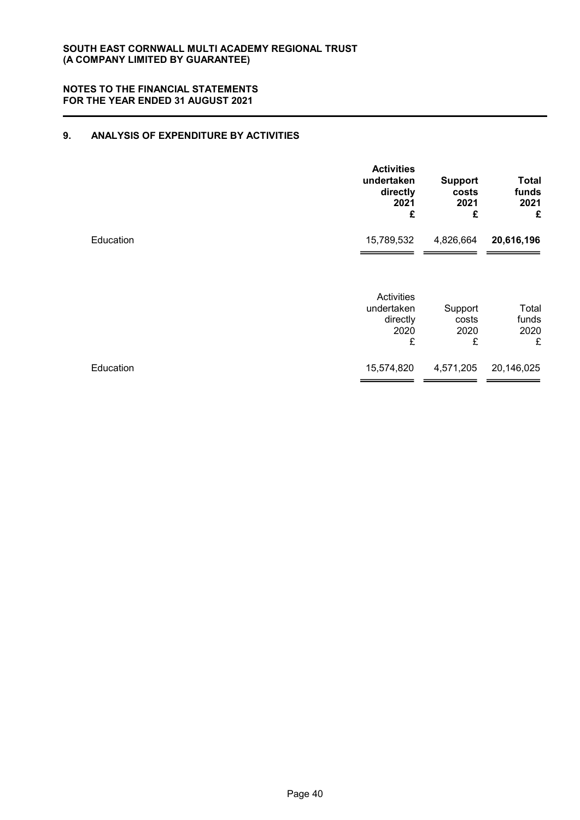### 9. ANALYSIS OF EXPENDITURE BY ACTIVITIES

|           | <b>Activities</b><br>undertaken<br>directly<br>2021<br>£ | <b>Support</b><br>costs<br>2021<br>£ | <b>Total</b><br>funds<br>2021<br>£ |
|-----------|----------------------------------------------------------|--------------------------------------|------------------------------------|
| Education | 15,789,532                                               | 4,826,664                            | 20,616,196                         |
|           | <b>Activities</b><br>undertaken<br>directly<br>2020<br>£ | Support<br>costs<br>2020<br>£        | Total<br>funds<br>2020<br>£        |
| Education | 15,574,820                                               | 4,571,205                            | 20,146,025                         |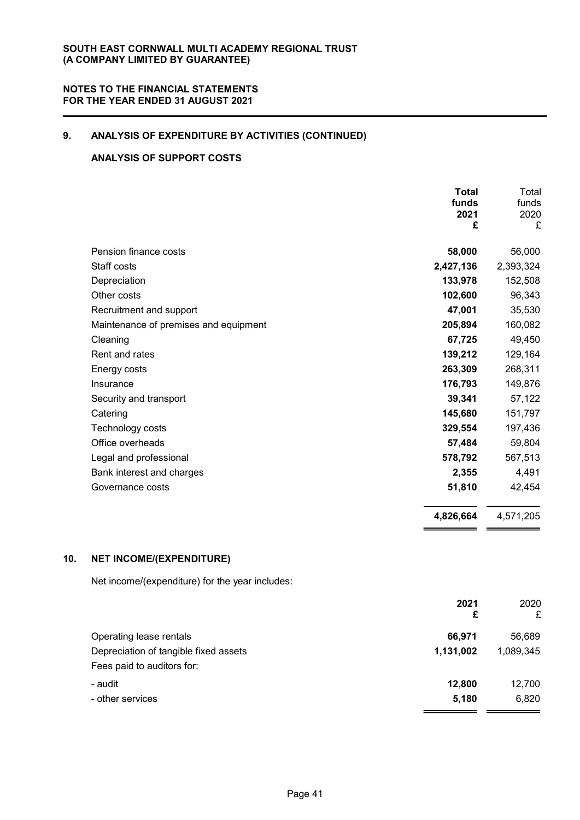# 9. ANALYSIS OF EXPENDITURE BY ACTIVITIES (CONTINUED)

### ANALYSIS OF SUPPORT COSTS

|                                       | <b>Total</b><br>funds<br>2021<br>£ | Total<br>funds<br>2020<br>£ |
|---------------------------------------|------------------------------------|-----------------------------|
| Pension finance costs                 | 58,000                             | 56,000                      |
| Staff costs                           | 2,427,136                          | 2,393,324                   |
| Depreciation                          | 133,978                            | 152,508                     |
| Other costs                           | 102,600                            | 96,343                      |
| Recruitment and support               | 47,001                             | 35,530                      |
| Maintenance of premises and equipment | 205,894                            | 160,082                     |
| Cleaning                              | 67,725                             | 49,450                      |
| Rent and rates                        | 139,212                            | 129,164                     |
| Energy costs                          | 263,309                            | 268,311                     |
| Insurance                             | 176,793                            | 149,876                     |
| Security and transport                | 39,341                             | 57,122                      |
| Catering                              | 145,680                            | 151,797                     |
| Technology costs                      | 329,554                            | 197,436                     |
| Office overheads                      | 57,484                             | 59,804                      |
| Legal and professional                | 578,792                            | 567,513                     |
| Bank interest and charges             | 2,355                              | 4,491                       |
| Governance costs                      | 51,810                             | 42,454                      |
|                                       | 4,826,664                          | 4,571,205                   |

### 10. NET INCOME/(EXPENDITURE)

Net income/(expenditure) for the year includes:

|                                       | 2021<br>£ | 2020<br>£ |
|---------------------------------------|-----------|-----------|
| Operating lease rentals               | 66,971    | 56,689    |
| Depreciation of tangible fixed assets | 1,131,002 | 1,089,345 |
| Fees paid to auditors for:            |           |           |
| - audit                               | 12,800    | 12,700    |
| - other services                      | 5,180     | 6,820     |
|                                       |           |           |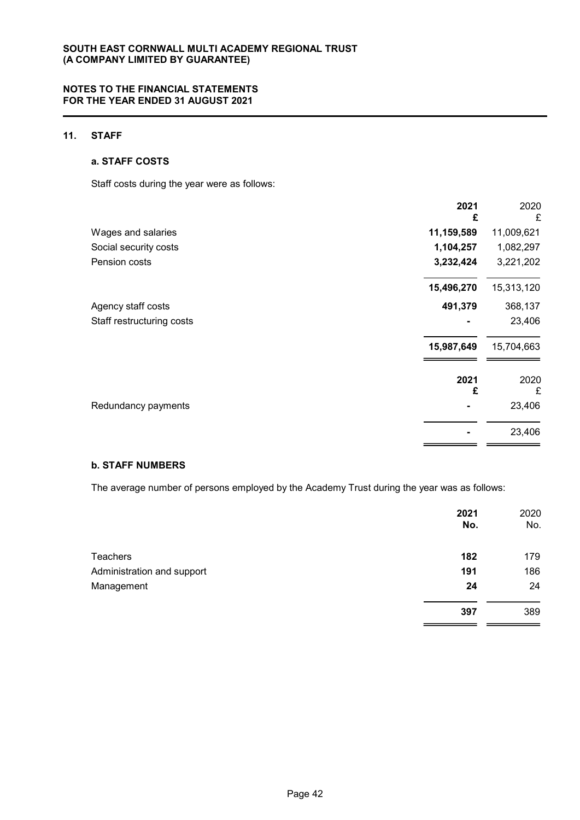### 11. STAFF

#### a. STAFF COSTS

Staff costs during the year were as follows:

|                           | 2021<br>£  | 2020<br>£  |
|---------------------------|------------|------------|
| Wages and salaries        | 11,159,589 | 11,009,621 |
| Social security costs     | 1,104,257  | 1,082,297  |
| Pension costs             | 3,232,424  | 3,221,202  |
|                           | 15,496,270 | 15,313,120 |
| Agency staff costs        | 491,379    | 368,137    |
| Staff restructuring costs |            | 23,406     |
|                           | 15,987,649 | 15,704,663 |
|                           | 2021<br>£  | 2020<br>£  |
| Redundancy payments       |            | 23,406     |
|                           |            | 23,406     |
|                           |            |            |

### b. STAFF NUMBERS

The average number of persons employed by the Academy Trust during the year was as follows:

| 2021<br>No. | 2020<br>No. |
|-------------|-------------|
| 182         | 179         |
| 191         | 186         |
| 24          | 24          |
| 397         | 389         |
|             |             |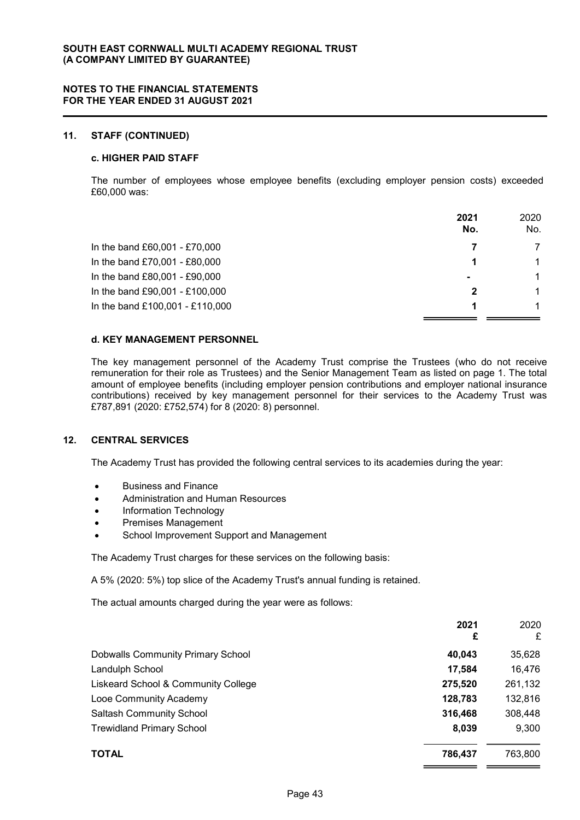#### 11. STAFF (CONTINUED)

### c. HIGHER PAID STAFF

The number of employees whose employee benefits (excluding employer pension costs) exceeded £60,000 was:

|                                 | 2021<br>No.    | 2020<br>No.  |
|---------------------------------|----------------|--------------|
| In the band £60,001 - £70,000   |                |              |
| In the band £70,001 - £80,000   |                | 1            |
| In the band £80,001 - £90,000   | $\blacksquare$ | $\mathbf{1}$ |
| In the band £90,001 - £100,000  |                | $\mathbf 1$  |
| In the band £100,001 - £110,000 |                |              |

### d. KEY MANAGEMENT PERSONNEL

The key management personnel of the Academy Trust comprise the Trustees (who do not receive remuneration for their role as Trustees) and the Senior Management Team as listed on page 1. The total amount of employee benefits (including employer pension contributions and employer national insurance contributions) received by key management personnel for their services to the Academy Trust was £787,891 (2020: £752,574) for 8 (2020: 8) personnel.

#### 12. CENTRAL SERVICES

The Academy Trust has provided the following central services to its academies during the year:

- Business and Finance
- Administration and Human Resources
- Information Technology
- Premises Management
- School Improvement Support and Management

The Academy Trust charges for these services on the following basis:

A 5% (2020: 5%) top slice of the Academy Trust's annual funding is retained.

The actual amounts charged during the year were as follows:

|                                          | 2021<br>£ | 2020<br>£ |
|------------------------------------------|-----------|-----------|
| <b>Dobwalls Community Primary School</b> | 40,043    | 35,628    |
| Landulph School                          | 17,584    | 16,476    |
| Liskeard School & Community College      | 275,520   | 261,132   |
| Looe Community Academy                   | 128,783   | 132,816   |
| <b>Saltash Community School</b>          | 316,468   | 308,448   |
| <b>Trewidland Primary School</b>         | 8,039     | 9,300     |
| <b>TOTAL</b>                             | 786,437   | 763,800   |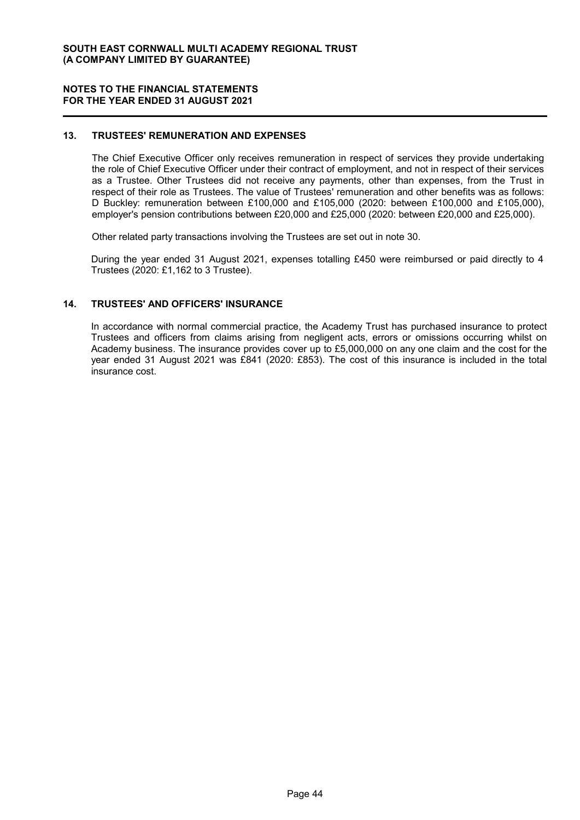#### 13. TRUSTEES' REMUNERATION AND EXPENSES

The Chief Executive Officer only receives remuneration in respect of services they provide undertaking the role of Chief Executive Officer under their contract of employment, and not in respect of their services as a Trustee. Other Trustees did not receive any payments, other than expenses, from the Trust in respect of their role as Trustees. The value of Trustees' remuneration and other benefits was as follows: D Buckley: remuneration between £100,000 and £105,000 (2020: between £100,000 and £105,000), employer's pension contributions between £20,000 and £25,000 (2020: between £20,000 and £25,000).

Other related party transactions involving the Trustees are set out in note 30.

During the year ended 31 August 2021, expenses totalling £450 were reimbursed or paid directly to 4 Trustees (2020: £1,162 to 3 Trustee).

#### 14. TRUSTEES' AND OFFICERS' INSURANCE

In accordance with normal commercial practice, the Academy Trust has purchased insurance to protect Trustees and officers from claims arising from negligent acts, errors or omissions occurring whilst on Academy business. The insurance provides cover up to £5,000,000 on any one claim and the cost for the year ended 31 August 2021 was £841 (2020: £853). The cost of this insurance is included in the total insurance cost.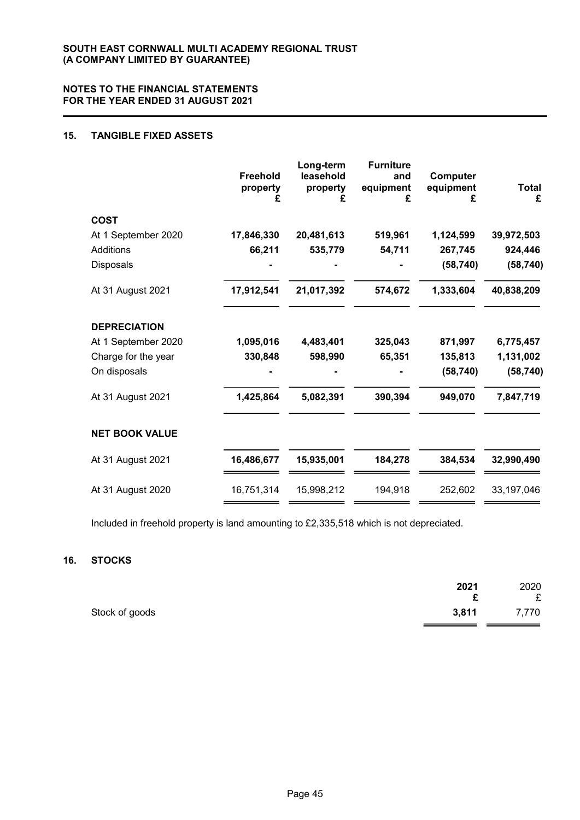### 15. TANGIBLE FIXED ASSETS

|                       | <b>Freehold</b><br>property<br>£ | Long-term<br>leasehold<br>property | <b>Furniture</b><br>and<br>equipment<br>£ | Computer<br>equipment<br>£ | <b>Total</b><br>£ |
|-----------------------|----------------------------------|------------------------------------|-------------------------------------------|----------------------------|-------------------|
| <b>COST</b>           |                                  |                                    |                                           |                            |                   |
| At 1 September 2020   | 17,846,330                       | 20,481,613                         | 519,961                                   | 1,124,599                  | 39,972,503        |
| <b>Additions</b>      | 66,211                           | 535,779                            | 54,711                                    | 267,745                    | 924,446           |
| Disposals             |                                  |                                    |                                           | (58, 740)                  | (58, 740)         |
| At 31 August 2021     | 17,912,541                       | 21,017,392                         | 574,672                                   | 1,333,604                  | 40,838,209        |
| <b>DEPRECIATION</b>   |                                  |                                    |                                           |                            |                   |
| At 1 September 2020   | 1,095,016                        | 4,483,401                          | 325,043                                   | 871,997                    | 6,775,457         |
| Charge for the year   | 330,848                          | 598,990                            | 65,351                                    | 135,813                    | 1,131,002         |
| On disposals          |                                  |                                    |                                           | (58, 740)                  | (58, 740)         |
| At 31 August 2021     | 1,425,864                        | 5,082,391                          | 390,394                                   | 949,070                    | 7,847,719         |
| <b>NET BOOK VALUE</b> |                                  |                                    |                                           |                            |                   |
| At 31 August 2021     | 16,486,677                       | 15,935,001                         | 184,278                                   | 384,534                    | 32,990,490        |
| At 31 August 2020     | 16,751,314                       | 15,998,212                         | 194,918                                   | 252,602                    | 33,197,046        |

Included in freehold property is land amounting to £2,335,518 which is not depreciated.

#### 16. STOCKS

|                | 2021  | 2020  |
|----------------|-------|-------|
|                | c     | £     |
| Stock of goods | 3,811 | 7,770 |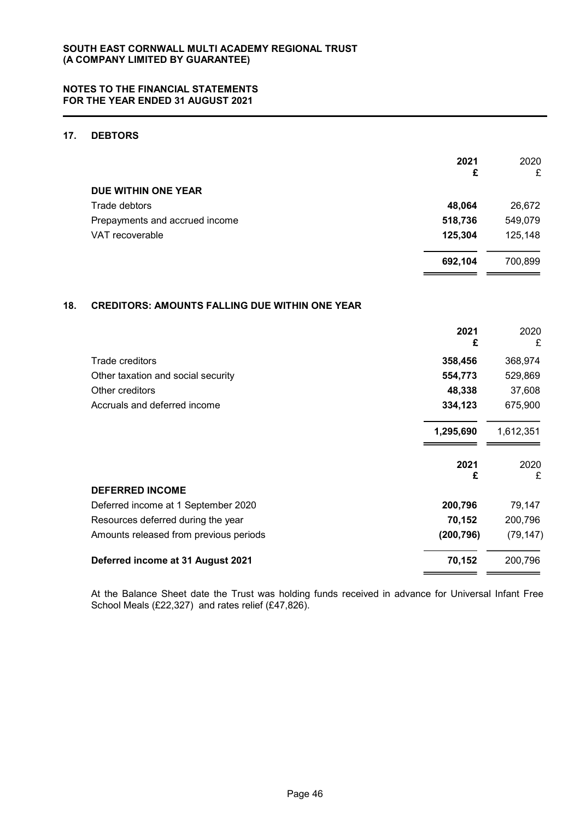### 17. DEBTORS

|                                | 2021<br>£ | 2020<br>£ |
|--------------------------------|-----------|-----------|
| DUE WITHIN ONE YEAR            |           |           |
| Trade debtors                  | 48,064    | 26,672    |
| Prepayments and accrued income | 518,736   | 549,079   |
| VAT recoverable                | 125,304   | 125,148   |
|                                | 692,104   | 700,899   |

### 18. CREDITORS: AMOUNTS FALLING DUE WITHIN ONE YEAR

|                                        | 2021<br>£  | 2020<br>£ |
|----------------------------------------|------------|-----------|
| <b>Trade creditors</b>                 | 358,456    | 368,974   |
| Other taxation and social security     | 554,773    | 529,869   |
| Other creditors                        | 48,338     | 37,608    |
| Accruals and deferred income           | 334,123    | 675,900   |
|                                        | 1,295,690  | 1,612,351 |
|                                        | 2021<br>£  | 2020<br>£ |
| <b>DEFERRED INCOME</b>                 |            |           |
| Deferred income at 1 September 2020    | 200,796    | 79,147    |
| Resources deferred during the year     | 70,152     | 200,796   |
| Amounts released from previous periods | (200, 796) | (79, 147) |
| Deferred income at 31 August 2021      | 70,152     | 200,796   |

At the Balance Sheet date the Trust was holding funds received in advance for Universal Infant Free School Meals (£22,327) and rates relief (£47,826).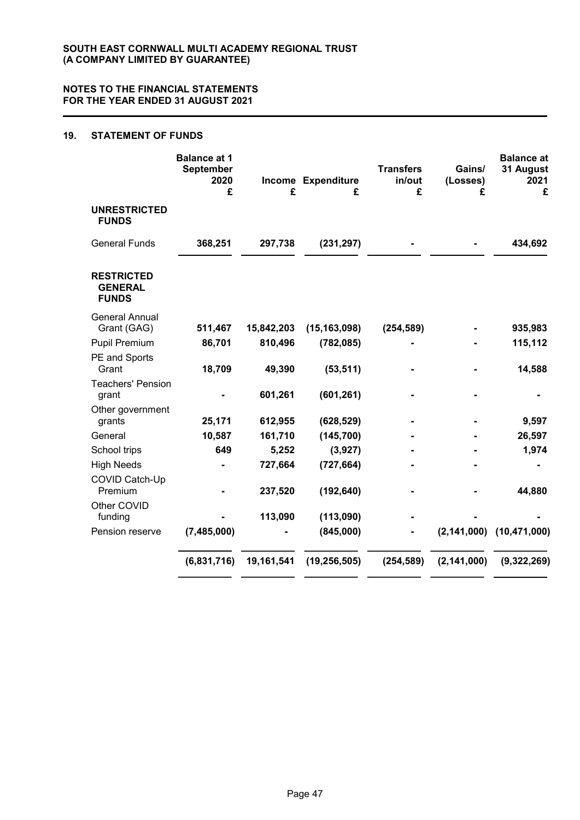### 19. STATEMENT OF FUNDS

|                                                     | <b>Balance at 1</b><br>September<br>2020<br>£ | £          | Income Expenditure<br>£ | <b>Transfers</b><br>in/out<br>£ | Gains/<br>(Losses)<br>£ | <b>Balance at</b><br>31 August<br>2021<br>£ |
|-----------------------------------------------------|-----------------------------------------------|------------|-------------------------|---------------------------------|-------------------------|---------------------------------------------|
| <b>UNRESTRICTED</b><br><b>FUNDS</b>                 |                                               |            |                         |                                 |                         |                                             |
| <b>General Funds</b>                                | 368,251                                       | 297,738    | (231, 297)              |                                 |                         | 434,692                                     |
| <b>RESTRICTED</b><br><b>GENERAL</b><br><b>FUNDS</b> |                                               |            |                         |                                 |                         |                                             |
| <b>General Annual</b><br>Grant (GAG)                | 511,467                                       | 15,842,203 | (15, 163, 098)          | (254, 589)                      |                         | 935,983                                     |
| Pupil Premium                                       | 86,701                                        | 810,496    | (782, 085)              |                                 |                         | 115,112                                     |
| PE and Sports<br>Grant                              | 18,709                                        | 49,390     | (53, 511)               |                                 |                         | 14,588                                      |
| <b>Teachers' Pension</b><br>grant                   |                                               | 601,261    | (601, 261)              |                                 |                         |                                             |
| Other government<br>grants                          | 25,171                                        | 612,955    | (628, 529)              |                                 |                         | 9,597                                       |
| General                                             | 10,587                                        | 161,710    | (145, 700)              |                                 |                         | 26,597                                      |
| School trips                                        | 649                                           | 5,252      | (3,927)                 |                                 |                         | 1,974                                       |
| <b>High Needs</b>                                   |                                               | 727,664    | (727, 664)              |                                 |                         |                                             |
| COVID Catch-Up<br>Premium                           |                                               | 237,520    | (192, 640)              |                                 |                         | 44,880                                      |
| Other COVID<br>funding                              |                                               | 113,090    | (113,090)               |                                 |                         |                                             |
| Pension reserve                                     | (7,485,000)                                   |            | (845,000)               |                                 | (2, 141, 000)           | (10, 471, 000)                              |
|                                                     | (6,831,716)                                   | 19,161,541 | (19, 256, 505)          | (254, 589)                      | (2, 141, 000)           | (9,322,269)                                 |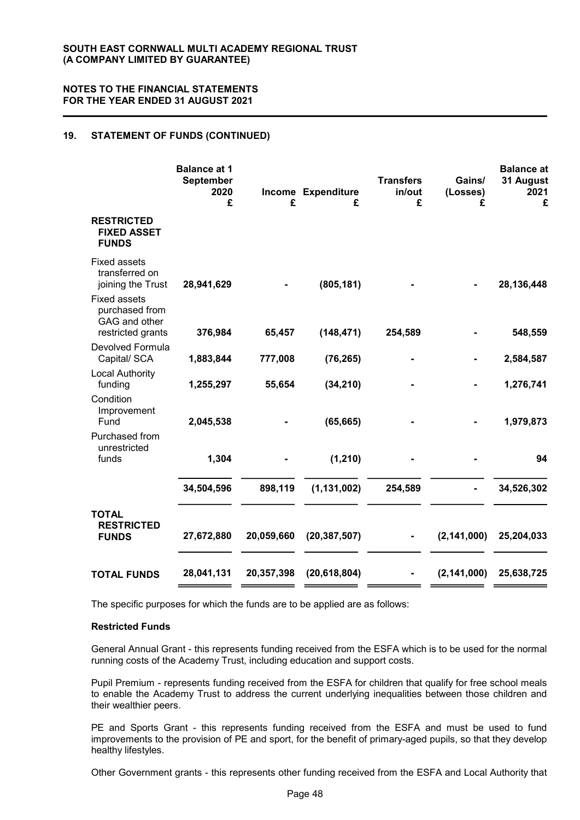### 19. STATEMENT OF FUNDS (CONTINUED)

|                                                                             | <b>Balance at 1</b><br><b>September</b><br>2020<br>£ | £          | Income Expenditure<br>£ | <b>Transfers</b><br>in/out<br>£ | Gains/<br>(Losses)<br>£ | <b>Balance</b> at<br>31 August<br>2021<br>£ |
|-----------------------------------------------------------------------------|------------------------------------------------------|------------|-------------------------|---------------------------------|-------------------------|---------------------------------------------|
| <b>RESTRICTED</b><br><b>FIXED ASSET</b><br><b>FUNDS</b>                     |                                                      |            |                         |                                 |                         |                                             |
| <b>Fixed assets</b><br>transferred on<br>joining the Trust                  | 28,941,629                                           |            | (805, 181)              |                                 |                         | 28,136,448                                  |
| <b>Fixed assets</b><br>purchased from<br>GAG and other<br>restricted grants | 376,984                                              | 65,457     | (148, 471)              | 254,589                         |                         | 548,559                                     |
| Devolved Formula<br>Capital/ SCA                                            | 1,883,844                                            | 777,008    | (76, 265)               |                                 |                         | 2,584,587                                   |
| <b>Local Authority</b><br>funding                                           | 1,255,297                                            | 55,654     | (34, 210)               |                                 |                         | 1,276,741                                   |
| Condition<br>Improvement<br>Fund                                            | 2,045,538                                            |            | (65, 665)               |                                 |                         | 1,979,873                                   |
| Purchased from<br>unrestricted<br>funds                                     | 1,304                                                |            | (1, 210)                |                                 |                         | 94                                          |
|                                                                             |                                                      |            |                         |                                 |                         |                                             |
|                                                                             | 34,504,596                                           | 898,119    | (1, 131, 002)           | 254,589                         |                         | 34,526,302                                  |
| <b>TOTAL</b><br><b>RESTRICTED</b><br><b>FUNDS</b>                           | 27,672,880                                           | 20,059,660 | (20, 387, 507)          |                                 | (2, 141, 000)           | 25,204,033                                  |
| <b>TOTAL FUNDS</b>                                                          | 28,041,131                                           | 20,357,398 | (20, 618, 804)          |                                 | (2, 141, 000)           | 25,638,725                                  |

The specific purposes for which the funds are to be applied are as follows:

#### Restricted Funds

General Annual Grant - this represents funding received from the ESFA which is to be used for the normal running costs of the Academy Trust, including education and support costs.

Pupil Premium - represents funding received from the ESFA for children that qualify for free school meals to enable the Academy Trust to address the current underlying inequalities between those children and their wealthier peers.

PE and Sports Grant - this represents funding received from the ESFA and must be used to fund improvements to the provision of PE and sport, for the benefit of primary-aged pupils, so that they develop healthy lifestyles.

Other Government grants - this represents other funding received from the ESFA and Local Authority that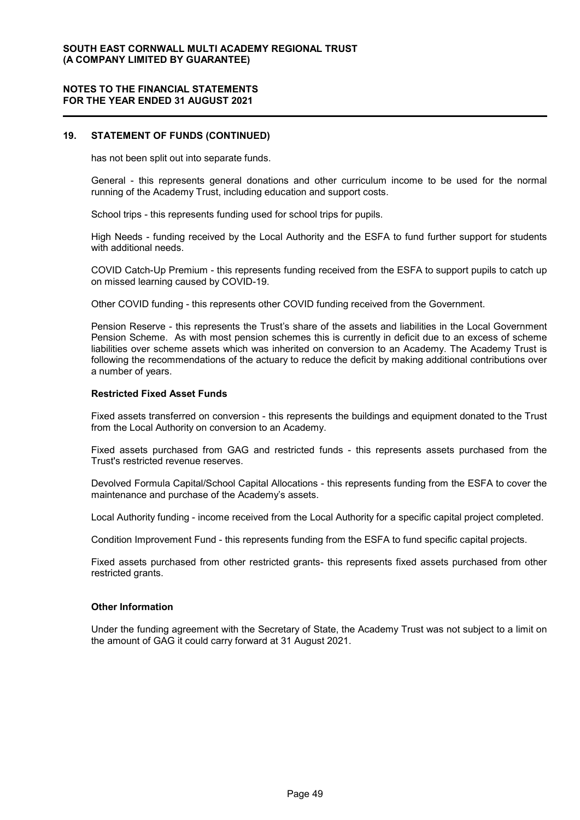#### 19. STATEMENT OF FUNDS (CONTINUED)

has not been split out into separate funds.

General - this represents general donations and other curriculum income to be used for the normal running of the Academy Trust, including education and support costs.

School trips - this represents funding used for school trips for pupils.

High Needs - funding received by the Local Authority and the ESFA to fund further support for students with additional needs.

COVID Catch-Up Premium - this represents funding received from the ESFA to support pupils to catch up on missed learning caused by COVID-19.

Other COVID funding - this represents other COVID funding received from the Government.

Pension Reserve - this represents the Trust's share of the assets and liabilities in the Local Government Pension Scheme. As with most pension schemes this is currently in deficit due to an excess of scheme liabilities over scheme assets which was inherited on conversion to an Academy. The Academy Trust is following the recommendations of the actuary to reduce the deficit by making additional contributions over a number of years.

#### Restricted Fixed Asset Funds

Fixed assets transferred on conversion - this represents the buildings and equipment donated to the Trust from the Local Authority on conversion to an Academy.

Fixed assets purchased from GAG and restricted funds - this represents assets purchased from the Trust's restricted revenue reserves.

Devolved Formula Capital/School Capital Allocations - this represents funding from the ESFA to cover the maintenance and purchase of the Academy's assets.

Local Authority funding - income received from the Local Authority for a specific capital project completed.

Condition Improvement Fund - this represents funding from the ESFA to fund specific capital projects.

Fixed assets purchased from other restricted grants- this represents fixed assets purchased from other restricted grants.

#### Other Information

Under the funding agreement with the Secretary of State, the Academy Trust was not subject to a limit on the amount of GAG it could carry forward at 31 August 2021.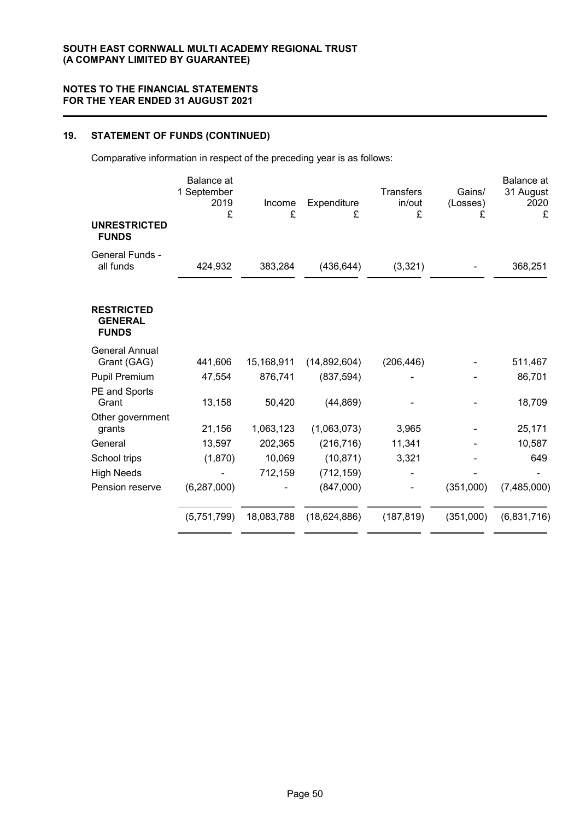# 19. STATEMENT OF FUNDS (CONTINUED)

Comparative information in respect of the preceding year is as follows:

|                                                     | <b>Balance</b> at<br>1 September<br>2019<br>£ | Income<br>£ | Expenditure<br>£ | <b>Transfers</b><br>in/out<br>£ | Gains/<br>(Losses)<br>£ | Balance at<br>31 August<br>2020<br>£ |
|-----------------------------------------------------|-----------------------------------------------|-------------|------------------|---------------------------------|-------------------------|--------------------------------------|
| <b>UNRESTRICTED</b><br><b>FUNDS</b>                 |                                               |             |                  |                                 |                         |                                      |
| General Funds -<br>all funds                        | 424,932                                       | 383,284     | (436, 644)       | (3,321)                         |                         | 368,251                              |
| <b>RESTRICTED</b><br><b>GENERAL</b><br><b>FUNDS</b> |                                               |             |                  |                                 |                         |                                      |
| <b>General Annual</b><br>Grant (GAG)                | 441,606                                       | 15,168,911  | (14, 892, 604)   | (206, 446)                      |                         | 511,467                              |
| Pupil Premium                                       | 47,554                                        | 876,741     | (837, 594)       |                                 |                         | 86,701                               |
| PE and Sports<br>Grant                              | 13,158                                        | 50,420      | (44, 869)        |                                 |                         | 18,709                               |
| Other government<br>grants                          | 21,156                                        | 1,063,123   | (1,063,073)      | 3,965                           |                         | 25,171                               |
| General                                             | 13,597                                        | 202,365     | (216, 716)       | 11,341                          |                         | 10,587                               |
| School trips                                        | (1,870)                                       | 10,069      | (10, 871)        | 3,321                           |                         | 649                                  |
| <b>High Needs</b>                                   |                                               | 712,159     | (712, 159)       |                                 |                         |                                      |
| Pension reserve                                     | (6, 287, 000)                                 |             | (847,000)        |                                 | (351,000)               | (7,485,000)                          |
|                                                     | (5,751,799)                                   | 18,083,788  | (18, 624, 886)   | (187, 819)                      | (351,000)               | (6,831,716)                          |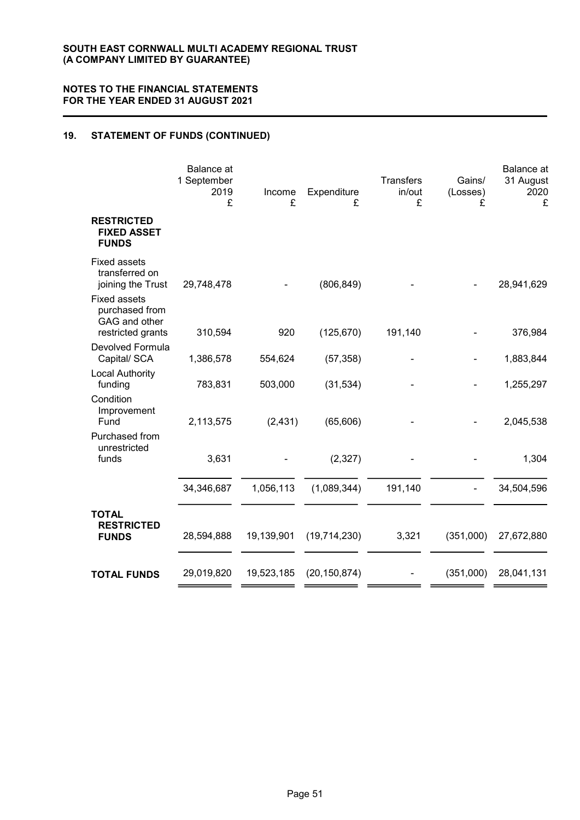### 19. STATEMENT OF FUNDS (CONTINUED)

|                                                                             | Balance at<br>1 September<br>2019<br>£ | Income<br>£ | Expenditure<br>£ | <b>Transfers</b><br>in/out<br>£ | Gains/<br>(Losses)<br>£ | Balance at<br>31 August<br>2020<br>£ |
|-----------------------------------------------------------------------------|----------------------------------------|-------------|------------------|---------------------------------|-------------------------|--------------------------------------|
| <b>RESTRICTED</b><br><b>FIXED ASSET</b><br><b>FUNDS</b>                     |                                        |             |                  |                                 |                         |                                      |
| <b>Fixed assets</b><br>transferred on<br>joining the Trust                  | 29,748,478                             |             | (806, 849)       |                                 |                         | 28,941,629                           |
| <b>Fixed assets</b><br>purchased from<br>GAG and other<br>restricted grants | 310,594                                | 920         | (125, 670)       | 191,140                         |                         | 376,984                              |
| Devolved Formula<br>Capital/ SCA                                            | 1,386,578                              | 554,624     | (57, 358)        |                                 |                         | 1,883,844                            |
| <b>Local Authority</b><br>funding                                           | 783,831                                | 503,000     | (31, 534)        |                                 |                         | 1,255,297                            |
| Condition<br>Improvement<br>Fund                                            | 2,113,575                              | (2, 431)    | (65, 606)        |                                 |                         | 2,045,538                            |
| Purchased from<br>unrestricted                                              |                                        |             |                  |                                 |                         |                                      |
| funds                                                                       | 3,631                                  |             | (2, 327)         |                                 |                         | 1,304                                |
|                                                                             | 34,346,687                             | 1,056,113   | (1,089,344)      | 191,140                         |                         | 34,504,596                           |
| <b>TOTAL</b><br><b>RESTRICTED</b><br><b>FUNDS</b>                           | 28,594,888                             | 19,139,901  | (19,714,230)     | 3,321                           | (351,000)               | 27,672,880                           |
| <b>TOTAL FUNDS</b>                                                          | 29,019,820                             | 19,523,185  | (20, 150, 874)   |                                 | (351,000)               | 28,041,131                           |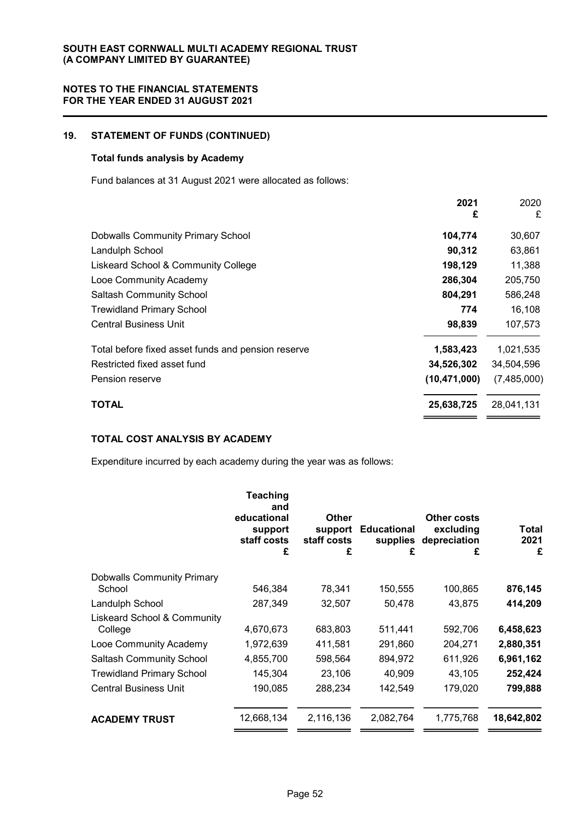### 19. STATEMENT OF FUNDS (CONTINUED)

### Total funds analysis by Academy

Fund balances at 31 August 2021 were allocated as follows:

| 2021<br>£                                                       | 2020<br>£   |
|-----------------------------------------------------------------|-------------|
| <b>Dobwalls Community Primary School</b><br>104,774             | 30,607      |
| Landulph School<br>90,312                                       | 63,861      |
| 198,129<br>Liskeard School & Community College                  | 11,388      |
| 286,304<br>Looe Community Academy                               | 205,750     |
| 804,291<br><b>Saltash Community School</b>                      | 586,248     |
| 774<br><b>Trewidland Primary School</b>                         | 16,108      |
| <b>Central Business Unit</b><br>98,839                          | 107,573     |
| Total before fixed asset funds and pension reserve<br>1,583,423 | 1,021,535   |
| Restricted fixed asset fund<br>34,526,302                       | 34,504,596  |
| (10, 471, 000)<br>Pension reserve                               | (7,485,000) |
| TOTAL<br>25,638,725                                             | 28,041,131  |

### TOTAL COST ANALYSIS BY ACADEMY

Expenditure incurred by each academy during the year was as follows:

|                                        | Teaching<br>and<br>educational<br>support<br>staff costs<br>£ | <b>Other</b><br>support<br>staff costs<br>£ | <b>Educational</b><br>supplies<br>£ | Other costs<br>excluding<br>depreciation<br>£ | Total<br>2021<br>£ |
|----------------------------------------|---------------------------------------------------------------|---------------------------------------------|-------------------------------------|-----------------------------------------------|--------------------|
| <b>Dobwalls Community Primary</b>      |                                                               |                                             |                                     |                                               |                    |
| School                                 | 546,384                                                       | 78,341                                      | 150,555                             | 100,865                                       | 876,145            |
| Landulph School                        | 287,349                                                       | 32,507                                      | 50,478                              | 43,875                                        | 414,209            |
| <b>Liskeard School &amp; Community</b> |                                                               |                                             |                                     |                                               |                    |
| College                                | 4,670,673                                                     | 683,803                                     | 511,441                             | 592,706                                       | 6,458,623          |
| Looe Community Academy                 | 1,972,639                                                     | 411,581                                     | 291,860                             | 204,271                                       | 2,880,351          |
| <b>Saltash Community School</b>        | 4,855,700                                                     | 598,564                                     | 894,972                             | 611,926                                       | 6,961,162          |
| <b>Trewidland Primary School</b>       | 145,304                                                       | 23,106                                      | 40,909                              | 43,105                                        | 252,424            |
| <b>Central Business Unit</b>           | 190,085                                                       | 288,234                                     | 142,549                             | 179,020                                       | 799,888            |
| <b>ACADEMY TRUST</b>                   | 12,668,134                                                    | 2,116,136                                   | 2,082,764                           | 1,775,768                                     | 18,642,802         |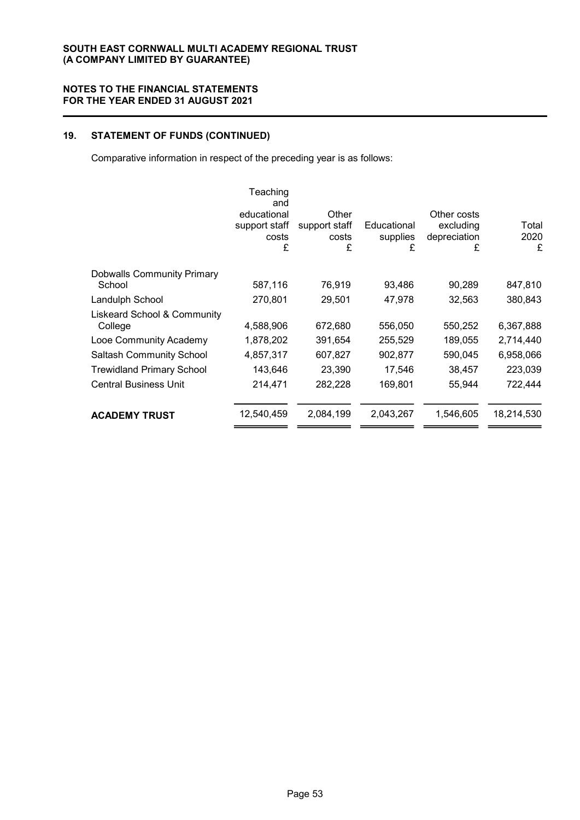# 19. STATEMENT OF FUNDS (CONTINUED)

Comparative information in respect of the preceding year is as follows:

| Teaching<br>and<br>educational<br>support staff<br>costs<br>£ | Other<br>support staff<br>costs<br>£ | Educational<br>supplies<br>£ | Other costs<br>excluding<br>depreciation<br>£ | Total<br>2020<br>£ |
|---------------------------------------------------------------|--------------------------------------|------------------------------|-----------------------------------------------|--------------------|
|                                                               |                                      |                              |                                               | 847,810            |
|                                                               |                                      |                              |                                               | 380,843            |
| 4,588,906                                                     | 672,680                              | 556,050                      | 550,252                                       | 6,367,888          |
| 1,878,202                                                     | 391,654                              | 255,529                      | 189,055                                       | 2,714,440          |
| 4,857,317                                                     | 607,827                              | 902,877                      | 590,045                                       | 6,958,066          |
| 143,646                                                       | 23,390                               | 17,546                       | 38,457                                        | 223,039            |
| 214,471                                                       | 282,228                              | 169,801                      | 55,944                                        | 722,444            |
| 12,540,459                                                    | 2,084,199                            | 2,043,267                    | 1,546,605                                     | 18,214,530         |
|                                                               | 587,116<br>270,801                   | 76,919<br>29,501             | 93,486<br>47,978                              | 90,289<br>32,563   |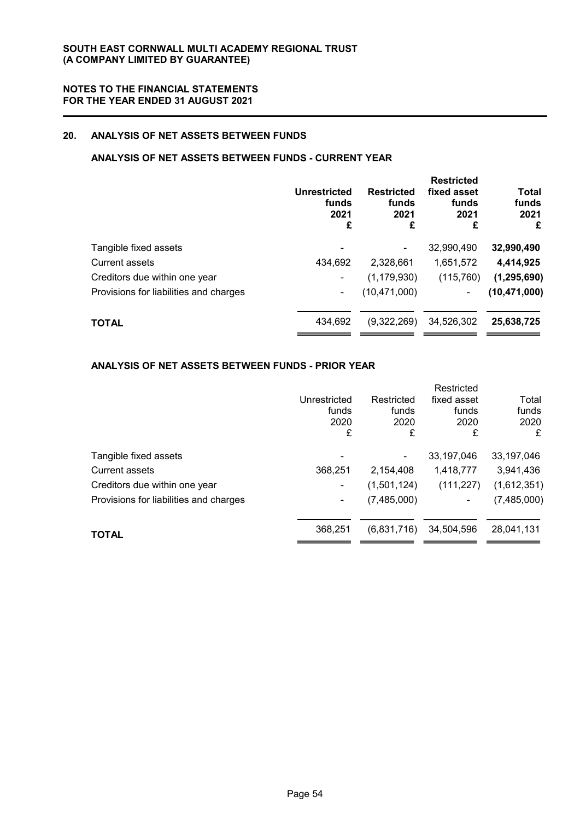### 20. ANALYSIS OF NET ASSETS BETWEEN FUNDS

### ANALYSIS OF NET ASSETS BETWEEN FUNDS - CURRENT YEAR

|                                        | Unrestricted<br>funds<br>2021<br>£ | <b>Restricted</b><br>funds<br>2021<br>£ | <b>Restricted</b><br>fixed asset<br>funds<br>2021<br>£ | <b>Total</b><br>funds<br>2021<br>£ |
|----------------------------------------|------------------------------------|-----------------------------------------|--------------------------------------------------------|------------------------------------|
| Tangible fixed assets                  |                                    |                                         | 32,990,490                                             | 32,990,490                         |
| Current assets                         | 434,692                            | 2.328.661                               | 1,651,572                                              | 4,414,925                          |
| Creditors due within one year          |                                    | (1, 179, 930)                           | (115, 760)                                             | (1, 295, 690)                      |
| Provisions for liabilities and charges | ٠                                  | (10, 471, 000)                          | ۰                                                      | (10, 471, 000)                     |
| <b>TOTAL</b>                           | 434,692                            | (9,322,269)                             | 34,526,302                                             | 25,638,725                         |

### ANALYSIS OF NET ASSETS BETWEEN FUNDS - PRIOR YEAR

|                                        |              |             | Restricted  |             |
|----------------------------------------|--------------|-------------|-------------|-------------|
|                                        | Unrestricted | Restricted  | fixed asset | Total       |
|                                        | funds        | funds       | funds       | funds       |
|                                        | 2020         | 2020        | 2020        | 2020        |
|                                        | £            | £           | £           | £           |
| Tangible fixed assets                  |              |             | 33,197,046  | 33,197,046  |
| <b>Current assets</b>                  | 368,251      | 2,154,408   | 1,418,777   | 3,941,436   |
| Creditors due within one year          | -            | (1,501,124) | (111, 227)  | (1,612,351) |
| Provisions for liabilities and charges | ۰            | (7,485,000) | ۰           | (7,485,000) |
|                                        |              |             |             |             |
| <b>TOTAL</b>                           | 368,251      | (6,831,716) | 34,504,596  | 28,041,131  |
|                                        |              |             |             |             |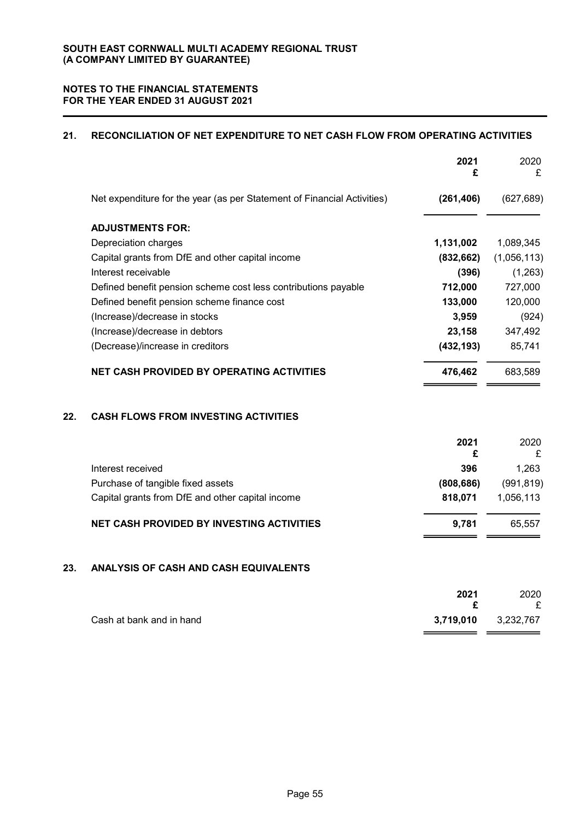### 21. RECONCILIATION OF NET EXPENDITURE TO NET CASH FLOW FROM OPERATING ACTIVITIES

|     |                                                                         | 2021<br>£  | 2020<br>£   |
|-----|-------------------------------------------------------------------------|------------|-------------|
|     | Net expenditure for the year (as per Statement of Financial Activities) | (261, 406) | (627, 689)  |
|     | <b>ADJUSTMENTS FOR:</b>                                                 |            |             |
|     | Depreciation charges                                                    | 1,131,002  | 1,089,345   |
|     | Capital grants from DfE and other capital income                        | (832, 662) | (1,056,113) |
|     | Interest receivable                                                     | (396)      | (1,263)     |
|     | Defined benefit pension scheme cost less contributions payable          | 712,000    | 727,000     |
|     | Defined benefit pension scheme finance cost                             | 133,000    | 120,000     |
|     | (Increase)/decrease in stocks                                           | 3,959      | (924)       |
|     | (Increase)/decrease in debtors                                          | 23,158     | 347,492     |
|     | (Decrease)/increase in creditors                                        | (432, 193) | 85,741      |
|     | <b>NET CASH PROVIDED BY OPERATING ACTIVITIES</b>                        | 476,462    | 683,589     |
| 22. | <b>CASH FLOWS FROM INVESTING ACTIVITIES</b>                             |            |             |
|     |                                                                         | 2021<br>£  | 2020<br>£   |
|     | Interest received                                                       | 396        | 1,263       |
|     | Purchase of tangible fixed assets                                       | (808, 686) | (991, 819)  |
|     | Capital grants from DfE and other capital income                        | 818,071    | 1,056,113   |
|     | <b>NET CASH PROVIDED BY INVESTING ACTIVITIES</b>                        | 9,781      | 65,557      |

### 23. ANALYSIS OF CASH AND CASH EQUIVALENTS

|                          | 2021      | 2020      |
|--------------------------|-----------|-----------|
|                          |           | £         |
| Cash at bank and in hand | 3,719,010 | 3,232,767 |
|                          |           |           |

—— —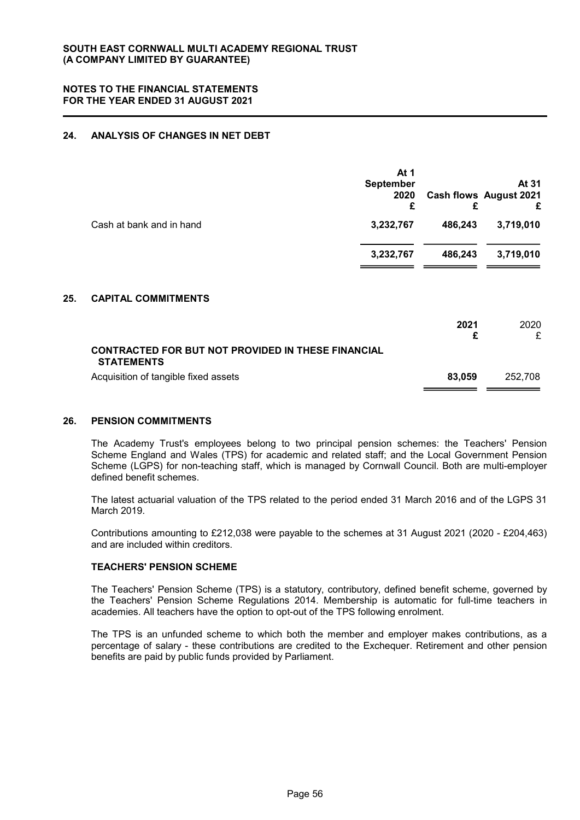### 24. ANALYSIS OF CHANGES IN NET DEBT

|                          | At 1<br><b>September</b><br>2020<br>£ |         | At 31<br><b>Cash flows August 2021</b><br>£ |
|--------------------------|---------------------------------------|---------|---------------------------------------------|
| Cash at bank and in hand | 3,232,767                             | 486,243 | 3,719,010                                   |
|                          | 3,232,767                             | 486,243 | 3,719,010                                   |

#### 25. CAPITAL COMMITMENTS

|                                                                                | 2021   | 2020    |
|--------------------------------------------------------------------------------|--------|---------|
| <b>CONTRACTED FOR BUT NOT PROVIDED IN THESE FINANCIAL</b><br><b>STATEMENTS</b> |        |         |
| Acquisition of tangible fixed assets                                           | 83.059 | 252.708 |

#### 26. PENSION COMMITMENTS

The Academy Trust's employees belong to two principal pension schemes: the Teachers' Pension Scheme England and Wales (TPS) for academic and related staff; and the Local Government Pension Scheme (LGPS) for non-teaching staff, which is managed by Cornwall Council. Both are multi-employer defined benefit schemes.

The latest actuarial valuation of the TPS related to the period ended 31 March 2016 and of the LGPS 31 March 2019.

Contributions amounting to £212,038 were payable to the schemes at 31 August 2021 (2020 - £204,463) and are included within creditors.

### TEACHERS' PENSION SCHEME

The Teachers' Pension Scheme (TPS) is a statutory, contributory, defined benefit scheme, governed by the Teachers' Pension Scheme Regulations 2014. Membership is automatic for full-time teachers in academies. All teachers have the option to opt-out of the TPS following enrolment.

The TPS is an unfunded scheme to which both the member and employer makes contributions, as a percentage of salary - these contributions are credited to the Exchequer. Retirement and other pension benefits are paid by public funds provided by Parliament.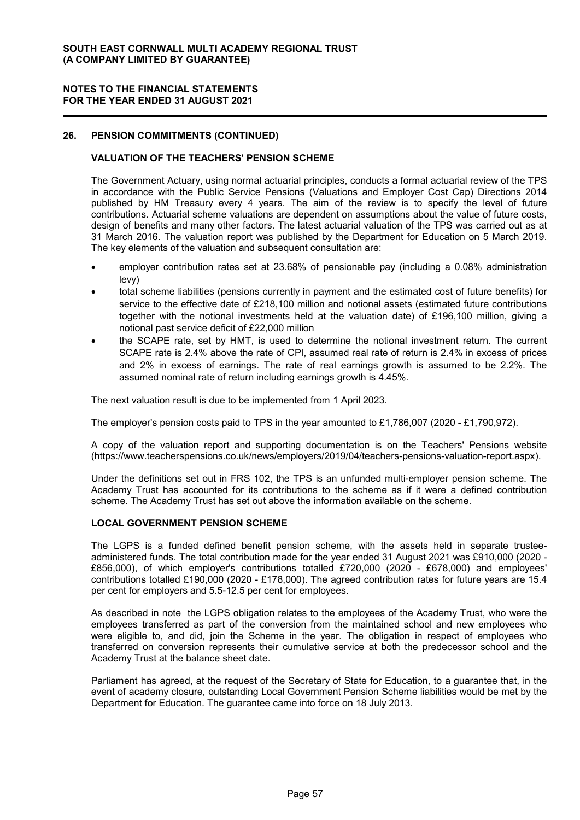#### NOTES TO THE FINANCIAL STATEMENTS FOR THE YEAR ENDED 31 AUGUST 2021

### 26. PENSION COMMITMENTS (CONTINUED)

#### VALUATION OF THE TEACHERS' PENSION SCHEME

The Government Actuary, using normal actuarial principles, conducts a formal actuarial review of the TPS in accordance with the Public Service Pensions (Valuations and Employer Cost Cap) Directions 2014 published by HM Treasury every 4 years. The aim of the review is to specify the level of future contributions. Actuarial scheme valuations are dependent on assumptions about the value of future costs, design of benefits and many other factors. The latest actuarial valuation of the TPS was carried out as at 31 March 2016. The valuation report was published by the Department for Education on 5 March 2019. The key elements of the valuation and subsequent consultation are:

- employer contribution rates set at 23.68% of pensionable pay (including a 0.08% administration levy)
- total scheme liabilities (pensions currently in payment and the estimated cost of future benefits) for service to the effective date of £218,100 million and notional assets (estimated future contributions together with the notional investments held at the valuation date) of £196,100 million, giving a notional past service deficit of £22,000 million
- the SCAPE rate, set by HMT, is used to determine the notional investment return. The current SCAPE rate is 2.4% above the rate of CPI, assumed real rate of return is 2.4% in excess of prices and 2% in excess of earnings. The rate of real earnings growth is assumed to be 2.2%. The assumed nominal rate of return including earnings growth is 4.45%.

The next valuation result is due to be implemented from 1 April 2023.

The employer's pension costs paid to TPS in the year amounted to £1,786,007 (2020 - £1,790,972).

A copy of the valuation report and supporting documentation is on the Teachers' Pensions website (https://www.teacherspensions.co.uk/news/employers/2019/04/teachers-pensions-valuation-report.aspx).

Under the definitions set out in FRS 102, the TPS is an unfunded multi-employer pension scheme. The Academy Trust has accounted for its contributions to the scheme as if it were a defined contribution scheme. The Academy Trust has set out above the information available on the scheme.

#### LOCAL GOVERNMENT PENSION SCHEME

The LGPS is a funded defined benefit pension scheme, with the assets held in separate trusteeadministered funds. The total contribution made for the year ended 31 August 2021 was £910,000 (2020 - £856,000), of which employer's contributions totalled £720,000 (2020 - £678,000) and employees' contributions totalled £190,000 (2020 - £178,000). The agreed contribution rates for future years are 15.4 per cent for employers and 5.5-12.5 per cent for employees.

As described in note the LGPS obligation relates to the employees of the Academy Trust, who were the employees transferred as part of the conversion from the maintained school and new employees who were eligible to, and did, join the Scheme in the year. The obligation in respect of employees who transferred on conversion represents their cumulative service at both the predecessor school and the Academy Trust at the balance sheet date.

Parliament has agreed, at the request of the Secretary of State for Education, to a guarantee that, in the event of academy closure, outstanding Local Government Pension Scheme liabilities would be met by the Department for Education. The guarantee came into force on 18 July 2013.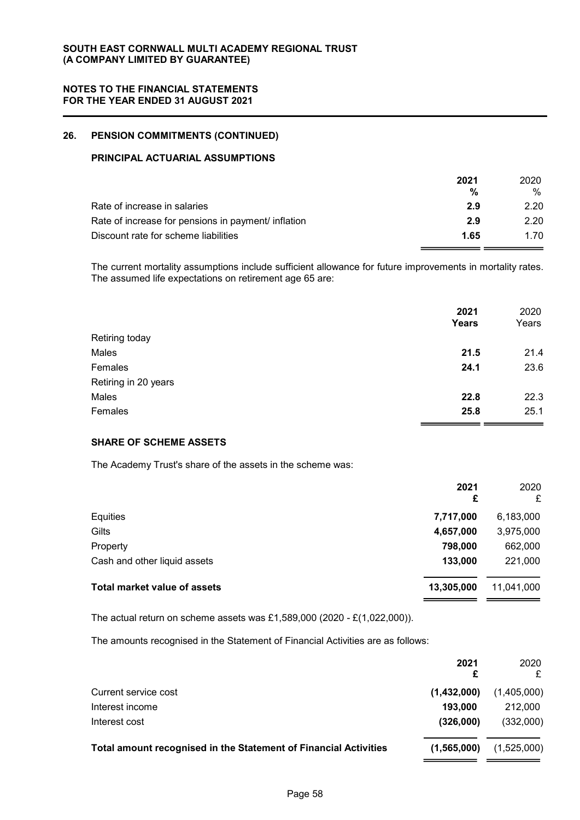### 26. PENSION COMMITMENTS (CONTINUED)

### PRINCIPAL ACTUARIAL ASSUMPTIONS

| 2021 | 2020. |
|------|-------|
| %    | %     |
| 2.9  | 2.20  |
| 2.9  | 2.20  |
| 1.65 | 1.70  |
|      |       |

The current mortality assumptions include sufficient allowance for future improvements in mortality rates. The assumed life expectations on retirement age 65 are:

|                      | 2021         | 2020  |
|----------------------|--------------|-------|
|                      | <b>Years</b> | Years |
| Retiring today       |              |       |
| Males                | 21.5         | 21.4  |
| Females              | 24.1         | 23.6  |
| Retiring in 20 years |              |       |
| Males                | 22.8         | 22.3  |
| Females              | 25.8         | 25.1  |

### SHARE OF SCHEME ASSETS

The Academy Trust's share of the assets in the scheme was:

|                                     | 2021<br>£  | 2020<br>£  |
|-------------------------------------|------------|------------|
| Equities                            | 7,717,000  | 6,183,000  |
| Gilts                               | 4,657,000  | 3,975,000  |
| Property                            | 798,000    | 662,000    |
| Cash and other liquid assets        | 133,000    | 221,000    |
| <b>Total market value of assets</b> | 13,305,000 | 11,041,000 |
|                                     |            |            |

The actual return on scheme assets was £1,589,000 (2020 - £(1,022,000)).

The amounts recognised in the Statement of Financial Activities are as follows:

|                                                                         | 2021<br>£   | 2020        |
|-------------------------------------------------------------------------|-------------|-------------|
| Current service cost                                                    | (1,432,000) | (1,405,000) |
| Interest income                                                         | 193,000     | 212,000     |
| Interest cost                                                           | (326,000)   | (332,000)   |
| <b>Total amount recognised in the Statement of Financial Activities</b> | (1,565,000) | (1,525,000) |
|                                                                         |             |             |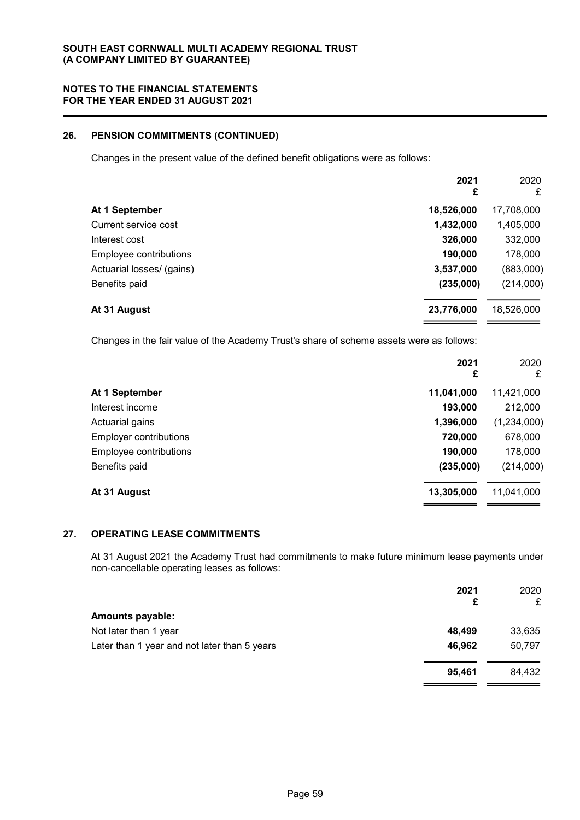### 26. PENSION COMMITMENTS (CONTINUED)

Changes in the present value of the defined benefit obligations were as follows:

| 2021<br>£  | 2020<br>£  |
|------------|------------|
| 18,526,000 | 17,708,000 |
| 1,432,000  | 1,405,000  |
| 326,000    | 332,000    |
| 190,000    | 178,000    |
| 3,537,000  | (883,000)  |
| (235,000)  | (214,000)  |
| 23,776,000 | 18,526,000 |
|            |            |

Changes in the fair value of the Academy Trust's share of scheme assets were as follows:

|                               | 2021<br>£  | 2020<br>£   |
|-------------------------------|------------|-------------|
| At 1 September                | 11,041,000 | 11,421,000  |
| Interest income               | 193,000    | 212,000     |
| Actuarial gains               | 1,396,000  | (1,234,000) |
| <b>Employer contributions</b> | 720,000    | 678,000     |
| Employee contributions        | 190,000    | 178,000     |
| Benefits paid                 | (235,000)  | (214,000)   |
| At 31 August                  | 13,305,000 | 11,041,000  |

## 27. OPERATING LEASE COMMITMENTS

At 31 August 2021 the Academy Trust had commitments to make future minimum lease payments under non-cancellable operating leases as follows:

|                                              | 2021<br>£ | 2020<br>£ |
|----------------------------------------------|-----------|-----------|
| <b>Amounts payable:</b>                      |           |           |
| Not later than 1 year                        | 48,499    | 33,635    |
| Later than 1 year and not later than 5 years | 46,962    | 50,797    |
|                                              | 95,461    | 84,432    |